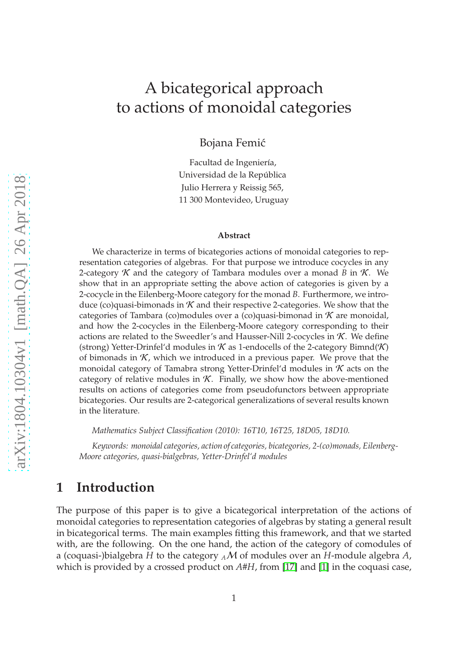# A bicategorical approach to actions of monoidal categories

Bojana Femić

Facultad de Ingeniería, Universidad de la República Julio Herrera y Reissig 565, 11 300 Montevideo, Uruguay

#### **Abstract**

We characterize in terms of bicategories actions of monoidal categories to representation categories of algebras. For that purpose we introduce cocycles in any 2-category  $\mathcal K$  and the category of Tambara modules over a monad *B* in  $\mathcal K$ . We show that in an appropriate setting the above action of categories is given by a 2-cocycle in the Eilenberg-Moore category for the monad *B*. Furthermore, we introduce (co)quasi-bimonads in  $K$  and their respective 2-categories. We show that the categories of Tambara (co)modules over a (co)quasi-bimonad in  $K$  are monoidal, and how the 2-cocycles in the Eilenberg-Moore category corresponding to their actions are related to the Sweedler's and Hausser-Nill 2-cocycles in  $K$ . We define (strong) Yetter-Drinfel'd modules in  $K$  as 1-endocells of the 2-category Bimnd(K) of bimonads in  $K$ , which we introduced in a previous paper. We prove that the monoidal category of Tamabra strong Yetter-Drinfel'd modules in  $K$  acts on the category of relative modules in  $K$ . Finally, we show how the above-mentioned results on actions of categories come from pseudofunctors between appropriate bicategories. Our results are 2-categorical generalizations of several results known in the literature.

*Mathematics Subject Classification (2010): 16T10, 16T25, 18D05, 18D10.*

*Keywords: monoidal categories, action of categories, bicategories, 2-(co)monads, Eilenberg-Moore categories, quasi-bialgebras, Yetter-Drinfel'd modules*

# **1 Introduction**

The purpose of this paper is to give a bicategorical interpretation of the actions of monoidal categories to representation categories of algebras by stating a general result in bicategorical terms. The main examples fitting this framework, and that we started with, are the following. On the one hand, the action of the category of comodules of a (coquasi-)bialgebra *H* to the category *<sup>A</sup>*M of modules over an *H*-module algebra *A*, which is provided by a crossed product on  $A#H$ , from [\[17\]](#page-42-0) and [\[1\]](#page-41-0) in the coquasi case,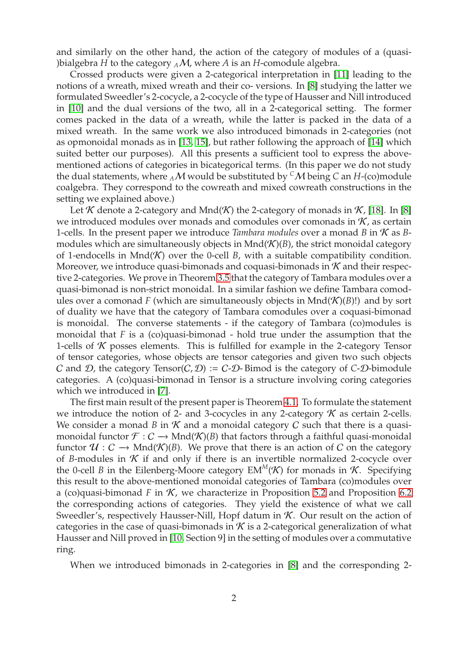and similarly on the other hand, the action of the category of modules of a (quasi- )bialgebra *H* to the category  $_A$ *M*, where *A* is an *H*-comodule algebra.

Crossed products were given a 2-categorical interpretation in [\[11\]](#page-42-1) leading to the notions of a wreath, mixed wreath and their co- versions. In [\[8\]](#page-42-2) studying the latter we formulated Sweedler's 2-cocycle, a 2-cocycle of the type of Hausser and Nill introduced in [\[10\]](#page-42-3) and the dual versions of the two, all in a 2-categorical setting. The former comes packed in the data of a wreath, while the latter is packed in the data of a mixed wreath. In the same work we also introduced bimonads in 2-categories (not as opmonoidal monads as in [\[13,](#page-42-4) [15\]](#page-42-5), but rather following the approach of [\[14\]](#page-42-6) which suited better our purposes). All this presents a sufficient tool to express the abovementioned actions of categories in bicategorical terms. (In this paper we do not study the dual statements, where  $_A$ M would be substituted by <sup>*C*</sup>M being *C* an *H*-(co)module coalgebra. They correspond to the cowreath and mixed cowreath constructions in the setting we explained above.)

Let K denote a 2-category and Mnd(K) the 2-category of monads in  $K$ , [\[18\]](#page-42-7). In [\[8\]](#page-42-2) we introduced modules over monads and comodules over comonads in  $K$ , as certain 1-cells. In the present paper we introduce *Tambara modules* over a monad *B* in K as *B*modules which are simultaneously objects in  $Mnd(\mathcal{K})(B)$ , the strict monoidal category of 1-endocells in Mnd $(K)$  over the 0-cell *B*, with a suitable compatibility condition. Moreover, we introduce quasi-bimonads and coquasi-bimonads in  $K$  and their respective 2-categories. We prove in Theorem [3.5](#page-12-0) that the category of Tambara modules over a quasi-bimonad is non-strict monoidal. In a similar fashion we define Tambara comodules over a comonad *F* (which are simultaneously objects in  $Mnd(\mathcal{K})(B)!$ ) and by sort of duality we have that the category of Tambara comodules over a coquasi-bimonad is monoidal. The converse statements - if the category of Tambara (co)modules is monoidal that *F* is a (co)quasi-bimonad - hold true under the assumption that the 1-cells of  $K$  posses elements. This is fulfilled for example in the 2-category Tensor of tensor categories, whose objects are tensor categories and given two such objects C and D, the category  $Tensor(C, D) := C-D$ -Bimod is the category of C-D-bimodule categories. A (co)quasi-bimonad in Tensor is a structure involving coring categories which we introduced in [\[7\]](#page-42-8).

The first main result of the present paper is Theorem [4.1.](#page-16-0) To formulate the statement we introduce the notion of 2- and 3-cocycles in any 2-category  $K$  as certain 2-cells. We consider a monad *B* in  $K$  and a monoidal category *C* such that there is a quasimonoidal functor  $\mathcal{F}: C \to \text{Mnd}(\mathcal{K})(B)$  that factors through a faithful quasi-monoidal functor  $\mathcal{U}: \mathcal{C} \longrightarrow \text{Mnd}(\mathcal{K})(B)$ . We prove that there is an action of C on the category of *B*-modules in  $K$  if and only if there is an invertible normalized 2-cocycle over the 0-cell *B* in the Eilenberg-Moore category  $EM^M(\mathcal{K})$  for monads in  $\mathcal{K}$ . Specifying this result to the above-mentioned monoidal categories of Tambara (co)modules over a (co)quasi-bimonad  $F$  in  $K$ , we characterize in Proposition [5.2](#page-20-0) and Proposition [6.2](#page-24-0) the corresponding actions of categories. They yield the existence of what we call Sweedler's, respectively Hausser-Nill, Hopf datum in  $K$ . Our result on the action of categories in the case of quasi-bimonads in  $K$  is a 2-categorical generalization of what Hausser and Nill proved in [\[10,](#page-42-3) Section 9] in the setting of modules over a commutative ring.

When we introduced bimonads in 2-categories in [\[8\]](#page-42-2) and the corresponding 2-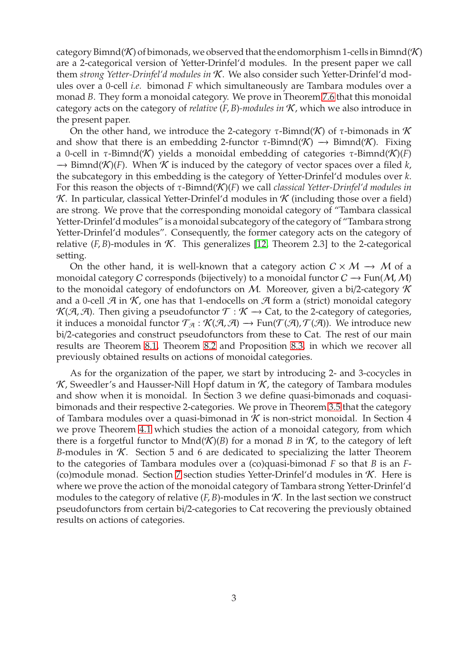category Bimnd(K) of bimonads, we observed that the endomorphism 1-cells in Bimnd(K) are a 2-categorical version of Yetter-Drinfel'd modules. In the present paper we call them *strong Yetter-Drinfel'd modules in* K. We also consider such Yetter-Drinfel'd modules over a 0-cell *i.e.* bimonad *F* which simultaneously are Tambara modules over a monad *B*. They form a monoidal category. We prove in Theorem [7.6](#page-30-0) that this monoidal category acts on the category of *relative* (*F*, *B*)*-modules in* K, which we also introduce in the present paper.

On the other hand, we introduce the 2-category  $\tau$ -Bimnd(K) of  $\tau$ -bimonads in K and show that there is an embedding 2-functor  $\tau$ -Bimnd(K)  $\rightarrow$  Bimnd(K). Fixing a 0-cell in τ-Bimnd(K) yields a monoidal embedding of categories τ-Bimnd(K)(*F*) −→ Bimnd(K)(*F*). When K is induced by the category of vector spaces over a filed *k*, the subcategory in this embedding is the category of Yetter-Drinfel'd modules over *k*. For this reason the objects of τ-Bimnd(K)(*F*) we call *classical Yetter-Drinfel'd modules in* K. In particular, classical Yetter-Drinfel'd modules in  $K$  (including those over a field) are strong. We prove that the corresponding monoidal category of "Tambara classical Yetter-Drinfel'd modules" is a monoidal subcategory of the category of "Tambara strong Yetter-Drinfel'd modules". Consequently, the former category acts on the category of relative  $(F, B)$ -modules in  $K$ . This generalizes [\[12,](#page-42-9) Theorem 2.3] to the 2-categorical setting.

On the other hand, it is well-known that a category action  $C \times M \rightarrow M$  of a monoidal category C corresponds (bijectively) to a monoidal functor  $C \rightarrow Fun(M, M)$ to the monoidal category of endofunctors on M. Moreover, given a bi/2-category  $\mathcal K$ and a 0-cell  $\mathcal{A}$  in  $\mathcal{K}$ , one has that 1-endocells on  $\mathcal{A}$  form a (strict) monoidal category  $K(\mathcal{A}, \mathcal{A})$ . Then giving a pseudofunctor  $\mathcal{T} : \mathcal{K} \to \text{Cat}$ , to the 2-category of categories, it induces a monoidal functor  $\mathcal{T}_{\mathcal{A}} : \mathcal{K}(\mathcal{A}, \mathcal{A}) \to \text{Fun}(\mathcal{T}(\mathcal{A}), \mathcal{T}(\mathcal{A}))$ . We introduce new bi/2-categories and construct pseudofunctors from these to Cat. The rest of our main results are Theorem [8.1,](#page-38-0) Theorem [8.2](#page-40-0) and Proposition [8.3,](#page-41-1) in which we recover all previously obtained results on actions of monoidal categories.

As for the organization of the paper, we start by introducing 2- and 3-cocycles in  $K$ , Sweedler's and Hausser-Nill Hopf datum in  $K$ , the category of Tambara modules and show when it is monoidal. In Section 3 we define quasi-bimonads and coquasibimonads and their respective 2-categories. We prove in Theorem [3.5](#page-12-0) that the category of Tambara modules over a quasi-bimonad in  $K$  is non-strict monoidal. In Section 4 we prove Theorem [4.1](#page-16-0) which studies the action of a monoidal category, from which there is a forgetful functor to  $Mnd(K)(B)$  for a monad *B* in *K*, to the category of left *B*-modules in  $K$ . Section 5 and 6 are dedicated to specializing the latter Theorem to the categories of Tambara modules over a (co)quasi-bimonad *F* so that *B* is an *F*- (co)module monad. Section [7](#page-28-0) section studies Yetter-Drinfel'd modules in  $K$ . Here is where we prove the action of the monoidal category of Tambara strong Yetter-Drinfel'd modules to the category of relative  $(F, B)$ -modules in  $K$ . In the last section we construct pseudofunctors from certain bi/2-categories to Cat recovering the previously obtained results on actions of categories.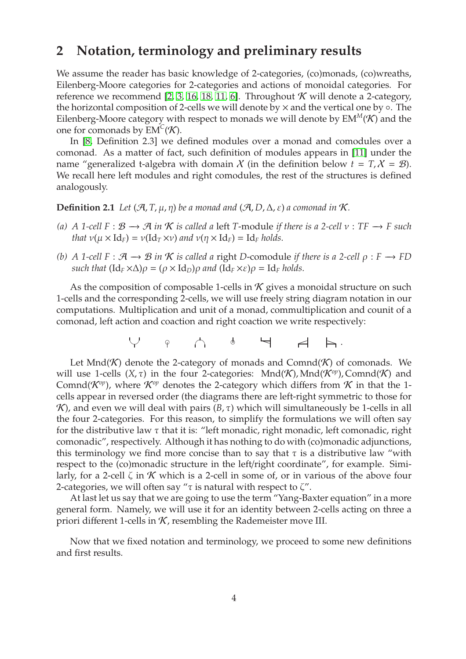# **2 Notation, terminology and preliminary results**

We assume the reader has basic knowledge of 2-categories, (co)monads, (co)wreaths, Eilenberg-Moore categories for 2-categories and actions of monoidal categories. For reference we recommend [\[2,](#page-41-2) [3,](#page-41-3) [16,](#page-42-10) [18,](#page-42-7) [11,](#page-42-1) [6\]](#page-42-11). Throughout  $K$  will denote a 2-category, the horizontal composition of 2-cells we will denote by  $\times$  and the vertical one by  $\circ$ . The Eilenberg-Moore category with respect to monads we will denote by  $EM^M(\mathcal{K})$  and the one for comonads by  $EM^C(\mathcal{K})$ .

In [\[8,](#page-42-2) Definition 2.3] we defined modules over a monad and comodules over a comonad. As a matter of fact, such definition of modules appears in [\[11\]](#page-42-1) under the name "generalized t-algebra with domain X (in the definition below  $t = T$ ,  $X = B$ ). We recall here left modules and right comodules, the rest of the structures is defined analogously.

**Definition 2.1** *Let*  $(\mathcal{A}, T, \mu, \eta)$  *be a monad and*  $(\mathcal{A}, D, \Delta, \varepsilon)$  *a comonad in*  $\mathcal{K}$ *.* 

- *(a) A* 1-cell  $F : B → ∅$  *in*  $K$  *is called a* left *T*-module *if there is a* 2-cell  $v : TF → F$  *such that*  $v(\mu \times \text{Id}_F) = v(\text{Id}_T \times v)$  *and*  $v(\eta \times \text{Id}_F) = \text{Id}_F$  *holds.*
- *(b)* A 1-cell  $F : \mathcal{A} \to \mathcal{B}$  *in*  $K$  *is called a* right *D*-comodule *if there is a 2-cell*  $\rho : F \to FD$ *such that*  $(\mathrm{Id}_F \times \Delta) \rho = (\rho \times \mathrm{Id}_D) \rho$  *and*  $(\mathrm{Id}_F \times \varepsilon) \rho = \mathrm{Id}_F$  *holds.*

As the composition of composable 1-cells in  $K$  gives a monoidal structure on such 1-cells and the corresponding 2-cells, we will use freely string diagram notation in our computations. Multiplication and unit of a monad, commultiplication and counit of a comonad, left action and coaction and right coaction we write respectively:

✡✠ ❞ ☛✟ ❞ <sup>P</sup> ✏ <sup>P</sup> .

Let Mnd( $K$ ) denote the 2-category of monads and Comnd( $K$ ) of comonads. We will use 1-cells  $(X, \tau)$  in the four 2-categories: Mnd $(\mathcal{K})$ , Mnd $(\mathcal{K}^{op})$ , Comnd $(\mathcal{K})$  and Comnd( $\mathcal{K}^{op}$ ), where  $\mathcal{K}^{op}$  denotes the 2-category which differs from  $\mathcal K$  in that the 1cells appear in reversed order (the diagrams there are left-right symmetric to those for K), and even we will deal with pairs  $(B, \tau)$  which will simultaneously be 1-cells in all the four 2-categories. For this reason, to simplify the formulations we will often say for the distributive law  $\tau$  that it is: "left monadic, right monadic, left comonadic, right comonadic", respectively. Although it has nothing to do with (co)monadic adjunctions, this terminology we find more concise than to say that  $\tau$  is a distributive law "with respect to the (co)monadic structure in the left/right coordinate", for example. Similarly, for a 2-cell  $\zeta$  in  $\mathcal K$  which is a 2-cell in some of, or in various of the above four 2-categories, we will often say " $\tau$  is natural with respect to  $\zeta$ ".

At last let us say that we are going to use the term "Yang-Baxter equation" in a more general form. Namely, we will use it for an identity between 2-cells acting on three a priori different 1-cells in  $K$ , resembling the Rademeister move III.

<span id="page-3-0"></span>Now that we fixed notation and terminology, we proceed to some new definitions and first results.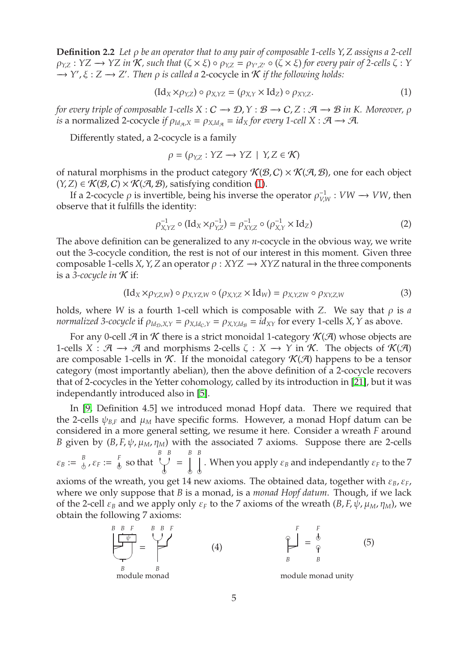**Definition 2.2** *Let* ρ *be an operator that to any pair of composable 1-cells Y*, *Z assigns a 2-cell*  $\rho_{Y,Z}: YZ \to YZ$  in  $\mathcal K$ , such that  $(\zeta \times \xi) \circ \rho_{Y,Z} = \rho_{Y',Z'} \circ (\zeta \times \xi)$  for every pair of 2-cells  $\zeta: Y$ −→ *Y* ′ , ξ : *Z* −→ *Z* ′ *. Then* ρ *is called a* 2-cocycle in K *if the following holds:*

<span id="page-4-0"></span>
$$
(\mathrm{Id}_X \times \rho_{Y,Z}) \circ \rho_{X,YZ} = (\rho_{X,Y} \times \mathrm{Id}_Z) \circ \rho_{XY,Z}.
$$
 (1)

*for every triple of composable 1-cells*  $X : C \to D, Y : B \to C, Z : A \to B$  *in K. Moreover,*  $\rho$ *is* a normalized 2-cocycle *if*  $\rho_{Id_{\mathcal{A}},X} = \rho_{X,Id_{\mathcal{A}}} = id_X$  for every 1-cell  $X : \mathcal{A} \longrightarrow \mathcal{A}$ .

Differently stated, a 2-cocycle is a family

$$
\rho = (\rho_{Y,Z} : YZ \to YZ \mid Y, Z \in \mathcal{K})
$$

of natural morphisms in the product category  $\mathcal{K}(\mathcal{B}, C) \times \mathcal{K}(\mathcal{A}, \mathcal{B})$ , one for each object  $(Y, Z) \in \mathcal{K}(\mathcal{B}, C) \times \mathcal{K}(\mathcal{A}, \mathcal{B})$ , satisfying condition [\(1\)](#page-4-0).

If a 2-cocycle  $\rho$  is invertible, being his inverse the operator  $\rho_{VI}^{-1}$  $V_{V,W}^{-1}: VW \rightarrow VW$ , then observe that it fulfills the identity:

<span id="page-4-2"></span>
$$
\rho_{X,YZ}^{-1} \circ (\text{Id}_X \times \rho_{Y,Z}^{-1}) = \rho_{XY,Z}^{-1} \circ (\rho_{X,Y}^{-1} \times \text{Id}_Z)
$$
 (2)

The above definition can be generalized to any *n*-cocycle in the obvious way, we write out the 3-cocycle condition, the rest is not of our interest in this moment. Given three composable 1-cells *X*, *Y*, *Z* an operator  $\rho$  : *XYZ*  $\rightarrow$  *XYZ* natural in the three components is a *3-cocycle in*  $K$  if:

$$
(\mathrm{Id}_X \times \rho_{Y,Z,W}) \circ \rho_{X,YZ,W} \circ (\rho_{X,Y,Z} \times \mathrm{Id}_W) = \rho_{X,Y,ZW} \circ \rho_{XY,Z,W}
$$
 (3)

holds, where *W* is a fourth 1-cell which is composable with *Z*. We say that  $\rho$  is *a normalized* 3-*cocycle* if  $\rho_{Id_D, X, Y} = \rho_{X, Id_C, Y} = \rho_{X, Y, Id_B} = id_{XY}$  for every 1-cells *X*, *Y* as above.

For any 0-cell  $\mathcal A$  in  $\mathcal K$  there is a strict monoidal 1-category  $\mathcal K(\mathcal A)$  whose objects are 1-cells  $X : \mathcal{A} \to \mathcal{A}$  and morphisms 2-cells  $\zeta : X \to Y$  in  $\mathcal{K}$ . The objects of  $\mathcal{K}(\mathcal{A})$ are composable 1-cells in  $K$ . If the monoidal category  $K(\mathcal{A})$  happens to be a tensor category (most importantly abelian), then the above definition of a 2-cocycle recovers that of 2-cocycles in the Yetter cohomology, called by its introduction in [\[21\]](#page-42-12), but it was independantly introduced also in [\[5\]](#page-42-13).

In [\[9,](#page-42-14) Definition 4.5] we introduced monad Hopf data. There we required that the 2-cells  $\psi_{B,F}$  and  $\mu_M$  have specific forms. However, a monad Hopf datum can be considered in a more general setting, we resume it here. Consider a wreath *F* around *B* given by  $(B, F, \psi, \mu_M, \eta_M)$  with the associated 7 axioms. Suppose there are 2-cells *B B B B*

 $\varepsilon_B := \frac{B}{A}$  $\frac{B}{b}$ ,  $\varepsilon_F := \frac{F}{b}$  $_{\!\scriptscriptstyle (\!\chi\!)}$  so that ✡✠  $\mathbf{P}$ = ❞ ❞ . When you apply  $\varepsilon_B$  and independantly  $\varepsilon_F$  to the  $7$ 

axioms of the wreath, you get 14 new axioms. The obtained data, together with ε*B*, ε*F*, where we only suppose that *B* is a monad, is a *monad Hopf datum*. Though, if we lack of the 2-cell  $\varepsilon_B$  and we apply only  $\varepsilon_F$  to the 7 axioms of the wreath  $(B, F, \psi, \mu_M, \eta_M)$ , we obtain the following 7 axioms:

<span id="page-4-3"></span><span id="page-4-1"></span>
$$
\begin{array}{ccc}\n\stackrel{B}{B} & F & \stackrel{B}{B} & F \\
\hline\n\end{array}
$$
\n
$$
\begin{array}{ccc}\n\stackrel{B}{\downarrow} & F & \\
\hline\n\stackrel{B}{\downarrow} & B & \\
\stackrel{B}{\downarrow} & B & \\
\hline\n\end{array}
$$
\n(4)

\n
$$
\begin{array}{ccc}\n\stackrel{F}{\downarrow} & F & \\
\hline\n\stackrel{B}{\downarrow} & B & \\
\hline\n\end{array}
$$
\n(5)

\nmodule monad unity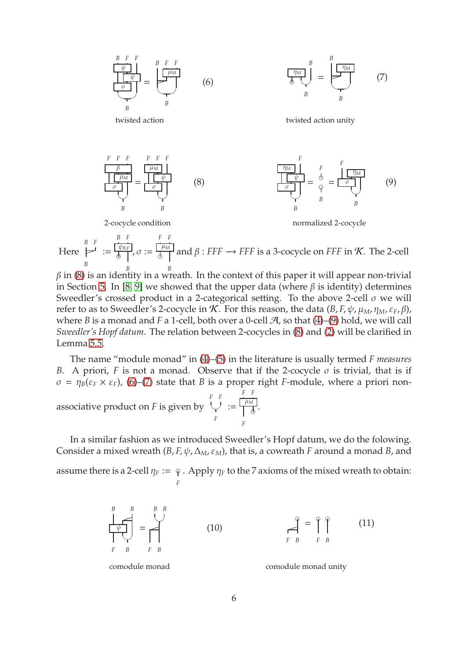<span id="page-5-3"></span><span id="page-5-2"></span><span id="page-5-1"></span>

<span id="page-5-0"></span>Here *B F* ✏ *B* := ψ*B*,*<sup>F</sup>*  $\int\limits_{S}^{\varphi_{B,F}}$ ,  $\sigma :=$ µ*<sup>M</sup>*  $\frac{1}{\beta}$  and  $\beta$  : *FFF*  $\rightarrow$  *FFF* is a 3-cocycle on *FFF* in *K*. The 2-cell

 $β$  in [\(8\)](#page-5-0) is an identity in a wreath. In the context of this paper it will appear non-trivial in Section [5.](#page-18-0) In [\[8,](#page-42-2) [9\]](#page-42-14) we showed that the upper data (where  $β$  is identity) determines Sweedler's crossed product in a 2-categorical setting. To the above 2-cell  $\sigma$  we will refer to as to Sweedler's 2-cocycle in  $K$ . For this reason, the data  $(B, F, \psi, \mu_M, \eta_M, \varepsilon_F, \beta)$ , where *B* is a monad and *F* a 1-cell, both over a 0-cell  $\mathcal{A}$ , so that [\(4\)](#page-4-1)–[\(9\)](#page-5-1) hold, we will call *Sweedler's Hopf datum*. The relation between 2-cocycles in [\(8\)](#page-5-0) and [\(2\)](#page-4-2) will be clarified in Lemma [5.5.](#page-23-0)

The name "module monad" in [\(4\)](#page-4-1)–[\(5\)](#page-4-3) in the literature is usually termed *F measures B*. A priori, *F* is not a monad. Observe that if the 2-cocycle  $\sigma$  is trivial, that is if  $\sigma = \eta_B(\varepsilon_F \times \varepsilon_F)$ , [\(6\)](#page-5-2)–[\(7\)](#page-5-3) state that *B* is a proper right *F*-module, where a priori non-*F F F F*

associative product on *F* is given by  $\small\downarrow$  : *F* := µ*<sup>M</sup>*  $\mathbf{P}$ *F* .

In a similar fashion as we introduced Sweedler's Hopf datum, we do the folowing. Consider a mixed wreath  $(B, F, \psi, \Delta_M, \varepsilon_M)$ , that is, a cowreath *F* around a monad *B*, and

assume there is a 2-cell  $\eta_F := \varphi$  . Apply  $\eta_F$  to the 7 axioms of the mixed wreath to obtain: *F*

<span id="page-5-5"></span><span id="page-5-4"></span>
$$
\begin{array}{c}\n\stackrel{B}{\downarrow} & \stackrel{B}{\downarrow} & \stackrel{B}{\downarrow} \\
\downarrow & \downarrow & \downarrow \\
\downarrow & \stackrel{B}{\downarrow} & \downarrow & \downarrow \\
\downarrow & \stackrel{B}{\downarrow} & \downarrow & \downarrow \\
\downarrow & \stackrel{B}{\downarrow} & \downarrow & \downarrow \\
\downarrow & \stackrel{B}{\downarrow} & \downarrow & \downarrow \\
\downarrow & \stackrel{B}{\downarrow} & \downarrow & \downarrow \\
\downarrow & \stackrel{B}{\downarrow} & \downarrow & \downarrow \\
\downarrow & \stackrel{B}{\downarrow} & \downarrow & \downarrow \\
\downarrow & \stackrel{B}{\downarrow} & \downarrow & \downarrow \\
\downarrow & \stackrel{B}{\downarrow} & \downarrow & \downarrow \\
\downarrow & \stackrel{B}{\downarrow} & \downarrow & \downarrow \\
\downarrow & \stackrel{B}{\downarrow} & \downarrow & \downarrow \\
\downarrow & \stackrel{B}{\downarrow} & \downarrow & \downarrow \\
\downarrow & \stackrel{B}{\downarrow} & \downarrow & \downarrow \\
\downarrow & \stackrel{B}{\downarrow} & \downarrow & \downarrow \\
\downarrow & \stackrel{B}{\downarrow} & \downarrow & \downarrow \\
\downarrow & \stackrel{B}{\downarrow} & \downarrow & \downarrow \\
\downarrow & \stackrel{B}{\downarrow} & \downarrow & \downarrow \\
\downarrow & \stackrel{B}{\downarrow} & \downarrow & \downarrow \\
\downarrow & \stackrel{B}{\downarrow} & \downarrow & \downarrow \\
\downarrow & \stackrel{B}{\downarrow} & \downarrow & \downarrow \\
\downarrow & \stackrel{B}{\downarrow} & \downarrow & \downarrow \\
\downarrow & \stackrel{B}{\downarrow} & \downarrow & \downarrow \\
\downarrow & \stackrel{B}{\downarrow} & \downarrow & \downarrow \\
\downarrow & \stackrel{B}{\downarrow} & \downarrow & \downarrow \\
\downarrow
$$

comodule monad comodule monad unity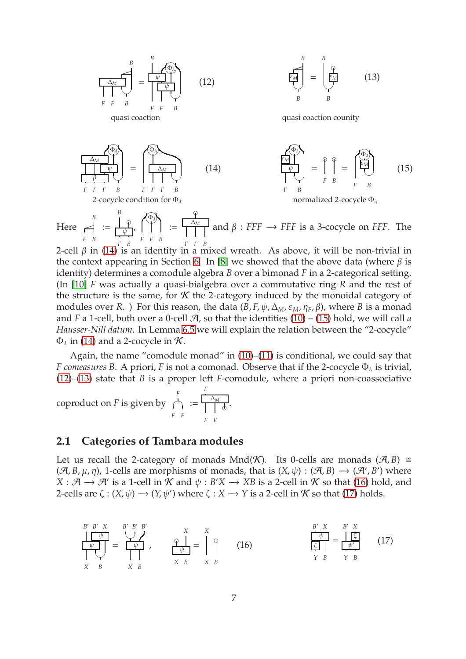<span id="page-6-3"></span><span id="page-6-2"></span>
$$
\frac{\Delta_{M}}{\left|\begin{array}{c}\right|_{F} \neq B \\ F \neq B\end{array}\right|_{F} = \frac{\left|\begin{array}{c}\phi_{1}\phi_{2}\phi_{3}\phi_{4}\phi_{5}\phi_{6}\phi_{7}\phi_{8}\phi_{8}\phi_{9}\phi_{1}^{2}\end{array}\right|_{B} = \frac{\left|\begin{array}{c}\phi_{2}\phi_{3}\phi_{6}\phi_{6}\phi_{7}\phi_{1}^{2}\end{array}\right|_{B} = \frac{\left|\begin{array}{c}\phi_{3}\phi_{2}\phi_{1}^{2}\phi_{1}^{2}\end{array}\right|_{B} = \frac{\left|\begin{array}{c}\phi_{2}\phi_{1}\phi_{1}^{2}\phi_{1}^{2}\end{array}\right|_{B} = \frac{\left|\begin{array}{c}\phi_{3}\phi_{1}\phi_{1}^{2}\phi_{1}^{2}\end{array}\right|_{B} = \frac{\left|\begin{array}{c}\phi_{3}\phi_{1}\phi_{1}^{2}\phi_{1}^{2}\end{array}\right|_{B} = \frac{\left|\begin{array}{c}\phi_{3}\phi_{1}\phi_{1}^{2}\phi_{1}^{2}\end{array}\right|_{B} = \frac{\left|\begin{array}{c}\phi_{3}\phi_{1}\phi_{1}^{2}\phi_{1}^{2}\end{array}\right|_{B} = \frac{\left|\begin{array}{c}\phi_{3}\phi_{1}\phi_{1}^{2}\phi_{1}^{2}\end{array}\right|_{B} = \frac{\left|\begin{array}{c}\phi_{3}\phi_{1}\phi_{1}^{2}\phi_{1}^{2}\end{array}\right|_{B} = \frac{\left|\begin{array}{c}\phi_{3}\phi_{1}\phi_{1}^{2}\phi_{1}^{2}\end{array}\right|_{B} = \frac{\left|\begin{array}{c}\phi_{3}\phi_{1}\phi_{1}^{2}\phi_{1}^{2}\end{array}\right|_{B} = \frac{\left|\begin{array}{c}\phi_{3}\phi_{1}\phi_{1}^{2}\phi_{1}^{2}\end{array}\right|_{B} = \frac{\left|\begin{array}{c}\phi_{3}\phi_{1}\phi_{1}^{2}\phi_{1}^{2}\end{array}\right|_{B} = \frac{\left|\begin{array}{c}\phi_{3}\phi_{1}\phi_{1}^{2}\phi_{1}^{2}\end{array}\right|_{B} = \frac{\left|\begin{array}{c}\phi_{3}\phi_{1}\phi_{1}^{2}\phi_{1}^{2}\end{array}\right|_{B} =
$$

<span id="page-6-1"></span><span id="page-6-0"></span>*F B F F B F F B* 2-cell  $β$  in [\(14\)](#page-6-0) is an identity in a mixed wreath. As above, it will be non-trivial in the context appearing in Section [6.](#page-23-1) In [\[8\]](#page-42-2) we showed that the above data (where  $β$  is identity) determines a comodule algebra *B* over a bimonad *F* in a 2-categorical setting. (In [\[10\]](#page-42-3) *F* was actually a quasi-bialgebra over a commutative ring *R* and the rest of the structure is the same, for  $K$  the 2-category induced by the monoidal category of modules over *R*. ) For this reason, the data  $(B, F, \psi, \Delta_M, \varepsilon_M, \eta_F, \beta)$ , where *B* is a monad and *F* a 1-cell, both over a 0-cell  $\mathcal{A}$ , so that the identities  $(10) - (15)$  $(10) - (15)$  $(10) - (15)$  hold, we will call *a Hausser-Nill datum*. In Lemma [6.5](#page-27-0) we will explain the relation between the "2-cocycle"  $\Phi_{\lambda}$  in [\(14\)](#page-6-0) and a 2-cocycle in K.

Again, the name "comodule monad" in [\(10\)](#page-5-4)–[\(11\)](#page-5-5) is conditional, we could say that *F* comeasures B. A priori, *F* is not a comonad. Observe that if the 2-cocycle  $\Phi_{\lambda}$  is trivial, [\(12\)](#page-6-2)–[\(13\)](#page-6-3) state that *B* is a proper left *F*-comodule, where a priori non-coassociative

coproduct on *F* is given by *F* ☛✟ *F F* := *F* ∆*<sup>M</sup>* ❞ *F F* .

#### **2.1 Categories of Tambara modules**

Let us recall the 2-category of monads Mnd(K). Its 0-cells are monads  $(\mathcal{A}, B) \cong$  $(\mathcal{A}, B, \mu, \eta)$ , 1-cells are morphisms of monads, that is  $(X, \psi) : (\mathcal{A}, B) \to (\mathcal{A}', B')$  where  $X : \mathcal{A} \to \mathcal{A}'$  is a 1-cell in  $\mathcal{K}$  and  $\psi : B'X \to XB$  is a 2-cell in  $\mathcal{K}$  so that [\(16\)](#page-6-4) hold, and 2-cells are  $\zeta : (X, \psi) \longrightarrow (Y, \psi')$  where  $\zeta : X \longrightarrow Y$  is a 2-cell in  $\mathcal K$  so that [\(17\)](#page-6-5) holds.

<span id="page-6-5"></span><span id="page-6-4"></span>
$$
\frac{\begin{array}{c}\nB' & B' & X \\
\hline\n\downarrow & \downarrow \\
\hline\n\downarrow & \downarrow \\
X & B & X & B\n\end{array}\n\quad\n\begin{array}{c}\nX & X \\
\hline\n\downarrow & \downarrow \\
\hline\n\downarrow & \downarrow \\
X & B & X & B\n\end{array}\n\quad\n\begin{array}{c}\nB' & X & B' & X \\
\hline\n\downarrow & \downarrow & \downarrow \\
\hline\n\downarrow & \downarrow & \downarrow \\
X & B & X & B\n\end{array}\n\quad\n\begin{array}{c}\nB' & X & B' & X \\
\hline\n\downarrow & \downarrow & \downarrow \\
\hline\n\downarrow & \downarrow & \downarrow \\
Y & B & Y & B\n\end{array}\n\quad\n\begin{array}{c}\n(B' & X & B' & X \\
\hline\n\downarrow & \downarrow & \downarrow \\
\hline\n\downarrow & \downarrow & \downarrow \\
Y & B & Y & B\n\end{array}\n\quad\n\tag{17}
$$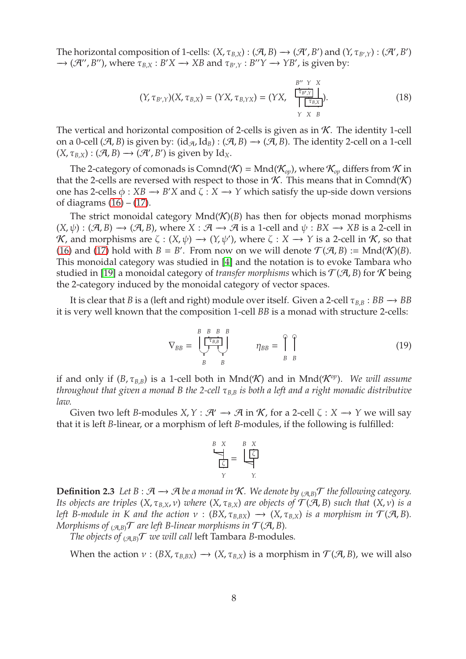The horizontal composition of 1-cells:  $(X, \tau_{B,X}) : (\mathcal{A}, B) \to (\mathcal{A}', B')$  and  $(Y, \tau_{B',Y}) : (\mathcal{A}', B')$  $\rightarrow$  (*A''*, *B''*), where  $\tau_{B,X}: B'X \rightarrow XB$  and  $\tau_{B',Y}: B''Y \rightarrow YB'$ , is given by:

<span id="page-7-0"></span>
$$
(Y, \tau_{B',Y})(X, \tau_{B,X}) = (YX, \tau_{B,YX}) = (YX, \begin{array}{c} B'' & Y & X \\ \hline \tau_{B',Y} & \tau \\ \hline \tau_{B,X} \\ Y & X & B \end{array}). \tag{18}
$$

The vertical and horizontal composition of 2-cells is given as in  $K$ . The identity 1-cell on a 0-cell ( $\mathcal{A}, B$ ) is given by: (id $_{\mathcal{A}}$ , Id<sub>*B*</sub>) : ( $\mathcal{A}, B$ )  $\rightarrow$  ( $\mathcal{A}, B$ ). The identity 2-cell on a 1-cell  $(X, \tau_{B,X}) : (\mathcal{A}, B) \longrightarrow (\mathcal{A}', B')$  is given by Id<sub>X</sub>.

The 2-category of comonads is Comnd( $K$ ) = Mnd( $K_{op}$ ), where  $K_{op}$  differs from  $K$  in that the 2-cells are reversed with respect to those in  $K$ . This means that in Comnd(K) one has 2-cells  $\phi : XB \rightarrow B'X$  and  $\zeta : X \rightarrow Y$  which satisfy the up-side down versions of diagrams  $(16) - (17)$  $(16) - (17)$ .

The strict monoidal category  $Mnd(\mathcal{K})(B)$  has then for objects monad morphisms  $(X, \psi) : (\mathcal{A}, B) \longrightarrow (\mathcal{A}, B)$ , where  $X : \mathcal{A} \longrightarrow \mathcal{A}$  is a 1-cell and  $\psi : BX \longrightarrow XB$  is a 2-cell in K, and morphisms are  $\zeta : (X, \psi) \to (Y, \psi')$ , where  $\zeta : X \to Y$  is a 2-cell in K, so that [\(16\)](#page-6-4) and [\(17\)](#page-6-5) hold with  $B = B'$ . From now on we will denote  $\mathcal{T}(\mathcal{A}, B) := \text{Mnd}(\mathcal{K})(B)$ . This monoidal category was studied in [\[4\]](#page-41-4) and the notation is to evoke Tambara who studied in [\[19\]](#page-42-15) a monoidal category of *transfer morphisms* which is  $\mathcal{T}(A, B)$  for K being the 2-category induced by the monoidal category of vector spaces.

It is clear that *B* is a (left and right) module over itself. Given a 2-cell  $\tau_{B,B} : BB \rightarrow BB$ it is very well known that the composition 1-cell *BB* is a monad with structure 2-cells:

<span id="page-7-1"></span>
$$
\nabla_{BB} = \bigcup_{B}^{B} \bigcup_{B}^{B} \bigcup_{B}^{B} \eta_{BB} = \bigcap_{B}^{\varphi} \bigcap_{B}^{\varphi}
$$
 (19)

if and only if  $(B, \tau_{B,B})$  is a 1-cell both in Mnd(K) and in Mnd( $\mathcal{K}^{op}$ ). *We will assume throughout that given a monad B the 2-cell* τ*<sup>B</sup>*,*<sup>B</sup> is both a left and a right monadic distributive law.*

Given two left *B*-modules  $X, Y : \mathcal{H}' \to \mathcal{A}$  in  $\mathcal{K}$ , for a 2-cell  $\zeta : X \to Y$  we will say that it is left *B*-linear, or a morphism of left *B*-modules, if the following is fulfilled:

$$
\frac{B \times X}{\boxed{\zeta}} = \boxed{\frac{\zeta}{\zeta}}
$$

**Definition 2.3** *Let B* :  $\mathcal{A}$  →  $\mathcal{A}$  *be a monad in*  $\mathcal{K}$ *. We denote by*  $_{(\mathcal{A},B)}\mathcal{T}$  *the following category. Its objects are triples*  $(X, \tau_{B,X}, \nu)$  *where*  $(X, \tau_{B,X})$  *are objects of*  $\mathcal{T}(\mathcal{A}, B)$  *such that*  $(X, \nu)$  *is a left B-module in K and the action*  $v : (BX, \tau_{B,BX}) \rightarrow (X, \tau_{B,X})$  *is a morphism in*  $\mathcal{T}(A, B)$ *. Morphisms of*  $_{(\mathcal{A},\mathcal{B})}\mathcal{T}$  *are left B-linear morphisms in*  $\mathcal{T}(\mathcal{A},\mathcal{B})$ *.* 

*The objects of*  $_{(AB)}T$  *we will call left Tambara B-modules.* 

When the action  $v : (BX, \tau_{B,BX}) \to (X, \tau_{B,X})$  is a morphism in  $\mathcal{T}(A, B)$ , we will also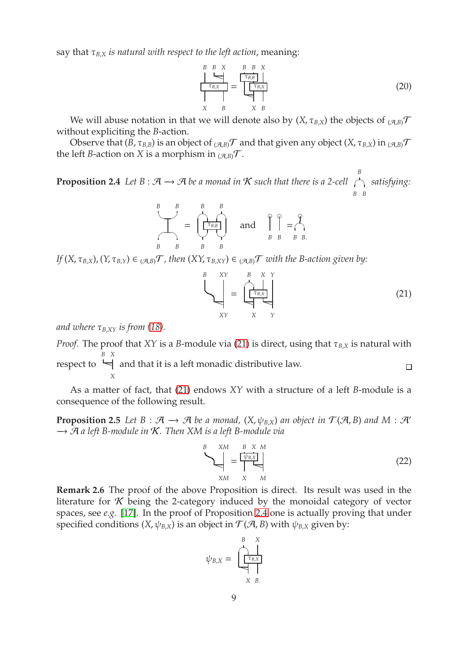say that  $\tau_{B,X}$  *is natural with respect to the left action*, meaning:

*B B X* P τ*B*,*<sup>X</sup> X B* = *B B X* τ*B*,*<sup>B</sup>* τ*B*,*<sup>X</sup>* P *X B* (20)

We will abuse notation in that we will denote also by  $(X, \tau_{B,X})$  the objects of  $(A,B)$ without expliciting the *B*-action.

<span id="page-8-1"></span>Observe that  $(B, \tau_{B,B})$  is an object of  $(A, B)$ <sup>T</sup> and that given any object  $(X, \tau_{B,X})$  in  $(A, B)$ <sup>T</sup> the left *B*-action on *X* is a morphism in  $_{(\mathcal{A},B)}\mathcal{T}$ .

**Proposition 2.4** *Let*  $B : \mathcal{A} \rightarrow \mathcal{A}$  *be a monad in*  $K$  *such that there is a 2-cell* <sup>B</sup> satisfying: *B B*

$$
\begin{array}{ccc}\nB & B & B & B \\
\hline\n\end{array}\n=\n\begin{array}{ccc}\nB & B & B \\
\hline\n\end{array}\n\begin{array}{ccc}\n\end{array}\n\end{array}\n\quad \text{and} \quad\n\begin{array}{ccc}\n\varphi & \varphi \\
B & B & B\n\end{array}\n=\n\begin{array}{ccc}\n\varphi \\
\hline\n\end{array}
$$

*If*  $(X, \tau_{B,X})$ ,  $(Y, \tau_{B,Y}) \in (A,B)$ , *T , then*  $(XY, \tau_{B,XY}) \in (A,B)$ , *T with the B-action given by:* 

<span id="page-8-0"></span>
$$
\begin{bmatrix}\nB & XY \\
\downarrow & \downarrow \\
XY & X & Y\n\end{bmatrix} = \begin{bmatrix}\nB & X & Y \\
\downarrow & \downarrow \\
\downarrow & \downarrow \\
XY & Y\n\end{bmatrix} \tag{21}
$$

*and where*  $\tau_{B,XY}$  *is from* [\(18\)](#page-7-0)*.* 

*X*

*Proof.* The proof that *XY* is a *B*-module via [\(21\)](#page-8-0) is direct, using that  $\tau_{B,X}$  is natural with *B X*  $\leftarrow$  and that it is a left monadic distributive law. respect to  $\Box$ 

<span id="page-8-3"></span>As a matter of fact, that [\(21\)](#page-8-0) endows *XY* with a structure of a left *B*-module is a consequence of the following result.

**Proposition 2.5** Let  $B : \mathcal{A} \to \mathcal{A}$  be a monad,  $(X, \psi_{B,X})$  an object in  $\mathcal{T}(\mathcal{A}, B)$  and  $M : \mathcal{A}'$ −→ A *a left B-module in* K*. Then XM is a left B-module via*

<span id="page-8-2"></span>
$$
\sum_{\substack{XM \ XM}}^{B} = \frac{\frac{B \ X \ M}{\psi_{B,X}}}{\prod_{X \ M}^{B \ X \ M}} \tag{22}
$$

<span id="page-8-4"></span>**Remark 2.6** The proof of the above Proposition is direct. Its result was used in the literature for  $K$  being the 2-category induced by the monoidal category of vector spaces, see *e.g.* [\[17\]](#page-42-0). In the proof of Proposition [2.4](#page-8-1) one is actually proving that under specified conditions (*X*,  $\psi_{B,X}$ ) is an object in  $\mathcal{T}(\mathcal{A}, B)$  with  $\psi_{B,X}$  given by:

$$
\psi_{B,X} = \begin{bmatrix} & B & X \\ & & \downarrow \\ & & \uparrow \\ & & \uparrow \\ & & X & B. \end{bmatrix}
$$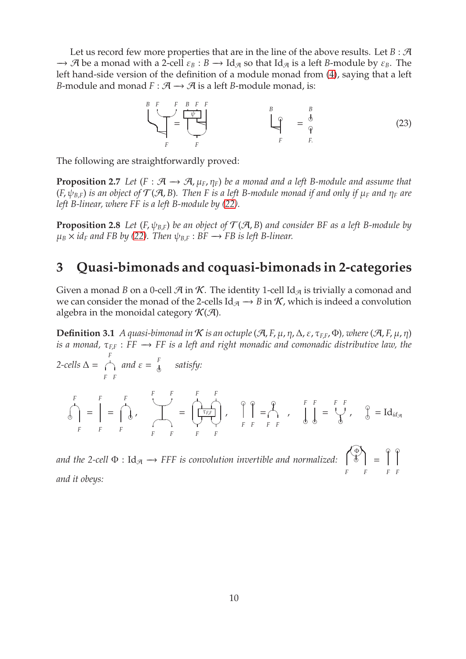Let us record few more properties that are in the line of the above results. Let  $B : \mathcal{A}$  $\rightarrow$  A be a monad with a 2-cell  $\varepsilon_B : B \rightarrow \text{Id}_{\mathcal{A}}$  so that Id<sub>A</sub> is a left *B*-module by  $\varepsilon_B$ . The left hand-side version of the definition of a module monad from [\(4\)](#page-4-1), saying that a left *B*-module and monad  $F : \mathcal{A} \rightarrow \mathcal{A}$  is a left *B*-module monad, is:

*B F F* ✍ ✌ P *F* = *B F F* ψ P ✍ ✌ *F B* ❞ P *F* = *B* ❞ ❞ *F*. (23)

The following are straightforwardly proved:

**Proposition 2.7** Let  $(F : \mathcal{A} \rightarrow \mathcal{A}, \mu_F, \eta_F)$  be a monad and a left B-module and assume that  $(F, \psi_{B,F})$  *is an object of*  $\mathcal{T}(\mathcal{A}, B)$ *. Then F is a left B-module monad if and only if*  $\mu_F$  *and*  $\eta_F$  *are left B-linear, where FF is a left B-module by [\(22\)](#page-8-2).*

**Proposition 2.8** *Let* (*F*,  $\psi_{B,F}$ ) *be an object of*  $\mathcal{T}(\mathcal{A}, B)$  *and consider BF as a left B-module by*  $\mu_B \times id_F$  and FB by [\(22\)](#page-8-2). Then  $\psi_{B,F} : BF \rightarrow FB$  is left B-linear.

# **3 Quasi-bimonads and coquasi-bimonads in 2-categories**

Given a monad *B* on a 0-cell  $\mathcal{A}$  in  $\mathcal{K}$ . The identity 1-cell Id<sub> $\mathcal{A}$ </sub> is trivially a comonad and we can consider the monad of the 2-cells  $\text{Id}_{\mathcal{A}} \to B$  in  $\mathcal{K}$ , which is indeed a convolution algebra in the monoidal category  $\mathcal{K}(\mathcal{A})$ .

**Definition 3.1** *A quasi-bimonad in K is an octuple* ( $\mathcal{A}$ , *F*,  $\mu$ ,  $\eta$ ,  $\Delta$ ,  $\varepsilon$ ,  $\tau_{EF}$ ,  $\Phi$ ), where ( $\mathcal{A}$ ,  $F$ ,  $\mu$ ,  $\eta$ ) *is a monad,* τ<sub>*F<sub><i>F</sub>* : *FF* → *FF is a left and right monadic and comonadic distributive law, the*</sub></sub>

$$
2-cells \Delta = \bigwedge_{F} \text{ and } \varepsilon = \frac{F}{\delta} \quad \text{satisfy:}
$$
\n
$$
\bigwedge_{F}^{F} = \bigg[ = \bigwedge_{F}^{F} \bigwedge_{F}^{F} = \bigwedge_{F}^{F} \bigwedge_{F}^{F} = \bigwedge_{F}^{F} \bigwedge_{F}^{F} \bigwedge_{F}^{F} = \bigwedge_{F}^{F} \bigwedge_{F}^{F} = \bigwedge_{F}^{F} \bigwedge_{F}^{F} \bigwedge_{F}^{F} = \bigwedge_{F}^{F} \bigwedge_{F}^{F} \bigwedge_{F}^{F} = \bigwedge_{F}^{F} \bigwedge_{F}^{F} \bigwedge_{F}^{F} = \bigwedge_{F}^{F} \bigwedge_{F}^{F} \bigwedge_{F}^{F} = \bigwedge_{F}^{F} \bigwedge_{F}^{F} \bigwedge_{F}^{F} = \bigwedge_{F}^{F} \bigwedge_{F}^{F} \bigwedge_{F}^{F} = \bigwedge_{F}^{F} \bigwedge_{F}^{F} \bigwedge_{F}^{F} = \bigwedge_{F}^{F} \bigwedge_{F}^{F} \bigwedge_{F}^{F} = \bigwedge_{F}^{F} \bigwedge_{F}^{F} \bigwedge_{F}^{F} = \bigwedge_{F}^{F} \bigwedge_{F}^{F} \bigwedge_{F}^{F} = \bigwedge_{F}^{F} \bigwedge_{F}^{F} \bigwedge_{F}^{F} = \bigwedge_{F}^{F} \bigwedge_{F}^{F} \bigwedge_{F}^{F} = \bigwedge_{F}^{F} \bigwedge_{F}^{F} \bigwedge_{F}^{F} = \bigwedge_{F}^{F} \bigwedge_{F}^{F} \bigwedge_{F}^{F} = \bigwedge_{F}^{F} \bigwedge_{F}^{F} \bigwedge_{F}^{F} = \bigwedge_{F}^{F} \bigwedge_{F}^{F} \bigwedge_{F}^{F} = \bigwedge_{F}^{F} \bigwedge_{F}^{F} \bigwedge_{F}^{F} = \bigwedge_{F}^{F} \bigwedge_{F}^{F} \bigwedge_{F}^{F} = \bigwedge_{F}^{F} \bigwedge_{F}^{F} \bigwedge_{F}^{F} = \bigwedge_{F}^{F} \big
$$

and the 2-cell  $\Phi:\mathrm{Id}_{\mathcal{A}}\longrightarrow$  *FFF is convolution invertible and normalized:* Φλ  $5 =$ *F F*  $\circ$ *F F and it obeys:*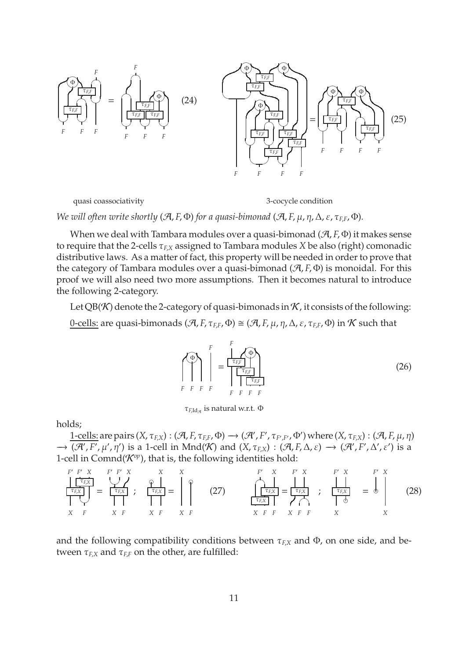<span id="page-10-3"></span>

quasi coassociativity 3-cocycle condition

<span id="page-10-4"></span>

*We will often write shortly* ( $\mathcal{A}, F, \Phi$ ) *for a quasi-bimonad* ( $\mathcal{A}, F, \mu, \eta, \Delta, \varepsilon, \tau_{FE}, \Phi$ ).

When we deal with Tambara modules over a quasi-bimonad (A, *F*, Φ) it makes sense to require that the 2-cells τ*<sup>F</sup>*,*<sup>X</sup>* assigned to Tambara modules *X* be also (right) comonadic distributive laws. As a matter of fact, this property will be needed in order to prove that the category of Tambara modules over a quasi-bimonad (A, *F*, Φ) is monoidal. For this proof we will also need two more assumptions. Then it becomes natural to introduce the following 2-category.

Let QB(K) denote the 2-category of quasi-bimonads in  $K$ , it consists of the following: 0-cells: are quasi-bimonads  $(\mathcal{A}, F, \tau_{FE}, \Phi) \cong (\mathcal{A}, F, \mu, \eta, \Delta, \varepsilon, \tau_{EF}, \Phi)$  in  $\mathcal{K}$  such that

<span id="page-10-2"></span>
$$
\left(\bigoplus_{F}^{F}\right)\left(\bigoplus_{F}^{F}=\underbrace{\frac{1}{\left(\frac{\tau_{EF}}{\left(\frac{\tau_{EF}}{\left(\frac{\tau_{EF}}{\left(\frac{\tau_{EF}}{\left(\frac{\tau_{EF}}{\left(\frac{\tau_{EF}}{\left(\frac{\tau_{EF}}{\left(\frac{\tau_{EF}}{\left(\frac{\tau_{EF}}{\left(\frac{\tau_{EF}}{\left(\frac{\tau_{EF}}{\left(\frac{\tau_{EF}}{\left(\frac{\tau_{EF}}{\left(\frac{\tau_{EF}}{\left(\frac{\tau_{EF}}{\left(\frac{\tau_{EF}}{\left(\frac{\tau_{EF}}{\left(\frac{\tau_{EF}}{\left(\frac{\tau_{EF}}{\left(\frac{\tau_{EF}}{\left(\frac{\tau_{EF}}{\left(\frac{\tau_{EF}}{\left(\frac{\tau_{EF}}{\left(\frac{\tau_{EF}}{\left(\frac{\tau_{EF}}{\left(\frac{\tau_{EF}}{\left(\frac{\tau_{EF}}{\left(\frac{\tau_{EF}}{\left(\frac{\tau_{EF}}{\left(\frac{\tau_{EF}}{\left(\frac{\tau_{EF}}{\left(\frac{\tau_{EF}}{\left(\frac{\tau_{EF}}{\left(\frac{\tau_{EF}}{\left(\frac{\tau_{EF}}{\left(\frac{\tau_{EF}}{\left(\frac{\tau_{EF}}{\left(\frac{\tau_{EF}}{\left(\frac{\tau_{EF}}{\left(\frac{\tau_{EF}}{\left(\frac{\tau_{EF}}{\left(\frac{\tau_{EF}}{\left(\frac{\tau_{EF}}{\left(\frac{\tau_{EF}}{\left(\frac{\tau_{EF}}{\left(\frac{\tau_{EF}}{\left(\frac{\tau_{EF}}{\left(\frac{\tau_{EF}}{\left(\frac{\tau_{EF}}{\left(\frac{\tau_{EF}}{\left(\frac{\tau_{EF}}{\left(\frac{\tau_{EF}}{\left(\frac{\tau_{EF}}{\left(\frac{\tau_{EF}}{\left(\frac{\tau_{EF}}{\left(\frac{\tau_{EF}}{\left(\frac{\tau_{EF}}{\left(\frac{\tau_{EF}}{\left(\frac{\tau_{EF}}{\left(\frac{\tau_{EF}}{\left(\frac{\tau_{EF}}{\left(\frac{\tau_{EF}}{\left(\frac{\tau_{EF}}{\left(\frac{\tau_{EF}}{\left(\frac{\tau_{EF}}{\left(\frac{\tau_{EF}}{\left(\frac{\tau_{EF}}{\left(\frac{\tau_{EF}}{\left(\frac{\tau_{EF}}{\left(\frac{\tau_{EF}}{\left(\frac{\tau_{EF}}{\left(\frac{\tau_{EF}}{\left(\frac{\tau_{EF}}{\left(\frac{\tau_{EF}}{\left(\frac{\tau_{EF}}{\left(\frac{\tau_{EF}}{\left(\frac{\tau_{EF}}{\left(\frac{\tau_{EF}}{\left(\frac{\tau_{EF}}{\left(\frac{\tau_{EF}}{\left(\frac{\tau_{
$$

<span id="page-10-1"></span><mark>τ<sub>F,Id,q</sub> is natural w.r.t. Φ</mark>

holds;

 $1$ -cells: are pairs  $(X, \tau_{F,X}) : (\mathcal{A}, F, \tau_{F,F}, \Phi) \to (\mathcal{A}', F', \tau_{F',F'}, \Phi')$  where  $(X, \tau_{F,X}) : (\mathcal{A}, F, \mu, \eta)$  $\rightarrow$   $(\mathcal{A}', F', \mu', \eta')$  is a 1-cell in Mnd $(\mathcal{K})$  and  $(X, \tau_{F,X}) : (\mathcal{A}, F, \Delta, \varepsilon) \rightarrow (\mathcal{A}', F', \Delta', \varepsilon')$  is a 1-cell in Comnd $(\mathcal{K}^{op})$ , that is, the following identities hold:

<span id="page-10-0"></span>
$$
\frac{\left|\begin{array}{cc}\n\tau_{FX} \\
\tau_{FX} \\
\tau_{FX}\n\end{array}\right|}{X F} = \frac{\left|\begin{array}{cc}\n\tau_{FX} \\
\tau_{FX} \\
\tau_{FX}\n\end{array}\right|}{X F}, \quad\n\frac{\varphi}{\tau_{FX}} = \begin{array}{cc}\n\varphi \\
\tau_{FX} \\
\tau_{FX} \\
\tau_{FX} \\
\tau_{FX} \\
\tau_{FX} \\
\tau_{FX} \\
\tau_{FX} \\
\tau_{FX} \\
\tau_{FX} \\
\tau_{FX} \\
\tau_{FX} \\
\tau_{FX} \\
\tau_{FX} \\
\tau_{FX} \\
\tau_{FX} \\
\tau_{FX} \\
\tau_{FX} \\
\tau_{FX} \\
\tau_{FX} \\
\tau_{FX} \\
\tau_{FX} \\
\tau_{FX} \\
\tau_{FX} \\
\tau_{FX} \\
\tau_{FX} \\
\tau_{FX} \\
\tau_{FX} \\
\tau_{FX} \\
\tau_{FX} \\
\tau_{FX} \\
\tau_{FX} \\
\tau_{FX} \\
\tau_{FX} \\
\tau_{FX} \\
\tau_{FX} \\
\tau_{FX} \\
\tau_{FX} \\
\tau_{FX} \\
\tau_{FX} \\
\tau_{FX} \\
\tau_{FX} \\
\tau_{FX} \\
\tau_{FX} \\
\tau_{FX} \\
\tau_{FX} \\
\tau_{FX} \\
\tau_{FX} \\
\tau_{FX} \\
\tau_{FX} \\
\tau_{FX} \\
\tau_{FX} \\
\tau_{FX} \\
\tau_{FX} \\
\tau_{FX} \\
\tau_{FX} \\
\tau_{FX} \\
\tau_{FX} \\
\tau_{FX} \\
\tau_{FX} \\
\tau_{FX} \\
\tau_{FX} \\
\tau_{FX} \\
\tau_{FX} \\
\tau_{FX} \\
\tau_{FX} \\
\tau_{FX} \\
\tau_{FX} \\
\tau_{FX} \\
\tau_{FX} \\
\tau_{FX} \\
\tau_{FX} \\
\tau_{FX} \\
\tau_{FX} \\
\tau_{FX} \\
\tau_{FX} \\
\tau_{FX} \\
\tau_{FX} \\
\tau_{FX} \\
\tau_{FX} \\
\tau_{FX} \\
\tau_{FX} \\
\tau_{FX} \\
\tau_{FX} \\
\tau_{FX} \\
\tau_{FX} \\
\tau_{FX} \\
\tau_{FX} \\
\tau_{FX} \\
\tau_{FX} \\
\tau_{FX} \\
\tau_{FX} \\
\tau_{FX} \\
\tau_{FX} \\
\tau_{FX} \\
\tau_{FX} \\
\tau_{FX} \\
\tau_{FX} \\
\tau_{FX} \\
\tau_{FX} \\
\tau_{FX} \\
\tau_{FX} \\
\tau_{FX} \\
\tau_{FX} \\
\tau_{FX} \\
\tau_{FX} \\
\tau_{FX} \\
\tau_{FX} \\
\tau_{FX} \\
\tau
$$

and the following compatibility conditions between  $\tau_{F,X}$  and  $\Phi$ , on one side, and between  $\tau_{FX}$  and  $\tau_{FF}$  on the other, are fulfilled: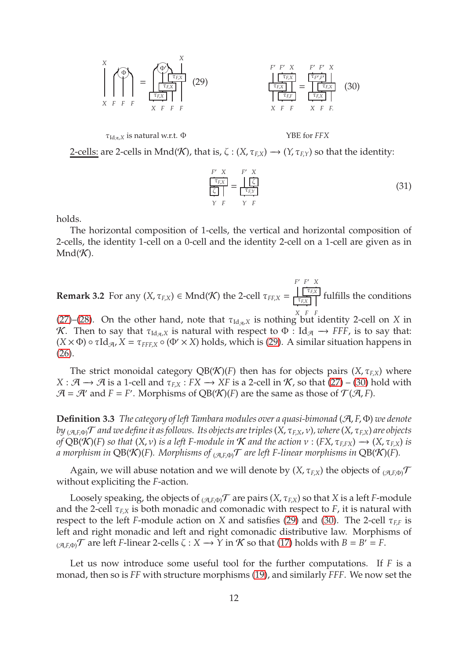<span id="page-11-0"></span>

τIdA,*<sup>X</sup>* is natural w.r.t. Φ YBE for *FFX*

<span id="page-11-1"></span>

2-cells: are 2-cells in Mnd(K), that is,  $\zeta$  :  $(X, \tau_{F,X}) \rightarrow (Y, \tau_{F,Y})$  so that the identity:

<span id="page-11-2"></span>
$$
\frac{\frac{F'}{[\zeta_K]}}{\frac{G}{[\zeta]}} = \frac{\frac{F'}{[\zeta]}}{\frac{\tau_{EY}}{\tau_{EY}}}
$$
(31)

holds.

The horizontal composition of 1-cells, the vertical and horizontal composition of 2-cells, the identity 1-cell on a 0-cell and the identity 2-cell on a 1-cell are given as in  $Mnd(K)$ .

**Remark 3.2** For any  $(X, \tau_{F,X}) \in \text{Mnd}(\mathcal{K})$  the 2-cell  $\tau_{FF,X} =$ *F* ′ *F* ′ *X* τ*F*,*<sup>X</sup>*  $\frac{1}{\tau_{F,X}}$  fulfills the conditions

[\(27\)](#page-10-0)–[\(28\)](#page-10-1). On the other hand, note that  $\tau_{Id_{\mathcal{A}},X}$  is nothing but identity 2-cell on *X* in K. Then to say that  $\tau_{Id_{\mathcal{A}},X}$  is natural with respect to  $\Phi$  : Id<sub> $\mathcal{A}$ </sub>  $\rightarrow$  *FFF*, is to say that:  $(X \times \Phi) \circ \tau \mathrm{Id}_{\mathcal{A}}$ ,  $X = \tau_{FFF,X} \circ (\Phi' \times X)$  holds, which is [\(29\)](#page-11-0). A similar situation happens in [\(26\)](#page-10-2).

The strict monoidal category  $QB(K)(F)$  then has for objects pairs  $(X, \tau_{FX})$  where  $X : \mathcal{A} \to \mathcal{A}$  is a 1-cell and  $\tau_{EX} : FX \to XF$  is a 2-cell in  $K$ , so that [\(27\)](#page-10-0) – [\(30\)](#page-11-1) hold with  $\mathcal{A} = \mathcal{A}'$  and  $F = F'$ . Morphisms of QB(K)(F) are the same as those of  $\mathcal{T}(\mathcal{A}, F)$ .

<span id="page-11-3"></span>**Definition 3.3** *The category of left Tambara modules over a quasi-bimonad* (A, *F*, Φ) *we denote by* (A,*F*,Φ)T *and we define it as follows. Its objects are triples*(*X*, τ*<sup>F</sup>*,*<sup>X</sup>*, ν)*, where*(*X*, τ*<sup>F</sup>*,*<sup>X</sup>*) *are objects of*  $QB(K)(F)$  *so that*  $(X, v)$  *is a left F-module in*  $K$  *and the action*  $v : (FX, \tau_{EFX}) \rightarrow (X, \tau_{EX})$  *is a* morphism in QB(K)(*F*)*.* Morphisms of <sub>(A,*F*, $\Phi$ ) $\mathcal{T}$  are left *F*-linear morphisms in QB(K)(*F*)*.*</sub>

Again, we will abuse notation and we will denote by  $(X, \tau_{EX})$  the objects of  $(\mathcal{A} \cup \mathcal{A})$ without expliciting the *F*-action.

Loosely speaking, the objects of  $_{(\mathcal{A},F,\Phi)}\mathcal{T}$  are pairs  $(X,\tau_{F,X})$  so that *X* is a left *F*-module and the 2-cell  $\tau_{F,X}$  is both monadic and comonadic with respect to *F*, it is natural with respect to the left *F*-module action on *X* and satisfies [\(29\)](#page-11-0) and [\(30\)](#page-11-1). The 2-cell  $\tau_{FF}$  is left and right monadic and left and right comonadic distributive law. Morphisms of  $(\mathcal{A}, \mathcal{F}, \Phi)$ <sup>T</sup> are left *F*-linear 2-cells  $\zeta : X \to Y$  in  $\mathcal K$  so that [\(17\)](#page-6-5) holds with  $B = B' = F$ .

Let us now introduce some useful tool for the further computations. If *F* is a monad, then so is *FF* with structure morphisms [\(19\)](#page-7-1), and similarly *FFF*. We now set the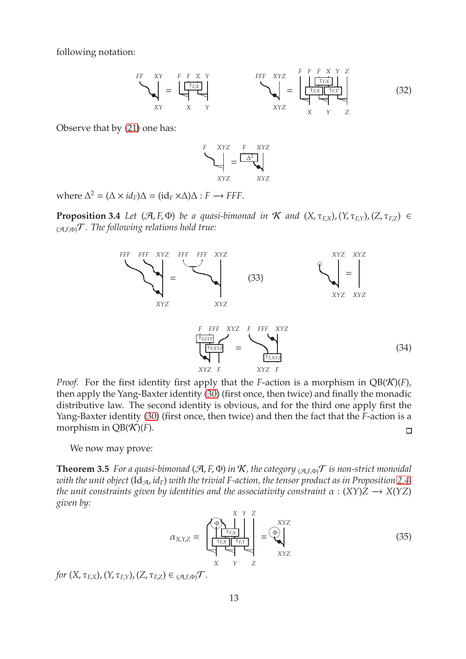following notation:

$$
\sum_{XY}^{FF} \frac{XY}{X} = \underbrace{\begin{bmatrix} F & F & X & Y \\ \hline \tau_{F,X} \\ \hline \tau_{F,X} \end{bmatrix}}_{XY} \times \begin{bmatrix} FFF & XYZ \\ YYZ \\ XYZ \end{bmatrix} = \underbrace{\begin{bmatrix} F & F & X & Y & Z \\ \hline \tau_{F,X} \\ \hline \tau_{F,X} \end{bmatrix}}_{X & Y & Z}
$$
(32)

Observe that by [\(21\)](#page-8-0) one has:

$$
F = \frac{XYZ}{\sqrt{2\pi}} = \frac{F - XYZ}{\sqrt{2\pi}} = \frac{XYZ}{XYZ}
$$

<span id="page-12-3"></span>where  $\Delta^2 = (\Delta \times id_F) \Delta = (id_F \times \Delta) \Delta : F \longrightarrow FFF.$ 

**Proposition 3.4** *Let*  $(\mathcal{A}, F, \Phi)$  *be a quasi-bimonad in*  $\mathcal{K}$  *and*  $(X, \tau_{F,X})$ ,  $(Y, \tau_{F,Y})$ ,  $(Z, \tau_{F,Z}) \in$  $_{(\mathcal{A},E,\Phi)}\mathcal{T}$ *. The following relations hold true:* 

<span id="page-12-2"></span><span id="page-12-1"></span>

*Proof.* For the first identity first apply that the *F*-action is a morphism in  $QB(K)(F)$ , then apply the Yang-Baxter identity [\(30\)](#page-11-1) (first once, then twice) and finally the monadic distributive law. The second identity is obvious, and for the third one apply first the Yang-Baxter identity [\(30\)](#page-11-1) (first once, then twice) and then the fact that the *F*-action is a morphism in  $QB(K)(F)$ .  $\Box$ 

<span id="page-12-0"></span>We now may prove:

**Theorem 3.5** *For a quasi-bimonad* ( $\mathcal{A}, F, \Phi$ ) *in*  $\mathcal{K}$ *, the category*  $_{(\mathcal{A}, F, \Phi)}$  *f is non-strict monoidal with the unit object* ( $\text{Id}_{\mathcal{A}}$ *, id<sub>F</sub>*) *with the trivial F-action, the tensor product as in Proposition [2.4,](#page-8-1) the unit constraints given by identities and the associativity constraint*  $\alpha$  :  $(XY)Z \rightarrow X(YZ)$ *given by:*

<span id="page-12-4"></span>
$$
\alpha_{X,Y,Z} = \begin{bmatrix} \begin{matrix} \begin{matrix} X & Y & Z \\ \begin{matrix} T_{F,X} \\ T_{F,X} \end{matrix} \end{matrix} \\ \begin{matrix} T_{F,X} \\ T_{F,X} \end{matrix} \\ \begin{matrix} X & Y \\ Y & Z \end{matrix} \end{bmatrix} & = \begin{matrix} XYZ \\ \begin{matrix} \begin{matrix} \Phi \\ \mathbf{Y} \end{matrix} \\ XYZ \end{matrix} \end{bmatrix} \end{bmatrix} \tag{35}
$$

*for*  $(X, \tau_{FX})$ ,  $(Y, \tau_{FX})$ ,  $(Z, \tau_{FZ}) \in (A, F, \Phi)$ .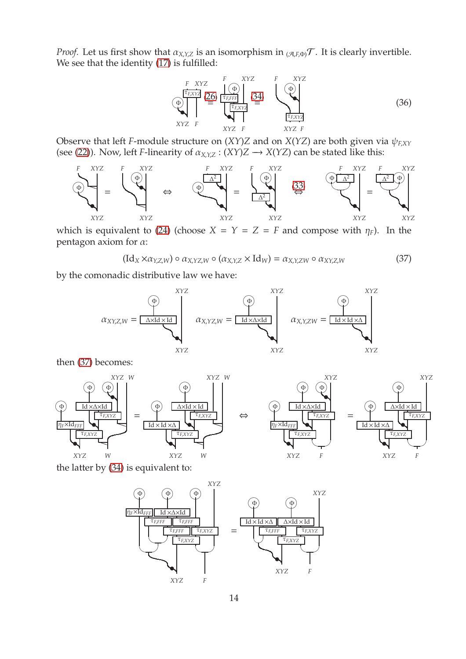*Proof.* Let us first show that  $\alpha_{X,Y,Z}$  is an isomorphism in  $_{(\mathcal{A},F,\Phi)}\mathcal{T}$ . It is clearly invertible. We see that the identity [\(17\)](#page-6-5) is fulfilled:

<span id="page-13-1"></span>

Observe that left *F*-module structure on  $(XY)Z$  and on  $X(YZ)$  are both given via  $\psi_{EXT}$ (see [\(22\)](#page-8-2)). Now, left *F*-linearity of  $\alpha_{X,YZ} : (XY)Z \rightarrow X(YZ)$  can be stated like this:



which is equivalent to [\(24\)](#page-10-3) (choose  $X = Y = Z = F$  and compose with  $\eta_F$ ). In the pentagon axiom for  $\alpha$ :

<span id="page-13-0"></span>
$$
(\mathrm{Id}_X \times \alpha_{Y,Z,W}) \circ \alpha_{X,YZ,W} \circ (\alpha_{X,Y,Z} \times \mathrm{Id}_W) = \alpha_{X,Y,ZW} \circ \alpha_{XY,Z,W}
$$
(37)

by the comonadic distributive law we have:



then [\(37\)](#page-13-0) becomes:



the latter by [\(34\)](#page-12-1) is equivalent to:

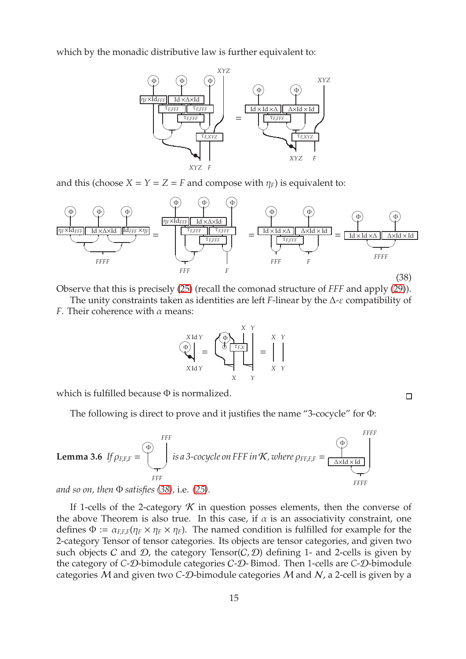which by the monadic distributive law is further equivalent to:



and this (choose  $X = Y = Z = F$  and compose with  $\eta_F$ ) is equivalent to:

<span id="page-14-0"></span>

Observe that this is precisely [\(25\)](#page-10-4) (recall the comonad structure of *FFF* and apply [\(29\)](#page-11-0)).

The unity constraints taken as identities are left *F*-linear by the  $\Delta$ -*ε* compatibility of *F*. Their coherence with  $\alpha$  means:

$$
\begin{pmatrix}\nX \text{Id} \, Y \\
\textcircled{y} \\
X \text{Id} \, Y\n\end{pmatrix} = \n\begin{pmatrix}\n\textcircled{y} \\
\textcircled{y} \\
\textcircled{y} \\
\textcircled{y} \\
X\n\end{pmatrix} = \n\begin{pmatrix}\nX & Y \\
\textcircled{y} \\
\textcircled{y} \\
X\n\end{pmatrix} = \n\begin{pmatrix}\nX & Y \\
\textcircled{y} \\
\textcircled{y} \\
X\n\end{pmatrix}
$$

 $\Box$ 

which is fulfilled because Φ is normalized.

The following is direct to prove and it justifies the name "3-cocycle" for Φ:

**Lemma 3.6** If 
$$
\rho_{F,F,F} = \begin{pmatrix} \Phi \\ \Phi \\ \vdots \\ \Phi \end{pmatrix}
$$
 is a 3-cocycle on FFF in *K*, where  $\rho_{F,F,F} = \begin{pmatrix} \Phi \\ \hline \Delta \times \text{Id} \times \text{Id} \\ \hline \Delta \times \text{Id} \times \text{Id} \\ \vdots \\ \Phi \end{pmatrix}$ 

*and so on, then* Φ *satisfies [\(38\)](#page-14-0),* i.e. *[\(25\)](#page-10-4).*

If 1-cells of the 2-category  $K$  in question posses elements, then the converse of the above Theorem is also true. In this case, if  $\alpha$  is an associativity constraint, one defines  $\Phi := \alpha_{FFF}(\eta_F \times \eta_F \times \eta_F)$ . The named condition is fulfilled for example for the 2-category Tensor of tensor categories. Its objects are tensor categories, and given two such objects C and D, the category Tensor(C, D) defining 1- and 2-cells is given by the category of *C*-D-bimodule categories C-D- Bimod. Then 1-cells are *C*-D-bimodule categories M and given two *C*-D-bimodule categories M and N, a 2-cell is given by a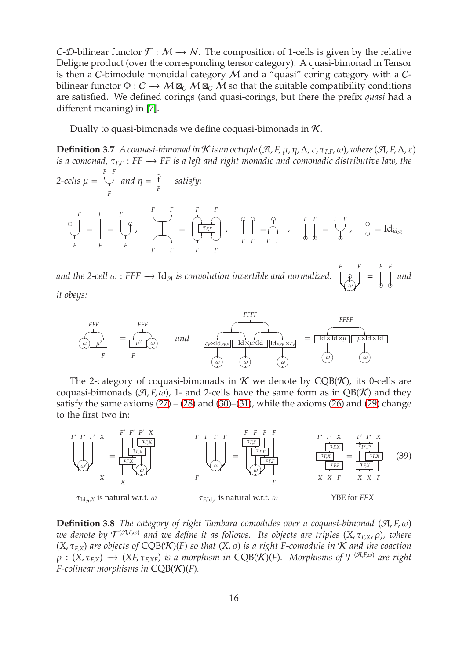*C*-D-bilinear functor  $\mathcal{F}: M \rightarrow N$ . The composition of 1-cells is given by the relative Deligne product (over the corresponding tensor category). A quasi-bimonad in Tensor is then a C-bimodule monoidal category  $M$  and a "quasi" coring category with a  $C$ bilinear functor  $\Phi: \mathcal{C} \to \mathcal{M} \boxtimes_{\mathcal{C}} \mathcal{M} \boxtimes_{\mathcal{C}} \mathcal{M}$  so that the suitable compatibility conditions are satisfied. We defined corings (and quasi-corings, but there the prefix *quasi* had a different meaning) in [\[7\]](#page-42-8).

Dually to quasi-bimonads we define coquasi-bimonads in  $K$ .

**Definition 3.7** *A coquasi-bimonad in* K *is an octuple*  $(\mathcal{A}, F, \mu, \eta, \Delta, \varepsilon, \tau_{EF}, \omega)$ *, where*  $(\mathcal{A}, F, \Delta, \varepsilon)$ *is a comonad,*  $τ_{F,F}$ : *FF* → *FF is a left and right monadic and comonadic distributive law, the 2-cells* µ = *F F* ✡✠ *F and*  $\eta = \frac{\varphi}{\varphi}$ *F satisfy: F* ❞ ✡✠ *F* = *F F* = *F* ❞ ✡✠ *F* , *F F*  $\rightarrow$  $\overline{\phantom{a}}$   $\overline{\phantom{a}}$ *F F* = F
F
← τ*F*,*<sup>F</sup>* ✡✠✡✠ *F F* ,  $\hat{P}$ *F F* = ❞ ☛✟ *F F* , *F F* ❞ ❞ = *F F* ✡✠  $\mathbf{P}$ ,  $\int_{0}^{\infty}$  = Id<sub>*id*A</sub>

and the 2-cell  $\omega$  : FFF  $\rightarrow$  Id<sub>A</sub> is convolution invertible and normalized: *F F* ❞  $\omega \cancel{\phantom{.}}$ = *F F* ❞ ❞ *and*

*it obeys:*

\n
$$
\text{FFF}
$$
\n $\text{FPF}$ \n $\text{FPF}$ \n $\text{FPF}$ \n $\text{FPF}$ \n $\text{FPF}$ \n $\text{FPF}$ \n $\text{FPF}$ \n $\text{FPF}$ \n $\text{FPF}$ \n $\text{FPF}$ \n $\text{FPF}$ \n $\text{FPF}$ \n $\text{FPF}$ \n $\text{FPF}$ \n $\text{FPF}$ \n $\text{FPF}$ \n $\text{FPF}$ \n $\text{FPF}$ \n $\text{FPF}$ \n $\text{FPF}$ \n $\text{FPF}$ \n $\text{FPF}$ \n $\text{FPF}$ \n $\text{FPF}$ \n $\text{FPF}$ \n $\text{FPF}$ \n $\text{FPF}$ \n $\text{FPF}$ \n $\text{FPF}$ \n $\text{FPF}$ \n $\text{FPF}$ \n $\text{FPF}$ \n $\text{FPF}$ \n $\text{FPF}$ \n $\text{FPF}$ \n $\text{FPF}$ \n $\text{FPF}$ \n $\text{FPF}$ \n $\text{FPF}$ \n $\text{FPF}$ \n $\text{FPF}$ \n $\text{FPF}$ \n $\text{FPF}$ \n $\text{FPF}$ \n $\text{FPF}$ \n $\text{FPF}$ \n $\text{FPF}$ \n $\text{FPF}$ \n $\text{FPF}$ \n $\text{FPF}$ \n $\text{FPF}$ \n $\text{FPF}$ \n $\text{FPF}$ \n $\text{FPF}$ \n $\text{FPF}$ \n $\text{FPF}$ \n $\text{FPF}$ \n $\text{FPF}$ \n $\text{FPF}$ \n $\text{FPF}$ \n $\text{FPF}$ \n $\text{FPF}$ \n $\text{FPF}$ \n $\text{FPF}$ \n $\text{FPF}$ \n $\text{FPF}$ \n $\text{FPF}$ \n $\text{FPF}$ \n $\text$ 

The 2-category of coquasi-bimonads in  $K$  we denote by CQB(K), its 0-cells are coquasi-bimonads ( $\mathcal{A}, F, \omega$ ), 1- and 2-cells have the same form as in QB(K) and they satisfy the same axioms  $(27) - (28)$  $(27) - (28)$  $(27) - (28)$  and  $(30) - (31)$  $(30) - (31)$  $(30) - (31)$ , while the axioms  $(26)$  and  $(29)$  change to the first two in:

<span id="page-15-0"></span>

**Definition 3.8** *The category of right Tambara comodules over a coquasi-bimonad*  $(\mathcal{A}, F, \omega)$ *we denote by* T (A,*F*,ω) *and we define it as follows. Its objects are triples* (*X*, τ*<sup>F</sup>*,*<sup>X</sup>*, ρ)*, where*  $(X, \tau_{F,X})$  are objects of  $CQB(X)(F)$  so that  $(X, \rho)$  is a right F-comodule in  $K$  and the coaction  $\rho$  :  $(X, \tau_{F,X}) \to (XF, \tau_{F,XF})$  *is a morphism in*  $CQB(X)(F)$ *. Morphisms of*  $\mathcal{T}^{(\mathcal{A},F,\omega)}$  are right *F-colinear morphisms in* CQB(K)(*F*)*.*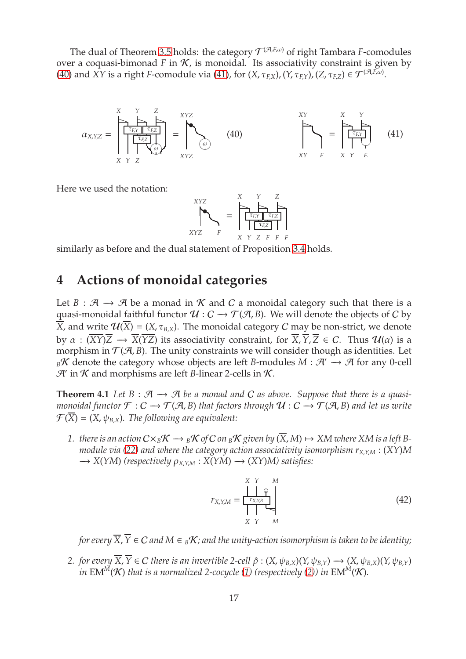The dual of Theorem [3.5](#page-12-0) holds: the category  $\mathcal{T}^{(\mathcal{A},E,\omega)}$  of right Tambara *F*-comodules over a coquasi-bimonad  $F$  in  $K$ , is monoidal. Its associativity constraint is given by [\(40\)](#page-16-1) and *XY* is a right *F*-comodule via [\(41\)](#page-16-2), for  $(X, \tau_{F,X})$ ,  $(Y, \tau_{F,Y})$ ,  $(Z, \tau_{F,Z}) \in \mathcal{T}^{(\mathcal{A},E,\omega)}$ .

<span id="page-16-1"></span>

Here we used the notation:

<span id="page-16-2"></span>
$$
\begin{array}{c}\nXYZ \\
XYZ \\
YZ \\
YZ\n\end{array} = \begin{bmatrix}\nX & Y & Z \\
\hline\n\tau_{F,Y} & \tau_{FZ} \\
\hline\n\tau_{F,Z} & Y & ZF \\
\hline\n\tau_{F,Z} & Y & ZF & F\n\end{bmatrix}
$$

similarly as before and the dual statement of Proposition [3.4](#page-12-3) holds.

# **4 Actions of monoidal categories**

Let *B* :  $A \rightarrow A$  be a monad in K and C a monoidal category such that there is a quasi-monoidal faithful functor  $U : C \rightarrow \mathcal{T}(\mathcal{A}, B)$ . We will denote the objects of C by  $\overline{X}$ , and write  $\mathcal{U}(\overline{X}) = (X, \tau_{B,X})$ . The monoidal category C may be non-strict, we denote by  $\alpha$ :  $(\overline{XY})\overline{Z} \rightarrow \overline{X}(\overline{YZ})$  its associativity constraint, for  $\overline{X}$ ,  $\overline{Y}$ ,  $\overline{Z} \in C$ . Thus  $\mathcal{U}(\alpha)$  is a morphism in  $\mathcal{T}(A, B)$ . The unity constraints we will consider though as identities. Let *B*K denote the category whose objects are left *B*-modules *M* :  $\mathcal{A}' \rightarrow \mathcal{A}$  for any 0-cell  $\mathcal{H}$  in  $\mathcal{K}$  and morphisms are left *B*-linear 2-cells in  $\mathcal{K}$ .

<span id="page-16-0"></span>**Theorem 4.1** Let  $B : \mathcal{A} \rightarrow \mathcal{A}$  be a monad and C as above. Suppose that there is a quasi*monoidal functor*  $\mathcal{F}: C \to \mathcal{T}(\mathcal{A}, B)$  *that factors through*  $\mathcal{U}: C \to \mathcal{T}(\mathcal{A}, B)$  *and let us write*  $\mathcal{F}(\overline{X}) = (X, \psi_{B,X})$ . The following are equivalent:

*1. there is an action*  $C \times_B K \longrightarrow_B K$  *of*  $C$  *on*  $_B K$  *given by*  $(\overline{X}, M) \mapsto XM$  *where*  $XM$  *is a left* B*module via [\(22\)](#page-8-2) and where the category action associativity isomorphism r<sup>X</sup>*,*Y*,*<sup>M</sup>* : (*XY*)*M* −→ *X*(*YM*) *(respectively* ρ*<sup>X</sup>*,*Y*,*<sup>M</sup>* : *X*(*YM*) −→ (*XY*)*M) satisfies:*

<span id="page-16-3"></span>
$$
r_{X,Y,M} = \frac{\left|\bigcup_{\substack{r_{X,Y,B}}{\varphi} \right|}}{\left|\bigcup_{\substack{X \ Y \ M}}\right|} \tag{42}
$$

*for every*  $\overline{X}$ ,  $\overline{Y}$   $\in$  C and  $M \in B\mathcal{K}$ ; and the unity-action isomorphism is taken to be identity;

*2. for every*  $\overline{X}$ ,  $\overline{Y}$   $\in$  *C there is an invertible 2-cell*  $\hat{\rho}$  :  $(X, \psi_{BX})(Y, \psi_{BY}) \rightarrow (X, \psi_{BX})(Y, \psi_{BY})$ *in* EM<sup>M</sup>(K) *that is a normalized 2-cocycle* [\(1\)](#page-4-0) *(respectively* [\(2\)](#page-4-2)*) in* EM<sup>M</sup>(K).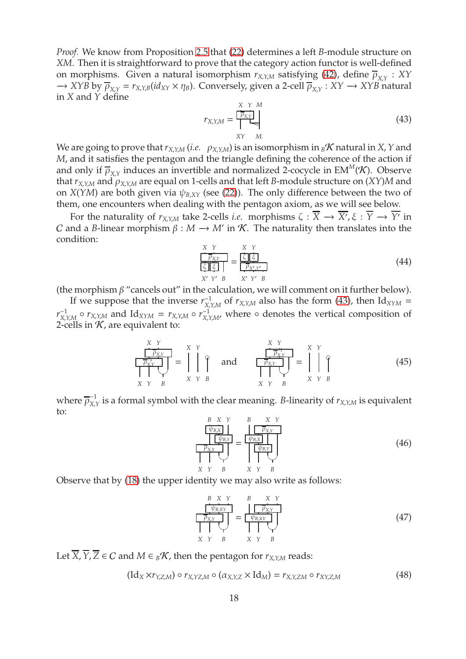*Proof.* We know from Proposition [2.5](#page-8-3) that [\(22\)](#page-8-2) determines a left *B*-module structure on *XM*. Then it is straightforward to prove that the category action functor is well-defined on morphisms. Given a natural isomorphism  $r_{X,Y,M}$  satisfying [\(42\)](#page-16-3), define  $\overline{\rho}_{X,Y} : XY$  $\rightarrow$  *XYB* by  $\overline{\rho}_{X,Y} = r_{X,Y,B}(id_{XY} \times \eta_B)$ . Conversely, given a 2-cell  $\overline{\rho}_{X,Y} : XY \rightarrow XYB$  natural in *X* and *Y* define

<span id="page-17-0"></span>
$$
r_{X,Y,M} = \frac{\begin{array}{ccc} X & Y & M \\ \hline P_{X,Y} & & \\ XY & M. \end{array}}{Y \quad \text{M}} \tag{43}
$$

We are going to prove that  $r_{X,Y,M}$  (*i.e.*  $\rho_{X,Y,M}$ ) is an isomorphism in  ${}_{B}K$  natural in *X*, *Y* and *M*, and it satisfies the pentagon and the triangle defining the coherence of the action if and only if  $\overline{\rho}_{X,Y}$  induces an invertible and normalized 2-cocycle in EM<sup>M</sup>(K). Observe that *r<sup>X</sup>*,*Y*,*<sup>M</sup>* and ρ*<sup>X</sup>*,*Y*,*<sup>M</sup>* are equal on 1-cells and that left *B*-module structure on (*XY*)*M* and on *X*(*YM*) are both given via  $\psi_{B,XY}$  (see [\(22\)](#page-8-2)). The only difference between the two of them, one encounters when dealing with the pentagon axiom, as we will see below.

For the naturality of  $r_{X,Y,M}$  take 2-cells *i.e.* morphisms  $\zeta: X \to X', \xi: Y \to Y'$  in *C* and a *B*-linear morphism  $\beta : M \to M'$  in K. The naturality then translates into the condition:

<span id="page-17-3"></span>
$$
\frac{X Y}{\boxed{\frac{\overline{P}_{XY}}{\boxed{\frac{\overline{X}}{\boxed{\frac{\overline{X}}{\boxed{\frac{\overline{X}}{\boxed{\frac{\overline{X}}{\boxed{\frac{\overline{X}}{\boxed{\frac{\overline{X}}{\boxed{\frac{\overline{X}}{\boxed{\frac{\overline{X}}{\boxed{\frac{\overline{X}}}{\boxed{\frac{\overline{X}}{\boxed{\frac{\overline{X}}{\boxed{\frac{\overline{X}}}{\boxed{\frac{\overline{X}}{\boxed{\frac{\overline{X}}{\boxed{\frac{\overline{X}}{\boxed{\frac{\overline{X}}}{\boxed{\frac{\overline{X}}{\boxed{\frac{\overline{X}}}{\boxed{\frac{\overline{X}}{\boxed{\frac{\overline{X}}}{\boxed{\frac{\overline{X}}}{\boxed{\frac{\overline{X}}}{\boxed{\frac{\overline{X}}}{\boxed{\frac{\overline{X}}}{\boxed{\frac{\overline{X}}}{\boxed{\frac{\overline{X}}}{\boxed{\frac{\overline{X}}}{\boxed{\frac{\overline{X}}}{\boxed{\frac{\overline{X}}}{\boxed{\frac{\overline{X}}}{\boxed{\frac{\overline{X}}}{\boxed{\frac{\overline{X}}}{\boxed{\frac{\overline{X}}}{\boxed{\frac{\overline{X}}}{\boxed{\frac{\overline{X}}}{\boxed{\frac{\overline{X}}}{\boxed{\frac{\overline{X}}}{\boxed{\frac{\overline{X}}}{\boxed{\frac{\overline{X}}}{\boxed{\frac{\overline{X}}}{\boxed{\frac{\overline{X}}}{\boxed{\frac{\overline{X}}}{\boxed{\frac{\overline{X}}}{\boxed{\frac{\overline{X}}}{\boxed{\frac{\overline{X}}}{\boxed{\frac{\overline{X}}}{\boxed{\frac{\overline{X}}}{\boxed{\frac{\overline{X}}}{\boxed{\frac{\overline{X}}}{\boxed{\frac{\overline{X}}}{\boxed{\frac{\overline{X}}}{\boxed{\frac{\overline{X}}}{\boxed{\frac{\overline{X}}}{\boxed{\frac{\overline{X}}}{\boxed{\frac{\overline{X}}}{\boxed{\frac{\overline{X}}}{\boxed{\frac{\overline{X}}}{\boxed{\frac{\overline{X}}}{\boxed{\frac{\overline{X}}}{\boxed{\frac{\overline{X}}}{\boxed{\frac{\overline{X}}}{\boxed{\frac{\overline{X}}}{\boxed{\frac{\overline{X}}}{\boxed{\frac{\overline{X}}}{\boxed{\frac{\overline{X}}}{\boxed{\frac{\overline{X}}}{\boxed{\frac{\overline{X}}}{\boxed{\frac{\overline{X}}}{\boxed{\frac{\overline{X
$$

(the morphism  $\beta$  "cancels out" in the calculation, we will comment on it further below).

If we suppose that the inverse  $r_{X}^{-1}$  $\chi_{X, Y, M}^{-1}$  of  $r_{X, Y, M}$  also has the form [\(43\)](#page-17-0), then Id<sub>XYM</sub> =  $r_X^{-1}$  $X$ ,*Y*,*M*  $\circ$  *r*<sub>*X*</sub>,*Y*,*M* and Id<sub>*XYM*</sub> = *r*<sub>*X*</sub>,*Y*,*M*  $\circ$  *r*<sub>*X*</sub>,*Y*  $\chi$ <sup>2</sup>/<sub>*X,Y,M'*</sub> where ∘ denotes the vertical composition of 2-cells in  $K$ , are equivalent to:

<span id="page-17-1"></span>
$$
\frac{\frac{X Y}{\sqrt{P_{XY}}}}{\frac{X Y}{\sqrt{P_{XY}}}} = \bigcup_{\begin{array}{c} X \\ Y \\ X Y B \end{array}}^{X Y} \text{ and } \frac{\frac{X Y}{\sqrt{P_{XY}}}}{\frac{X Y}{\sqrt{P_{XY}}}} = \bigcup_{\begin{array}{c} X \\ Y \\ Y B \end{array}}^{X Y} \text{ (45)}
$$

where  $\overline{\rho}_{\text{X}}^{-1}$  $\sum_{X,Y}$  is a formal symbol with the clear meaning. *B*-linearity of  $r_{X,Y,M}$  is equivalent to:

<span id="page-17-2"></span>
$$
\frac{\frac{B \times Y}{\psi_{B,X}}}{\frac{\psi_{B,Y}}{\psi_{B,Y}}}\n= \frac{\frac{B \times Y}{\psi_{B,X}}}{\frac{\psi_{B,X}}{\psi_{B,Y}}}\n= \frac{\psi_{B,X}}{\frac{\psi_{B,Y}}{\psi_{B,Y}}}\n\tag{46}
$$

Observe that by [\(18\)](#page-7-0) the upper identity we may also write as follows:

<span id="page-17-4"></span>*B X Y* ψ*B*,*XY* ρ*X*,*<sup>Y</sup>* ✡✠ *X Y B* = *B X Y* ρ*X*,*<sup>Y</sup>* ψ*B*,*XY* ✡✠ *X Y B* (47)

Let  $\overline{X}$ ,  $\overline{Y}$ ,  $\overline{Z}$  ∈ C and  $M \in B\mathcal{K}$ , then the pentagon for  $r_{X,Y,M}$  reads:

<span id="page-17-5"></span>
$$
(\mathrm{Id}_X \times r_{Y,Z,M}) \circ r_{X,YZ,M} \circ (\alpha_{X,Y,Z} \times \mathrm{Id}_M) = r_{X,Y,ZM} \circ r_{XY,Z,M}
$$
(48)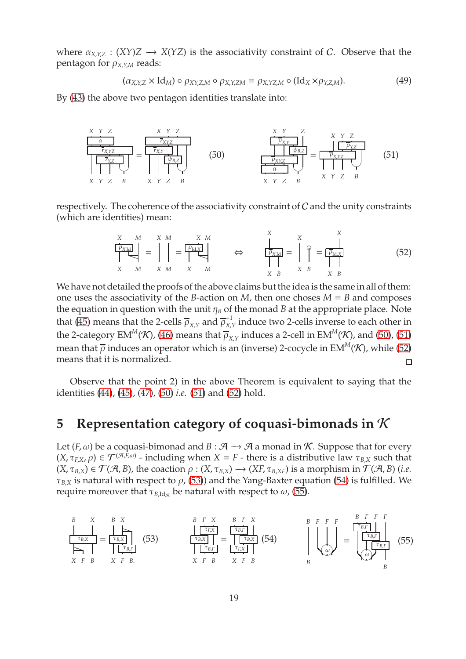where  $\alpha_{X,Y,Z}: (XY)Z \rightarrow X(YZ)$  is the associativity constraint of C. Observe that the pentagon for  $\rho_{X,Y,M}$  reads:

$$
(\alpha_{X,Y,Z} \times \text{Id}_M) \circ \rho_{XY,Z,M} \circ \rho_{X,Y,ZM} = \rho_{X,YZ,M} \circ (\text{Id}_X \times \rho_{Y,Z,M}). \tag{49}
$$

By [\(43\)](#page-17-0) the above two pentagon identities translate into:

<span id="page-18-1"></span>

respectively. The coherence of the associativity constraint of C and the unity constraints (which are identities) mean:

<span id="page-18-3"></span>
$$
\sum_{X \ M}^{X \ M} = \prod_{X \ M}^{X \ M} = \overline{\left[\begin{array}{c}\n\overline{P_{\text{Ld,X}}}\n\end{array}\right]} \qquad \Leftrightarrow \qquad\n\sum_{\substack{P_{\text{X,Id}}\n\end{array}}^{X} = \prod_{\substack{X \ N \ M}}^{X} = \overline{\left[\begin{array}{c}\n\overline{P_{\text{Ld,X}}}\n\end{array}\right]} \qquad (52)
$$

<span id="page-18-2"></span>*X*

We have not detailed the proofs of the above claims but the idea is the same in all of them: one uses the associativity of the *B*-action on *M*, then one choses  $M = B$  and composes the equation in question with the unit  $\eta_B$  of the monad *B* at the appropriate place. Note that [\(45\)](#page-17-1) means that the 2-cells  $\overline{\rho}_{X,Y}$  and  $\overline{\rho}_{X,Y}^{-1}$  $\frac{1}{X,Y}$  induce two 2-cells inverse to each other in the 2-category EM $^M\!({\cal K})$ , [\(46\)](#page-17-2) means that  $\overline\rho_{X,Y}$  induces a 2-cell in EM $^M\!({\cal K})$ , and [\(50\)](#page-18-1), [\(51\)](#page-18-2) mean that  $\bar{\rho}$  induces an operator which is an (inverse) 2-cocycle in EM<sup>M</sup>(K), while [\(52\)](#page-18-3) means that it is normalized.  $\Box$ 

Observe that the point 2) in the above Theorem is equivalent to saying that the identities [\(44\)](#page-17-3), [\(45\)](#page-17-1), [\(47\)](#page-17-4), [\(50\)](#page-18-1) *i.e.* [\(51\)](#page-18-2) and [\(52\)](#page-18-3) hold.

# <span id="page-18-0"></span>**5 Representation category of coquasi-bimonads in** K

Let  $(F, \omega)$  be a coquasi-bimonad and  $B : \mathcal{A} \to \mathcal{A}$  a monad in *K*. Suppose that for every  $(X, \tau_{F,X}, \rho) \in \mathcal{T}^{(\mathcal{A}, F, \omega)}$  - including when  $X = F$  - there is a distributive law  $\tau_{B,X}$  such that  $(X, \tau_{B,X}) \in \mathcal{T}(\mathcal{A}, B)$ , the coaction  $\rho : (X, \tau_{B,X}) \to (XF, \tau_{B,XF})$  is a morphism in  $\mathcal{T}(\mathcal{A}, B)$  (*i.e.*  $\tau_{B,X}$  is natural with respect to  $\rho$ , [\(53\)](#page-18-4)) and the Yang-Baxter equation [\(54\)](#page-18-5) is fulfilled. We require moreover that  $\tau_{B,\text{Id}_{\mathcal{A}}}$  be natural with respect to  $\omega$ , [\(55\)](#page-18-6).

<span id="page-18-6"></span><span id="page-18-5"></span><span id="page-18-4"></span>*B X* τ*B*,*<sup>X</sup>* P *X F B* = *B X* P τ*B*,*<sup>X</sup>* τ*B*,*<sup>F</sup> X F B*. (53) *B F X* τ*F*,*<sup>X</sup>* τ*B*,*<sup>X</sup>* τ*B*,*<sup>F</sup> X F B* = *B F X* τ*B*,*<sup>F</sup>* τ*B*,*<sup>X</sup>* τ*F*,*<sup>X</sup> X F B* (54) *B F F F* ω♠ *B* = *B F F F* τ*B*,*<sup>F</sup>* τ*B*,*<sup>F</sup>* τ*B*,*<sup>F</sup>* ω♠ *B* (55)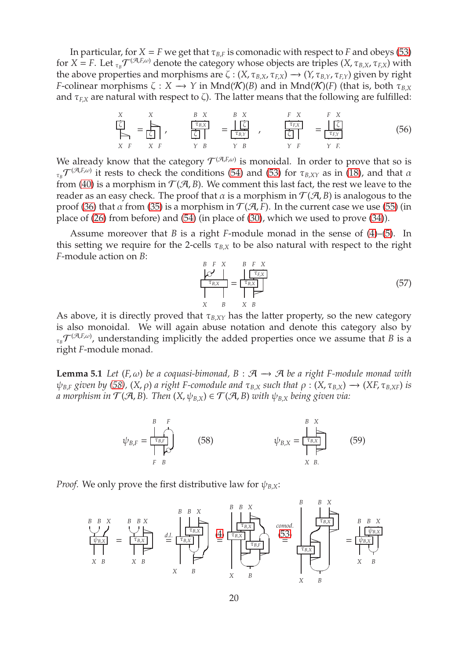In particular, for  $X = F$  we get that  $\tau_{B,F}$  is comonadic with respect to *F* and obeys [\(53\)](#page-18-4) for  $X = F$ . Let  $_{\tau_B} \mathcal{T}^{(\mathcal{A},E,\omega)}$  denote the category whose objects are triples  $(X,\tau_{B,X},\tau_{F,X})$  with the above properties and morphisms are  $\zeta$  :  $(X, \tau_{B,X}, \tau_{EX}) \rightarrow (Y, \tau_{B,Y}, \tau_{EX})$  given by right *F*-colinear morphisms  $\zeta : X \to Y$  in Mnd( $\mathcal{K}(B)$ ) and in Mnd( $\mathcal{K}(F)$ ) (that is, both  $\tau_{B,X}$ and  $\tau_{F,X}$  are natural with respect to  $\zeta$ ). The latter means that the following are fulfilled:

<span id="page-19-2"></span>
$$
\sum_{\begin{subarray}{c}\nX \\
X \\
Y \\
Y\n\end{subarray}}^{X} = \frac{\sum_{\begin{subarray}{c}\nX \\
\overline{C}\n\end{subarray}}^{X} \quad\n\begin{subarray}{c}\nB X \\
\overline{\overline{C}_{B,X}} \\
\overline{C}\n\end{subarray}}{(\sum_{\begin{subarray}{c}\nX \\
\overline{C}\n\end{subarray}}^{X} \quad\n\begin{subarray}{c}\nB X \\
\overline{C}\n\end{subarray}}^{X}, \quad\n\begin{subarray}{c}\nF X \\
\overline{\overline{C}_{F,X}} \\
\overline{C}\n\end{subarray}}^{F X} = \frac{\sum_{\begin{subarray}{c}\n\overline{C}\n\end{subarray}}^{F X}}{(\sum_{\begin{subarray}{c}\n\overline{C}_{F,Y}\n\end{subarray}}^{F X}} \quad (56)
$$

We already know that the category  $\mathcal{T}^{(\mathcal{A},E,\omega)}$  is monoidal. In order to prove that so is  $_{\tau_B}\mathcal{T}^{(\mathcal{A},E,\omega)}$  it rests to check the conditions [\(54\)](#page-18-5) and [\(53\)](#page-18-4) for  $\tau_{B,XY}$  as in [\(18\)](#page-7-0), and that  $\alpha$ from [\(40\)](#page-16-1) is a morphism in  $\mathcal{T}(A, B)$ . We comment this last fact, the rest we leave to the reader as an easy check. The proof that  $\alpha$  is a morphism in  $\mathcal{T}(\mathcal{A}, B)$  is analogous to the proof [\(36\)](#page-13-1) that *α* from [\(35\)](#page-12-4) is a morphism in  $T(A, F)$ . In the current case we use [\(55\)](#page-18-6) (in place of [\(26\)](#page-10-2) from before) and [\(54\)](#page-18-5) (in place of [\(30\)](#page-11-1), which we used to prove [\(34\)](#page-12-1)).

Assume moreover that *B* is a right *F*-module monad in the sense of [\(4\)](#page-4-1)–[\(5\)](#page-4-3). In this setting we require for the 2-cells  $\tau_{BX}$  to be also natural with respect to the right *F*-module action on *B*:

$$
\frac{B \quad F \quad X}{\sigma_{B,X}} = \frac{B \quad F \quad X}{\sigma_{B,X}} \tag{57}
$$
\n
$$
\frac{B \quad F \quad X}{\sigma_{B,X}} = \frac{B \quad T \quad X}{\sigma_{B,X}}
$$
\n
$$
\frac{B \quad X \quad B}{\sigma_{B,X}} = \frac{B \quad X \quad B}{\sigma_{B,X}}
$$

As above, it is directly proved that  $\tau_{B,XY}$  has the latter property, so the new category is also monoidal. We will again abuse notation and denote this category also by  $\tau_{B} \mathcal{T}^{(\mathcal{A},E,\omega)}$ , understanding implicitly the added properties once we assume that *B* is a right *F*-module monad.

<span id="page-19-3"></span>**Lemma 5.1** *Let* (*F*,  $\omega$ ) *be a coquasi-bimonad*,  $B$  :  $\mathcal{A}$  →  $\mathcal{A}$  *be a right F-module monad with*  $ψ$ *B*,*F given by* [\(58\)](#page-19-0), (*X*, *ρ*) *a right F*-comodule and  $τ$ <sub>*B*,*X*</sub> *such that*  $ρ$  : (*X*,  $τ$ <sub>*B,X*</sub>) → (*XF*,  $τ$ <sub>*B,XF*</sub>) *is a morphism in*  $\mathcal{T}(\mathcal{A}, B)$ . Then  $(X, \psi_{B,X}) \in \mathcal{T}(\mathcal{A}, B)$  with  $\psi_{B,X}$  being given via:

<span id="page-19-1"></span><span id="page-19-0"></span>
$$
\psi_{B,F} = \frac{\begin{array}{c} B & F \\ \hline \tau_{B,F} \\ \hline \Gamma & D \end{array}} \tag{58}
$$
\n
$$
\psi_{B,X} = \frac{\begin{array}{c} B & X \\ \hline \tau_{B,X} \\ \hline \Gamma & D \end{array}} \tag{59}
$$
\n
$$
X \quad B.
$$

*Proof.* We only prove the first distributive law for  $\psi_{B,X}$ :

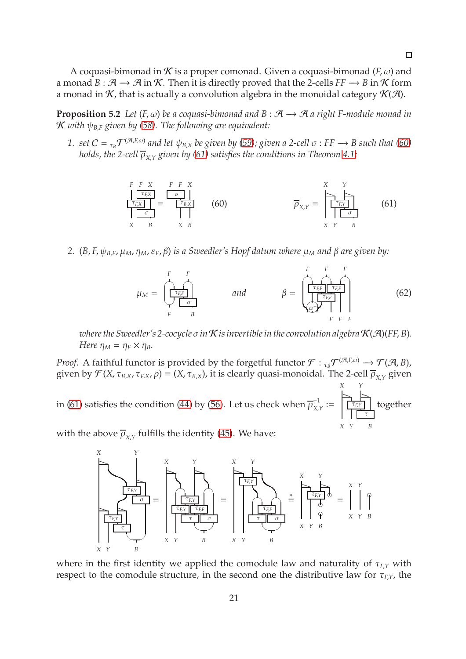A coquasi-bimonad in  $K$  is a proper comonad. Given a coquasi-bimonad ( $F, \omega$ ) and a monad  $B : \mathcal{A} \to \mathcal{A}$  in K. Then it is directly proved that the 2-cells  $FF \to B$  in K form a monad in  $K$ , that is actually a convolution algebra in the monoidal category  $K(\mathcal{A})$ .

<span id="page-20-0"></span>**Proposition 5.2** *Let*  $(F, \omega)$  *be a coquasi-bimonad and*  $B : \mathcal{A} \rightarrow \mathcal{A}$  *a right F-module monad in* K *with* ψ*<sup>B</sup>*,*<sup>F</sup> given by [\(58\)](#page-19-0). The following are equivalent:*

1. set  $C = \frac{1}{\tau_B} \mathcal{T}^{(\mathcal{A},E,\omega)}$  and let  $\psi_{B,X}$  be given by [\(59\)](#page-19-1); given a 2-cell  $\sigma: FF \to B$  such that [\(60\)](#page-20-1) *holds, the 2-cell* ρ*<sup>X</sup>*,*<sup>Y</sup> given by [\(61\)](#page-20-2) satisfies the conditions in Theorem [4.1;](#page-16-0)*

<span id="page-20-2"></span><span id="page-20-1"></span>
$$
\frac{\begin{array}{c}\nF \ F \ X \\
\hline\n\end{array}\n\overbrace{\begin{array}{c}\n\tau_{EX} \\
\hline\n\end{array}}\n\end{array}}\n\begin{array}{c}\nF \ F \ X \\
\hline\n\end{array}\n\begin{array}{c}\n\tau_{EX} \\
\hline\n\end{array}\n\begin{array}{c}\n\tau_{EX} \\
\hline\n\end{array}\n\end{array}\n\begin{array}{c}\n\tau_{EX} \\
\hline\n\end{array}\n\begin{array}{c}\n\tau_{EX} \\
\hline\n\end{array}\n\begin{array}{c}\n\tau_{EX} \\
\hline\n\end{array}\n\end{array}\n\begin{array}{c}\n\tau_{X} \\
\hline\n\end{array}\n\begin{array}{c}\n\tau_{X} \\
\hline\n\end{array}\n\begin{array}{c}\n\tau_{X} \\
\hline\n\end{array}\n\end{array} \tag{61}
$$

*2.* (*B*, *F*, ψ*<sup>B</sup>*,*<sup>F</sup>*, µ*M*, η*M*, ε*F*, β) *is a Sweedler's Hopf datum where* µ*<sup>M</sup> and* β *are given by:*

<span id="page-20-3"></span>

*where the Sweedler's 2-cocycle*  $\sigma$  *in*  $K$  *is invertible in the convolution algebra*  $K(\mathcal{A})(FF, B)$ *. Here*  $\eta_M = \eta_F \times \eta_B$ *.* 

*Proof.* A faithful functor is provided by the forgetful functor  $\mathcal{F}: {}_{\tau_B}\mathcal{T}^{(\mathcal{A},E,\omega)}\to \mathcal{T}(\mathcal{A},B)$ , given by  $\mathcal{F}(X,\tau_{B,X},\tau_{F,X},\rho)=(X,\tau_{B,X})$ , it is clearly quasi-monoidal. The 2-cell  $\overline{\rho}_{X,Y}$  given

in [\(61\)](#page-20-2) satisfies the condition [\(44\)](#page-17-3) by [\(56\)](#page-19-2). Let us check when  $\overline{\rho}_{\chi}^{-1}$  $\frac{1}{X,Y}$  := *X Y*  $\geq$   $\geq$ τ*F*,*<sup>Y</sup>* τ *X Y B* together

with the above  $\overline{\rho}_{\mathrm{X},Y}$  fulfills the identity [\(45\)](#page-17-1). We have:



where in the first identity we applied the comodule law and naturality of  $\tau$ <sub>*F*</sub> $\gamma$  with respect to the comodule structure, in the second one the distributive law for  $\tau_{F,Y}$ , the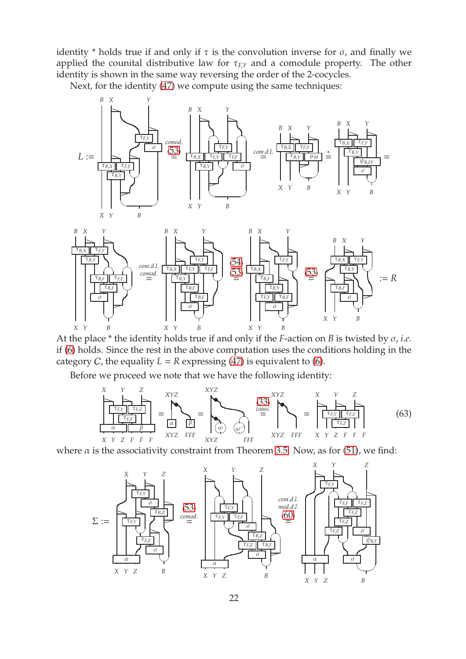identity \* holds true if and only if  $\tau$  is the convolution inverse for  $\sigma$ , and finally we applied the counital distributive law for  $\tau$ <sub>*F*</sub> $\gamma$  and a comodule property. The other identity is shown in the same way reversing the order of the 2-cocycles.

Next, for the identity [\(47\)](#page-17-4) we compute using the same techniques:



At the place \* the identity holds true if and only if the *F*-action on *B* is twisted by σ, *i.e.* if [\(6\)](#page-5-2) holds. Since the rest in the above computation uses the conditions holding in the category *C*, the equality  $L = R$  expressing  $(\overline{47})$  is equivalent to [\(6\)](#page-5-2).

Before we proceed we note that we have the following identity:

<span id="page-21-0"></span>

where  $\alpha$  is the associativity constraint from Theorem [3.5.](#page-12-0) Now, as for [\(51\)](#page-18-2), we find:

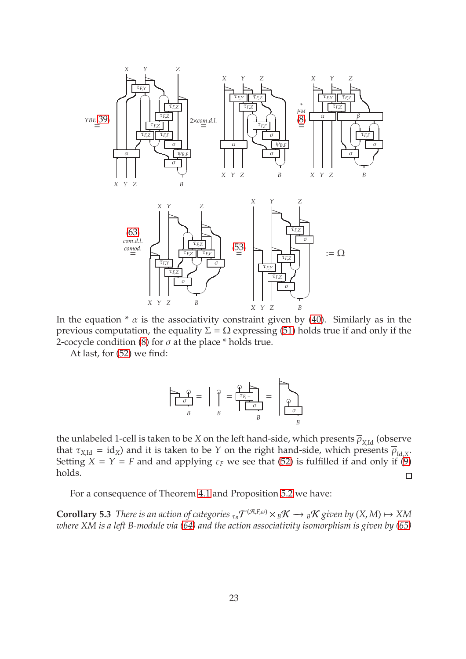

In the equation  $* \alpha$  is the associativity constraint given by [\(40\)](#page-16-1). Similarly as in the previous computation, the equality  $\Sigma = \Omega$  expressing [\(51\)](#page-18-2) holds true if and only if the 2-cocycle condition [\(8\)](#page-5-0) for  $\sigma$  at the place \* holds true.

At last, for [\(52\)](#page-18-3) we find:

$$
\frac{\partial}{\partial B} \frac{\partial}{\partial B} = \frac{\partial}{\partial B} \frac{\partial}{\partial B} = \frac{\partial}{\partial B} \frac{\partial}{\partial B} = \frac{\partial}{\partial B} \frac{\partial}{\partial B}
$$

the unlabeled 1-cell is taken to be *X* on the left hand-side, which presents  $\overline{\rho}_{X_{\text{Id}}}$  (observe that  $\tau_{X,\text{Id}} = id_X$ ) and it is taken to be *Y* on the right hand-side, which presents  $\overline{\rho}_{\text{Id},X}$ . Setting  $X = Y = F$  and and applying  $\varepsilon_F$  we see that [\(52\)](#page-18-3) is fulfilled if and only if [\(9\)](#page-5-1) holds.  $\Box$ 

<span id="page-22-0"></span>For a consequence of Theorem [4.1](#page-16-0) and Proposition [5.2](#page-20-0) we have:

**Corollary 5.3** *There is an action of categories*  $\tau_B \mathcal{T}^{(\mathcal{A},E,\omega)} \times {}_B\mathcal{K} \to {}_B\mathcal{K}$  given by  $(X,M) \mapsto XM$ *where XM is a left B-module via [\(64\)](#page-23-2) and the action associativity isomorphism is given by [\(65\)](#page-23-3)*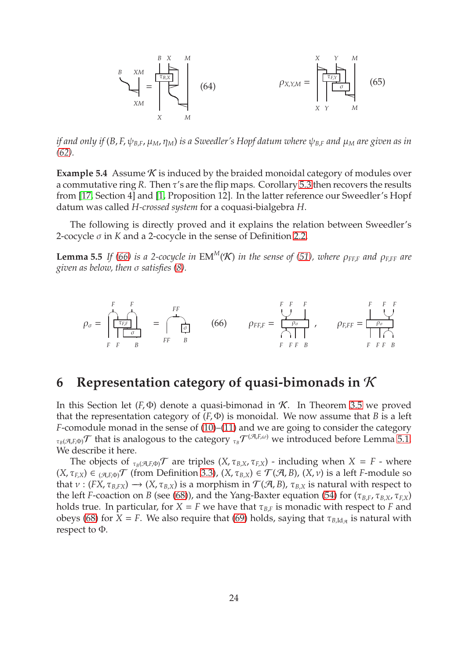<span id="page-23-3"></span><span id="page-23-2"></span>

*if and only if* (*B*, *F*, ψ*<sup>B</sup>*,*<sup>F</sup>*, µ*M*, η*M*) *is a Sweedler's Hopf datum where* ψ*<sup>B</sup>*,*<sup>F</sup> and* µ*<sup>M</sup> are given as in [\(62\)](#page-20-3).*

**Example 5.4** Assume *K* is induced by the braided monoidal category of modules over a commutative ring *R*. Then τ's are the flip maps. Corollary [5.3](#page-22-0) then recovers the results from [\[17,](#page-42-0) Section 4] and [\[1,](#page-41-0) Proposition 12]. In the latter reference our Sweedler's Hopf datum was called *H-crossed system* for a coquasi-bialgebra *H*.

<span id="page-23-0"></span>The following is directly proved and it explains the relation between Sweedler's 2-cocycle σ in *K* and a 2-cocycle in the sense of Definition [2.2.](#page-3-0)

**Lemma 5.5** *If [\(66\)](#page-23-4) is a 2-cocycle in* EM<sup>M</sup>(K) *in the sense of [\(51\)](#page-18-2), where*  $\rho_{\text{FFF}}$  *and*  $\rho_{\text{EFF}}$  *are given as below, then* σ *satisfies [\(8\)](#page-5-0).*

<span id="page-23-4"></span>ρ<sup>σ</sup> = *F F* ☛✟☛✟ τ*F*,*<sup>F</sup>* σ *F F B* = ✎ *FF* σ *FF B* (66) ρ*FF*,*<sup>F</sup>* = *F F F* ✡✠ ρσ ☛✟ *F F F B* , ρ*<sup>F</sup>*,*FF* = *F F F* ✡✠ ρσ☛✟ *F F F B*

### <span id="page-23-1"></span>**6 Representation category of quasi-bimonads in** K

In this Section let  $(F, \Phi)$  denote a quasi-bimonad in K. In Theorem [3.5](#page-12-0) we proved that the representation category of  $(F, \Phi)$  is monoidal. We now assume that *B* is a left *F*-comodule monad in the sense of [\(10\)](#page-5-4)–[\(11\)](#page-5-5) and we are going to consider the category  $_{\tau_B(\mathcal A,F,\Phi)}\mathcal T$  that is analogous to the category  $_{\tau_B}\mathcal T^{(\mathcal A,F,\omega)}$  we introduced before Lemma [5.1.](#page-19-3) We describe it here.

The objects of  $_{\tau_B(\mathcal{A},E,\Phi)}$  are triples  $(X, \tau_{B,X}, \tau_{F,X})$  - including when  $X = F$  - where  $(X, \tau_{F,X}) \in (A, F, \phi)$  (from Definition [3.3\)](#page-11-3),  $(X, \tau_{B,X}) \in \mathcal{T}(\mathcal{A}, B)$ ,  $(X, \nu)$  is a left *F*-module so that  $v : (FX, \tau_{B,FX}) \to (X, \tau_{B,X})$  is a morphism in  $\mathcal{T}(A, B)$ ,  $\tau_{B,X}$  is natural with respect to the left *F*-coaction on *B* (see [\(68\)](#page-24-1)), and the Yang-Baxter equation [\(54\)](#page-18-5) for (τ*<sup>B</sup>*,*<sup>F</sup>*, τ*<sup>B</sup>*,*<sup>X</sup>*, τ*<sup>F</sup>*,*<sup>X</sup>*) holds true. In particular, for  $X = F$  we have that  $\tau_{B,F}$  is monadic with respect to *F* and obeys [\(68\)](#page-24-1) for  $X = F$ . We also require that [\(69\)](#page-24-2) holds, saying that  $\tau_{B,\mathrm{Id}_{\mathcal{A}}}$  is natural with respect to Φ.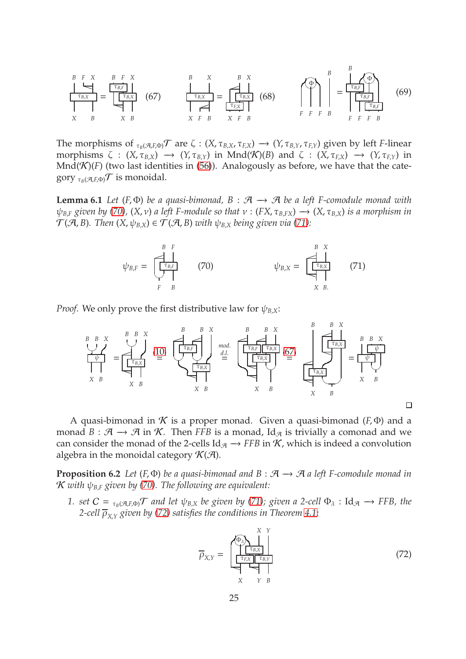<span id="page-24-5"></span><span id="page-24-1"></span>

The morphisms of  $\tau_B(\mathcal{A},F,\Phi)$  are  $\zeta: (X,\tau_{B,X},\tau_{F,X}) \to (Y,\tau_{B,Y},\tau_{F,Y})$  given by left *F*-linear morphisms  $\zeta$  :  $(X, \tau_{B,X}) \rightarrow (Y, \tau_{B,Y})$  in Mnd $(\mathcal{K})(B)$  and  $\zeta$  :  $(X, \tau_{EX}) \rightarrow (Y, \tau_{E,Y})$  in  $Mnd(\mathcal{K})(F)$  (two last identities in [\(56\)](#page-19-2)). Analogously as before, we have that the category  $_{\tau_B(\mathcal{A}, F, \Phi)}$  is monoidal.

**Lemma 6.1** *Let* ( $F$ , $\Phi$ ) *be a quasi-bimonad*,  $B : \mathcal{A} \rightarrow \mathcal{A}$  *be a left F-comodule monad with*  $\psi_{B,F}$  *given by* [\(70\)](#page-24-3),  $(X, v)$  *a left F-module so that*  $v : (FX, \tau_{B,FX}) \rightarrow (X, \tau_{B,X})$  *is a morphism in*  $\mathcal{T}(\mathcal{A}, B)$ . Then  $(X, \psi_{B,X}) \in \mathcal{T}(\mathcal{A}, B)$  *with*  $\psi_{B,X}$  *being given via* [\(71\)](#page-24-4)*:* 

<span id="page-24-4"></span><span id="page-24-3"></span><span id="page-24-2"></span>ψ*<sup>B</sup>*,*<sup>F</sup>* = *B F* ✏ τ*B*,*<sup>F</sup>* ✡✠ *F B* (70) ψ*<sup>B</sup>*,*<sup>X</sup>* = *B X* ✏ τ*B*,*<sup>X</sup>* P *X B*. (71)

*Proof.* We only prove the first distributive law for  $\psi_{B,X}$ :



A quasi-bimonad in  $K$  is a proper monad. Given a quasi-bimonad ( $F$ , $\Phi$ ) and a monad  $B : \mathcal{A} \to \mathcal{A}$  in K. Then *FFB* is a monad, Id<sub> $\mathcal{A}$ </sub> is trivially a comonad and we can consider the monad of the 2-cells  $\text{Id}_{\mathcal{A}} \to FFB$  in  $\mathcal{K}$ , which is indeed a convolution algebra in the monoidal category  $\mathcal{K}(\mathcal{A})$ .

<span id="page-24-0"></span>**Proposition 6.2** *Let*  $(F, \Phi)$  *be a quasi-bimonad and*  $B : \mathcal{A} \rightarrow \mathcal{A}$  *a left F-comodule monad in*  $K$  *with*  $\psi_{BE}$  *given by* [\(70\)](#page-24-3). The following are equivalent:

*1. set*  $C = \tau_B(\mathcal{A}, E)$  *and let*  $\psi_{B,X}$  *be given by [\(71\)](#page-24-4); given a 2-cell*  $\Phi_\lambda$  : Id<sub> $\mathcal{A} \to FFB$ *, the*</sub> *2-cell* ρ*<sup>X</sup>*,*<sup>Y</sup> given by [\(72\)](#page-24-6) satisfies the conditions in Theorem [4.1;](#page-16-0)*

<span id="page-24-6"></span>
$$
\overline{\rho}_{X,Y} = \begin{bmatrix} \overbrace{\begin{bmatrix} \overline{\tau}_{B,X} \\ \overline{\tau}_{E,X} \end{bmatrix}}^{X \ Y} \\ \overbrace{\begin{bmatrix} \overline{\tau}_{E,X} \\ \overline{\tau}_{E,X} \end{bmatrix}}^{X \ Y} \\ X \ Y \ B \end{bmatrix} \tag{72}
$$

 $\Box$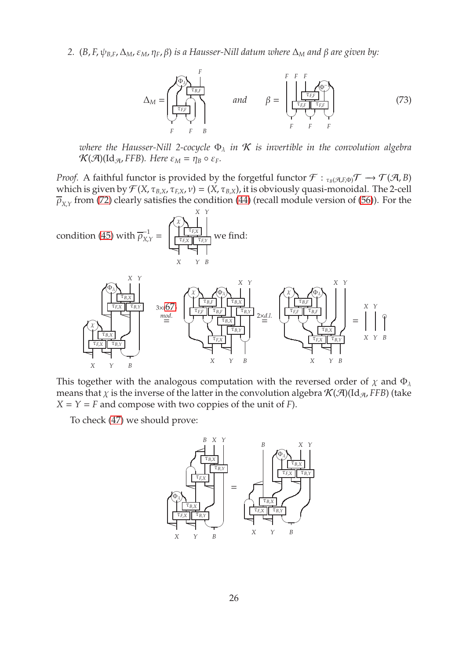*2.* (*B*, *F*,  $ψ$ <sub>*B*,*F*</sub>,  $Δ$ <sub>*M*</sub>,  $ε$ <sub>*M*</sub>,  $η$ *F*,  $β$ ) *is a Hausser-Nill datum where*  $Δ$ <sub>*M*</sub> and  $β$  are given by:

<span id="page-25-0"></span>

にっぽん

*X Y B*

=

*X Y*

*X Y B*

❞

*where the Hausser-Nill 2-cocycle*  $\Phi_{\lambda}$  *in*  $K$  *is invertible in the convolution algebra*  $\mathcal{K}(\mathcal{A})(\mathrm{Id}_{\mathcal{A}}, FFB)$ *. Here*  $\varepsilon_M = \eta_B \circ \varepsilon_F$ *.* 

*Proof.* A faithful functor is provided by the forgetful functor  $\mathcal{F}: \tau_B(\mathcal{A},F,\Phi)$   $\rightarrow$   $\mathcal{T}(\mathcal{A},B)$ which is given by  $\mathcal{F}(X, \tau_{B,X}, \tau_{F,X}, \nu) = (X, \tau_{B,X})$ , it is obviously quasi-monoidal. The 2-cell  $\overline{\rho}_{X,Y}$  from [\(72\)](#page-24-6) clearly satisfies the condition [\(44\)](#page-17-3) (recall module version of [\(56\)](#page-19-2)). For the



This together with the analogous computation with the reversed order of  $\chi$  and  $\Phi_{\lambda}$ means that  $\chi$  is the inverse of the latter in the convolution algebra  $\mathcal{K}(\mathcal{A})(\mathrm{Id}_{\mathcal{A}}$ , *FFB*) (take  $X = Y = F$  and compose with two coppies of the unit of *F*).

*X Y B*

にっぽん

To check [\(47\)](#page-17-4) we should prove:

τ*F*,*<sup>X</sup>* τ*B*,*<sup>Y</sup>* भाषप *X Y B*

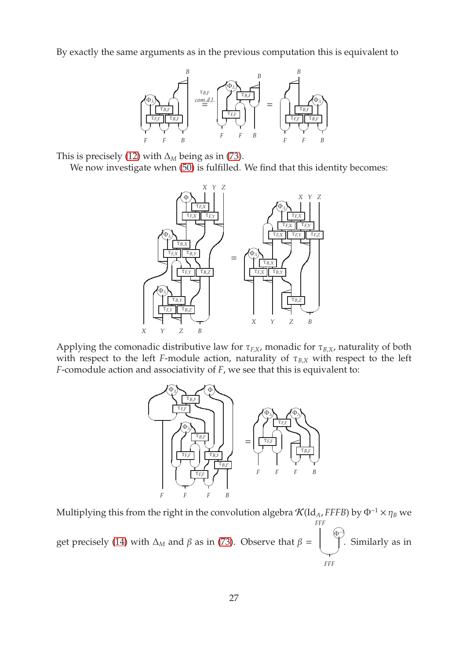By exactly the same arguments as in the previous computation this is equivalent to



This is precisely [\(12\)](#page-6-2) with  $\Delta_M$  being as in [\(73\)](#page-25-0).

We now investigate when [\(50\)](#page-18-1) is fulfilled. We find that this identity becomes:



Applying the comonadic distributive law for  $\tau_{F,X}$ , monadic for  $\tau_{B,X}$ , naturality of both with respect to the left *F*-module action, naturality of  $\tau_{B,X}$  with respect to the left *F*-comodule action and associativity of *F*, we see that this is equivalent to:



Multiplying this from the right in the convolution algebra  $\mathcal{K}(Id_A, FFFB)$  by  $\Phi^{-1} \times \eta_B$  we get precisely [\(14\)](#page-6-0) with  $\Delta_M$  and  $\beta$  as in [\(73\)](#page-25-0). Observe that  $\beta =$ *FFF* Φ♠<sup>−</sup><sup>1</sup>  $\rightarrow$ *FFF* . Similarly as in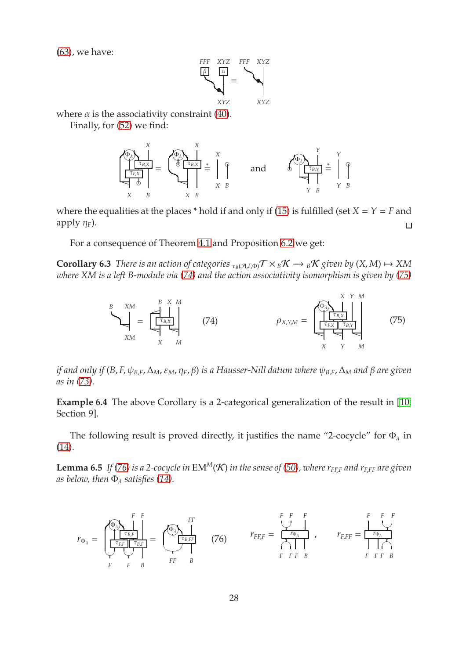[\(63\)](#page-21-0), we have:



where  $\alpha$  is the associativity constraint [\(40\)](#page-16-1).

Finally, for [\(52\)](#page-18-3) we find:

$$
\underbrace{\left(\begin{matrix} \overline{\Phi_{\lambda}} \\ \overline{\Phi_{\lambda}} \\ \overline{\Phi_{\lambda}} \\ \overline{\Phi_{\lambda}} \end{matrix}\right)}_{X \ B} = \underbrace{\left(\begin{matrix} \overline{\Phi_{\lambda}} \\ \overline{\Phi_{\lambda}} \\ \overline{\Phi_{\lambda}} \end{matrix}\right)}_{X \ B} = \underbrace{\left(\begin{matrix} X \\ Y \\ Y \end{matrix}\right)}_{X \ B} = \underbrace{\left(\begin{matrix} Y \\ Y \\ Y \end{matrix}\right)}_{X \ B} = \underbrace{\left(\begin{matrix} Y \\ Y \\ Y \end{matrix}\right)}_{Y \ B} = \underbrace{\left(\begin{matrix} Y \\ Y \\ Y \end{matrix}\right)}_{Y \ B} = \underbrace{\left(\begin{matrix} Y \\ Y \\ Y \end{matrix}\right)}_{Y \ B}
$$

where the equalities at the places  $*$  hold if and only if [\(15\)](#page-6-1) is fulfilled (set  $X = Y = F$  and apply  $\eta_F$ ).  $\Box$ 

<span id="page-27-4"></span>For a consequence of Theorem [4.1](#page-16-0) and Proposition [6.2](#page-24-0) we get:

**Corollary 6.3** *There is an action of categories*  $\tau_B(\mathcal{A}, E \Phi) \mathcal{T} \times_B \mathcal{K} \to_B \mathcal{K}$  *given by*  $(X, M) \mapsto XM$ *where XM is a left B-module via [\(74\)](#page-27-1) and the action associativity isomorphism is given by [\(75\)](#page-27-2)*

<span id="page-27-2"></span><span id="page-27-1"></span>
$$
\beta_{\text{XM}} = \begin{bmatrix} B & X & M \\ \hline \frac{\tau_{B,X}}{\tau_{B,X}} \end{bmatrix} \qquad (74) \qquad \qquad \rho_{X,Y,M} = \begin{bmatrix} \phi_{\lambda} \\ \hline \frac{\tau_{B,X}}{\tau_{B,X}} \end{bmatrix} \qquad \qquad (75)
$$

*if and only if* (*B*, *F*, ψ*<sup>B</sup>*,*<sup>F</sup>*,∆*M*, ε*M*, η*F*, β) *is a Hausser-Nill datum where* ψ*<sup>B</sup>*,*<sup>F</sup>*,∆*<sup>M</sup> and* β *are given as in [\(73\)](#page-25-0).*

**Example 6.4** The above Corollary is a 2-categorical generalization of the result in [\[10,](#page-42-3) Section 9].

<span id="page-27-0"></span>The following result is proved directly, it justifies the name "2-cocycle" for  $\Phi_{\lambda}$  in [\(14\)](#page-6-0).

**Lemma 6.5** *If* [\(76\)](#page-27-3) *is a 2-cocycle in*  $EM^M(\mathcal{K})$  *in the sense of* [\(50\)](#page-18-1)*, where*  $r_{FF,F}$  *and*  $r_{FFF}$  *are given as below, then*  $\Phi_{\lambda}$  *satisfies* [\(14\)](#page-6-0)*.* 

<span id="page-27-3"></span>*r*<sup>Φ</sup><sup>λ</sup> = *F F* Φ♠<sup>λ</sup> τ*B*,*<sup>F</sup>* τ*F*,*<sup>F</sup>* τ*B*,*<sup>F</sup>* ✡✠✡✠ *F F B* = *FF* Φ♠<sup>λ</sup> τ*B*,*FF* ✍ ✌ *FF B* (76) *<sup>r</sup>FF*,*<sup>F</sup>* <sup>=</sup> *F F F* ✡✠ ☛ *r* ✟ Φλ *F F F B* , *r<sup>F</sup>*,*FF* = *F F F* ✡✠ *<sup>r</sup>*Φ<sup>λ</sup>☛✟ *F F F B*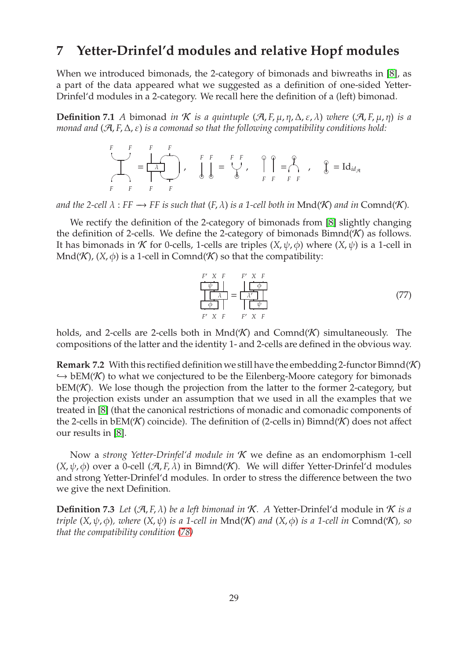### <span id="page-28-0"></span>**7 Yetter-Drinfel'd modules and relative Hopf modules**

When we introduced bimonads, the 2-category of bimonads and biwreaths in [\[8\]](#page-42-2), as a part of the data appeared what we suggested as a definition of one-sided Yetter-Drinfel'd modules in a 2-category. We recall here the definition of a (left) bimonad.

**Definition 7.1** *A* bimonad *in K is a quintuple*  $(\mathcal{A}, F, \mu, \eta, \Delta, \varepsilon, \lambda)$  *where*  $(\mathcal{A}, F, \mu, \eta)$  *is a monad and* ( $\mathcal{A}, F, \Delta, ε$ ) *is a comonad so that the following compatibility conditions hold:* 

$$
\begin{array}{c}\nF \quad F \quad F \quad F \\
\hline\n\end{array}
$$
\n
$$
\begin{array}{c}\nF \quad F \quad F \\
\hline\n\end{array}
$$
\n
$$
\begin{array}{c}\nF \quad F \quad F \\
\hline\n\end{array}
$$
\n
$$
\begin{array}{c}\nF \quad F \quad F \\
\hline\n\end{array}
$$
\n
$$
\begin{array}{c}\nF \quad F \quad F \\
\hline\n\end{array}
$$
\n
$$
\begin{array}{c}\nF \quad F \quad F \quad F \\
\hline\n\end{array}
$$
\n
$$
\begin{array}{c}\nF \quad F \quad F \quad F \\
\hline\n\end{array}
$$
\n
$$
\begin{array}{c}\nF \quad F \quad F \quad F \\
\hline\n\end{array}
$$
\n
$$
\begin{array}{c}\nG \quad \text{and} \\
G \quad \text{and} \\
F \quad F \quad F \quad F\n\end{array}
$$

*and the 2-cell*  $\lambda$  : *FF*  $\rightarrow$  *FF is such that* (*F*,  $\lambda$ ) *is a 1-cell both in* Mnd( $\mathcal K$ ) *and in* Comnd( $\mathcal K$ )*.* 

We rectify the definition of the 2-category of bimonads from [\[8\]](#page-42-2) slightly changing the definition of 2-cells. We define the 2-category of bimonads  $Bimnd(\mathcal{K})$  as follows. It has bimonads in *K* for 0-cells, 1-cells are triples  $(X, \psi, \phi)$  where  $(X, \psi)$  is a 1-cell in Mnd(K),  $(X, \phi)$  is a 1-cell in Comnd(K) so that the compatibility:

<span id="page-28-2"></span>
$$
\frac{F' \times F}{\frac{\psi}{\phi}} = \frac{\frac{\psi}{\phi}}{\frac{\lambda'}{\frac{\psi}{\phi}}}
$$
\n
$$
\frac{\frac{\lambda}{\phi}}{F' \times F} = \frac{F' \times F}{F' \times F}
$$
\n(77)

holds, and 2-cells are 2-cells both in  $Mnd(K)$  and  $Comnd(K)$  simultaneously. The compositions of the latter and the identity 1- and 2-cells are defined in the obvious way.

**Remark 7.2** With this rectified definition we still have the embedding 2-functor Bimnd(K)  $\hookrightarrow$  bEM(K) to what we conjectured to be the Eilenberg-Moore category for bimonads  $bEM(K)$ . We lose though the projection from the latter to the former 2-category, but the projection exists under an assumption that we used in all the examples that we treated in [\[8\]](#page-42-2) (that the canonical restrictions of monadic and comonadic components of the 2-cells in  $bEM(K)$  coincide). The definition of (2-cells in) Bimnd(K) does not affect our results in [\[8\]](#page-42-2).

Now a *strong Yetter-Drinfel'd module in* K we define as an endomorphism 1-cell  $(X, \psi, \phi)$  over a 0-cell  $(\mathcal{A}, F, \lambda)$  in Bimnd(K). We will differ Yetter-Drinfel'd modules and strong Yetter-Drinfel'd modules. In order to stress the difference between the two we give the next Definition.

<span id="page-28-1"></span>**Definition 7.3** Let  $(\mathcal{A}, F, \lambda)$  be a left bimonad in K. A Yetter-Drinfel'd module in K is a *triple*  $(X, \psi, \phi)$ *, where*  $(X, \psi)$  *is a 1-cell in* Mnd(K) *and*  $(X, \phi)$  *is a 1-cell in* Comnd(K)*, so that the compatibility condition [\(78\)](#page-29-0)*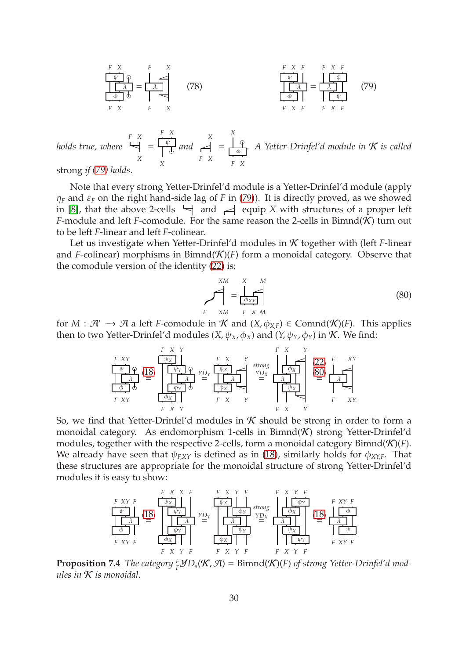<span id="page-29-1"></span><span id="page-29-0"></span>

| F      | X      | F      | X |
|--------|--------|--------|---|
| $\phi$ | $\phi$ | $\phi$ |   |
| $\phi$ | $\phi$ | $\phi$ |   |
| F      | X      | F      | X |

\n(78)

\n

| $\phi$ | $\phi$ | $\phi$ |   |
|--------|--------|--------|---|
| F      | X      | F      | X |
| F      | X      | F      | X |

\n(79)

*holds true, where F X*  $\overline{\phantom{0}}$ *X* = *F X* ψ ❞ *X and X* ✏ *F X* = *X* ❞ φ *F X . A Yetter-Drinfel'd module in* K *is called*

strong *if [\(79\)](#page-29-1) holds.*

Note that every strong Yetter-Drinfel'd module is a Yetter-Drinfel'd module (apply  $\eta_F$  and  $\varepsilon_F$  on the right hand-side lag of *F* in [\(79\)](#page-29-1)). It is directly proved, as we showed in [\[8\]](#page-42-2), that the above 2-cells  $\leftarrow$  and  $\rightleftarrow$  equip *X* with structures of a proper left *F*-module and left *F*-comodule. For the same reason the 2-cells in Bimnd( $K$ ) turn out to be left *F*-linear and left *F*-colinear.

Let us investigate when Yetter-Drinfel'd modules in K together with (left *F*-linear and *F*-colinear) morphisms in Bimnd( $K$ )(*F*) form a monoidal category. Observe that the comodule version of the identity [\(22\)](#page-8-2) is:

<span id="page-29-2"></span>
$$
\sum_{F}^{XM} = \underbrace{\sum_{\phi_{X,F}}^{X} M}_{F \quad XM} \tag{80}
$$

for  $M : \mathcal{A}' \to \mathcal{A}$  a left *F*-comodule in  $\mathcal{K}$  and  $(X, \phi_{X,F}) \in \text{Comnd}(\mathcal{K})(F)$ . This applies then to two Yetter-Drinfel'd modules  $(X, \psi_X, \phi_X)$  and  $(Y, \psi_Y, \phi_Y)$  in K. We find:

| F XY   | F X Y  | F X Y  |        |        |        |        |        |        |        |        |        |        |        |        |        |        |        |        |        |        |        |        |        |        |        |        |        |        |        |        |        |        |        |        |        |        |        |        |        |        |        |        |        |        |        |        |        |        |        |        |        |        |        |        |        |        |     |
|--------|--------|--------|--------|--------|--------|--------|--------|--------|--------|--------|--------|--------|--------|--------|--------|--------|--------|--------|--------|--------|--------|--------|--------|--------|--------|--------|--------|--------|--------|--------|--------|--------|--------|--------|--------|--------|--------|--------|--------|--------|--------|--------|--------|--------|--------|--------|--------|--------|--------|--------|--------|--------|--------|--------|--------|--------|-----|
| $\psi$ | $\phi$ | $\psi$ | $\phi$ | $\psi$ | $\phi$ | $\psi$ | $\phi$ |        |        |        |        |        |        |        |        |        |        |        |        |        |        |        |        |        |        |        |        |        |        |        |        |        |        |        |        |        |        |        |        |        |        |        |        |        |        |        |        |        |        |        |        |        |        |        |        |        |     |
| $\phi$ | $\phi$ | $\phi$ | $\phi$ | $\psi$ | $\phi$ | $\psi$ | $\phi$ | $\psi$ | $\psi$ | $\psi$ | $\psi$ | $\psi$ | $\psi$ | $\psi$ | $\psi$ | $\psi$ | $\psi$ | $\psi$ | $\psi$ | $\psi$ | $\psi$ | $\psi$ | $\psi$ | $\psi$ | $\psi$ | $\psi$ | $\psi$ | $\psi$ | $\psi$ | $\psi$ | $\psi$ | $\psi$ | $\psi$ | $\psi$ | $\psi$ | $\psi$ | $\psi$ | $\psi$ | $\psi$ | $\psi$ | $\psi$ | $\psi$ | $\psi$ | $\psi$ | $\psi$ | $\psi$ | $\psi$ | $\psi$ | $\psi$ | $\psi$ | $\psi$ | $\psi$ | $\psi$ | $\psi$ | $\psi$ | $\psi$ | $\$ |

So, we find that Yetter-Drinfel'd modules in  $K$  should be strong in order to form a monoidal category. As endomorphism 1-cells in Bimnd(K) strong Yetter-Drinfel'd modules, together with the respective 2-cells, form a monoidal category Bimnd(K)(*F*). We already have seen that  $\psi_{\text{EXT}}$  is defined as in [\(18\)](#page-7-0), similarly holds for  $\phi_{XY}$ . That these structures are appropriate for the monoidal structure of strong Yetter-Drinfel'd modules it is easy to show:



**Proposition 7.4** *The category*  $^F_F$ *J* $D_s$ ( $\mathcal{K}, \mathcal{A}$ ) = Bimnd( $\mathcal{K}$ )(*F*) *of strong Yetter-Drinfel'd modules in* K *is monoidal.*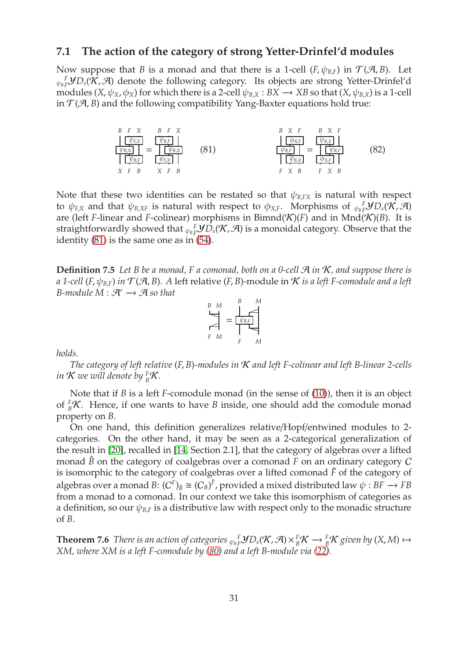#### **7.1 The action of the category of strong Yetter-Drinfel'd modules**

Now suppose that *B* is a monad and that there is a 1-cell ( $F, \psi_{B,F}$ ) in  $\mathcal{T}(A, B)$ . Let  ${}_{\psi_B}$ *F* $\mathcal{Y}D_s(\mathcal{K}, \mathcal{A})$  denote the following category. Its objects are strong Yetter-Drinfel'd modules  $(X, \psi_X, \phi_X)$  for which there is a 2-cell  $\psi_{B,X} : BX \to XB$  so that  $(X, \psi_{B,X})$  is a 1-cell in  $\mathcal{T}(\mathcal{A}, B)$  and the following compatibility Yang-Baxter equations hold true:

<span id="page-30-2"></span><span id="page-30-1"></span>*B F X* ψ*F*,*<sup>X</sup>* ψ*B*,*<sup>X</sup>* ψ*B*,*<sup>F</sup> X F B* = *B F X* ψ*B*,*<sup>F</sup>* ψ*B*,*<sup>X</sup>* ψ*F*,*<sup>X</sup> X F B* (81) *B X F* φ*X*,*<sup>F</sup>* ψ*B*,*<sup>F</sup>* ψ*B*,*<sup>X</sup> F X B* = *B X F* ψ*B*,*<sup>X</sup>* ψ*B*,*<sup>F</sup>* φ*X*,*<sup>F</sup> F X B* (82)

Note that these two identities can be restated so that  $\psi_{B,FX}$  is natural with respect to  $\psi_{F,X}$  and that  $\psi_{B,XF}$  is natural with respect to  $\phi_{X,F}.$  Morphisms of  ${}_{\psi_B}{}^F_F\bm{y}D_s(\bm{\mathcal{K}},\bm{\mathcal{A}})$ are (left *F*-linear and *F*-colinear) morphisms in Bimnd( $\mathcal{K}$ )(*F*) and in Mnd( $\mathcal{K}$ )(*B*). It is straightforwardly showed that  ${}_{\psi_B}^F F$ *YD<sub>s</sub>*( $K$ ,  ${\cal A}$ ) is a monoidal category. Observe that the identity [\(81\)](#page-30-1) is the same one as in [\(54\)](#page-18-5).

<span id="page-30-3"></span>**Definition 7.5** Let B be a monad, F a comonad, both on a 0-cell  $\mathcal{A}$  in  $\mathcal{K}$ , and suppose there is *a* 1-cell (*F*,  $\psi_{B,F}$ ) *in*  $\mathcal{T}(\mathcal{A}, B)$ . A left relative (*F*, *B*)-module in  $\mathcal{K}$  *is a left F*-comodule and a left *B-module M* :  $\mathcal{A}' \rightarrow \mathcal{A}$  *so that* 

$$
B \underset{F \ M}{\bigcup} = \underset{F \ M}{\underbrace{\bigcup_{F \ E_F}} \underset{F}{\bigcup_{F \ M}}^{B}
$$

*holds.*

*The category of left relative* (*F*, *B*)*-modules in* K *and left F-colinear and left B-linear 2-cells in*  $K$  we will denote by  $_{B}^F K$ .

Note that if *B* is a left *F*-comodule monad (in the sense of [\(10\)](#page-5-4)), then it is an object of  ${}_{B}^{F}$ K. Hence, if one wants to have *B* inside, one should add the comodule monad property on *B*.

On one hand, this definition generalizes relative/Hopf/entwined modules to 2 categories. On the other hand, it may be seen as a 2-categorical generalization of the result in [\[20\]](#page-42-16), recalled in [\[14,](#page-42-6) Section 2.1], that the category of algebras over a lifted monad  $\hat{B}$  on the category of coalgebras over a comonad  $F$  on an ordinary category  $C$ is isomorphic to the category of coalgebras over a lifted comonad *F*ˆ of the category of algebras over a monad  $B\colon (C^F)_{\hat B}\cong (C_B)^{\hat F}$ , provided a mixed distributed law  $\psi:BF\longrightarrow FB$ from a monad to a comonad. In our context we take this isomorphism of categories as a definition, so our  $\psi_{B,F}$  is a distributive law with respect only to the monadic structure of *B*.

<span id="page-30-0"></span>**Theorem 7.6** There is an action of categories  $\psi_{BF}^F$ *PD*<sub>s</sub>( $\mathcal{K}, \mathcal{A}$ )× $\frac{F}{B}\mathcal{K} \to \frac{F}{B}\mathcal{K}$  given by (X, M)  $\mapsto$ *XM, where XM is a left F-comodule by [\(80\)](#page-29-2) and a left B-module via [\(22\)](#page-8-2).*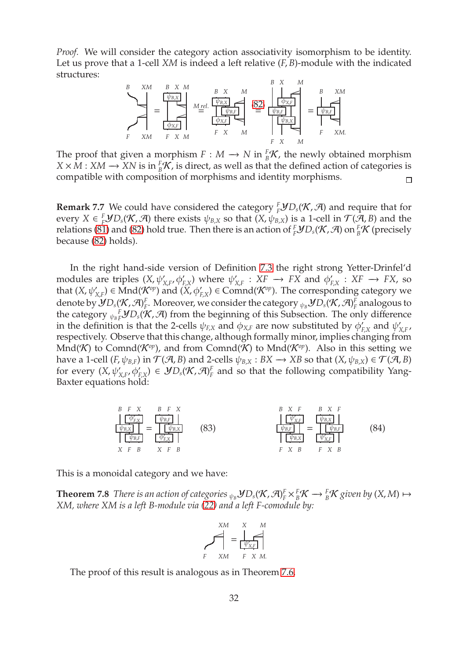*Proof.* We will consider the category action associativity isomorphism to be identity. Let us prove that a 1-cell *XM* is indeed a left relative (*F*, *B*)-module with the indicated structures:



The proof that given a morphism  $F : M \to N$  in  ${}^F_B\mathcal{K}$ , the newly obtained morphism  $X \times M : XM \to XN$  is in  ${}_B^F K$ , is direct, as well as that the defined action of categories is compatible with composition of morphisms and identity morphisms.  $\Box$ 

**Remark** 7.7 We could have considered the category  ${}^F_F$  $D_S(\mathcal{K}, \mathcal{A})$  and require that for every  $X \in {}^F_F$ *y* $D_s$ (*K*,  $\mathcal{A}$ ) there exists  $\psi_{B,X}$  so that (*X*,  $\psi_{B,X}$ ) is a 1-cell in  $\mathcal{T}(\mathcal{A}, B)$  and the relations [\(81\)](#page-30-1) and [\(82\)](#page-30-2) hold true. Then there is an action of  $^F_{F}$ *yD*<sub>*s*</sub>( $\mathcal K$ ,  $\mathcal A$ ) on  $^F_{B}K$  (precisely because [\(82\)](#page-30-2) holds).

In the right hand-side version of Definition [7.3](#page-28-1) the right strong Yetter-Drinfel'd modules are triples  $(X, \psi'_{X,F}, \phi'_{F,X})$  where  $\psi'_{Y}$  $'_{X,F}: \overline{X}F \rightarrow FX$  and  $\phi'_F$  $'_{F,X}$  :  $XF \rightarrow FX$ , so that  $(X, \psi'_{X,F}) \in \text{Mnd}(\mathcal{K}^{op})$  and  $(\widetilde{X}, \phi'_{F,X}) \in \text{Comnd}(\mathcal{K}^{op})$ . The corresponding category we denote by  $\mathcal{Y} D_s(\mathcal{K},\mathcal{A})^F_F$ *F*. Moreover, we consider the category  ${}_{\psi_B}\mathcal{Y}D_s(\mathcal{K},\mathcal{A})^F_F$  $_F^F$  analogous to the category  $\psi_B^F F$ *F* $\mathcal{Y}D_s(\mathcal{K}, \mathcal{A})$  from the beginning of this Subsection. The only difference in the definition is that the 2-cells  $\psi_{F,X}$  and  $\phi_{X,F}$  are now substituted by  $\phi'_F$  $'_{F,X}$  and  $\psi'_y$ *X*,*F* , respectively. Observe that this change, although formally minor, implies changing from  $Mnd(\mathcal{K})$  to Comnd( $\mathcal{K}^{op}$ ), and from Comnd( $\mathcal{K})$  to Mnd( $\mathcal{K}^{op}$ ). Also in this setting we have a 1-cell  $(F, \psi_{B,F})$  in  $\mathcal{T}(\mathcal{A}, B)$  and 2-cells  $\psi_{B,X} : BX \to XB$  so that  $(X, \psi_{B,X}) \in \mathcal{T}(\mathcal{A}, B)$ for every  $(X, \psi'_{X,F}, \phi'_{F,X}) \in \mathcal{Y}D_s(\mathcal{K}, \mathcal{A})^F_F$  $F_F$  and so that the following compatibility Yang-Baxter equations hold:

<span id="page-31-0"></span>
$$
\begin{array}{c|c|c|c|c|c|c|c|c} B & F & X & B & F & X & B & X & F & B & X & F \\ \hline \hline \hline \psi_{B,X} & \psi_{B,F} & \psi_{B,F} & \psi_{B,K} & \psi_{B,F} & \psi_{B,K} & \psi_{B,F} \\ \hline \hline \psi_{B,F} & \psi_{B,F} & \psi_{B,F} & \psi_{B,F} & \psi_{B,F} & \psi_{B,F} \\ X & F & B & X & F & B & F & X & B \\ \end{array} \tag{84}
$$

<span id="page-31-2"></span>This is a monoidal category and we have:

**Theorem 7.8** *There is an action of categories*  $_{\psi_B}$  $\n *JD_s(K, \mathcal{A})^F_F*$   $\times^F_BK \to^F_BK$  given by  $(X, M) \mapsto$ *XM, where XM is a left B-module via [\(22\)](#page-8-2) and a left F-comodule by:*

<span id="page-31-1"></span>
$$
\sum_{F}^{XM} = \underbrace{\begin{array}{c} X & M \\ \downarrow & \downarrow \\ \downarrow & \downarrow \\ F & XM & F & X & M. \end{array}}_{F} \tag{A}
$$

The proof of this result is analogous as in Theorem [7.6.](#page-30-0)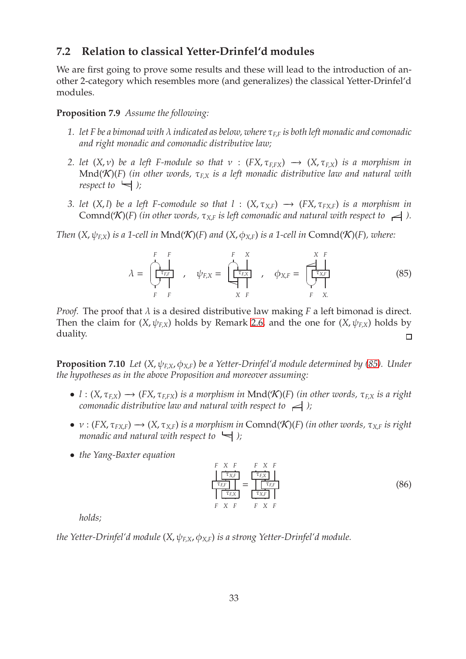### **7.2 Relation to classical Yetter-Drinfel'd modules**

We are first going to prove some results and these will lead to the introduction of another 2-category which resembles more (and generalizes) the classical Yetter-Drinfel'd modules.

#### **Proposition 7.9** *Assume the following:*

- *1. let F be a bimonad with* λ *indicated as below, where* τ*<sup>F</sup>*,*<sup>F</sup> is both left monadic and comonadic and right monadic and comonadic distributive law;*
- *2. let*  $(X, v)$  *be a left F-module so that*  $v : (FX, \tau_{F, FX}) \rightarrow (X, \tau_{F,X})$  *is a morphism in* Mnd(K)(*F*) *(in other words,* τ*<sup>F</sup>*,*<sup>X</sup> is a left monadic distributive law and natural with respect to*  $\leftarrow$  *)*;
- *3. let*  $(X, l)$  *be a left F-comodule so that l* :  $(X, \tau_{X,F}) \rightarrow (FX, \tau_{FXF})$  *is a morphism in* Comnd(K)(F) (in other words,  $\tau_{X,F}$  is left comonadic and natural with respect to  $\leq$ ).

*Then*  $(X, \psi_{\text{EX}})$  *is a 1-cell in* Mnd $(\mathcal{K})(F)$  *and*  $(X, \phi_{X,F})$  *is a 1-cell in* Comnd $(\mathcal{K})(F)$ *, where:* 

<span id="page-32-0"></span>λ = *F F* ☛✟ τ*F*,*<sup>F</sup>* ✡✠ *F F* , ψ*<sup>F</sup>*,*<sup>X</sup>* = *F X* ☛✟ τ*F*,*<sup>X</sup>* P *X F* , φ*<sup>X</sup>*,*<sup>F</sup>* = *X F* ✏ τ*X*,*<sup>F</sup>* ✡✠ *F X*. (85)

*Proof.* The proof that  $\lambda$  is a desired distributive law making  $F$  a left bimonad is direct. Then the claim for  $(X, \psi_{EX})$  holds by Remark [2.6,](#page-8-4) and the one for  $(X, \psi_{EX})$  holds by duality.  $\Box$ 

<span id="page-32-2"></span>**Proposition 7.10** *Let* (*X*, ψ*<sup>F</sup>*,*<sup>X</sup>*, φ*<sup>X</sup>*,*<sup>F</sup>*) *be a Yetter-Drinfel'd module determined by [\(85\)](#page-32-0). Under the hypotheses as in the above Proposition and moreover assuming:*

- $l : (X, \tau_{F,X}) \longrightarrow (FX, \tau_{F,FX})$  *is a morphism in* Mnd(K)(*F*) *(in other words,*  $\tau_{F,X}$  *is a right comonadic distributive law and natural with respect to*  $\rightarrow$  *)*;
- $v : (FX, \tau_{FX,F}) \rightarrow (X, \tau_{XF})$  *is a morphism in* Comnd(K)(*F*) *(in other words,*  $\tau_{XF}$  *is right monadic and natural with respect to*  $\leftarrow$  *)*;
- *the Yang-Baxter equation*

<span id="page-32-1"></span>*F X F* τ*X*,*<sup>F</sup>* τ*F*,*<sup>F</sup>* τ*F*,*<sup>X</sup> F X F* = *F X F* τ*F*,*<sup>X</sup>* τ*F*,*<sup>F</sup>* τ*X*,*<sup>F</sup> F X F* (86)

*holds;*

*the Yetter-Drinfel'd module* (*X*, ψ*<sup>F</sup>*,*<sup>X</sup>*, φ*<sup>X</sup>*,*<sup>F</sup>*) *is a strong Yetter-Drinfel'd module.*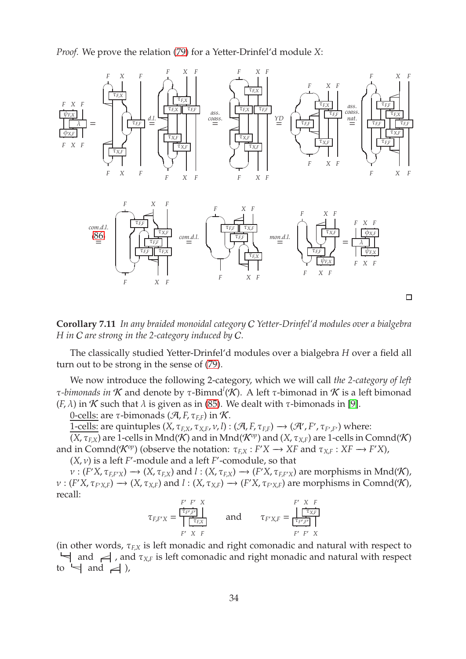*Proof.* We prove the relation [\(79\)](#page-29-1) for a Yetter-Drinfel'd module *X*:



**Corollary 7.11** *In any braided monoidal category* C *Yetter-Drinfel'd modules over a bialgebra H in* C *are strong in the 2-category induced by* C*.*

The classically studied Yetter-Drinfel'd modules over a bialgebra *H* over a field all turn out to be strong in the sense of [\(79\)](#page-29-1).

We now introduce the following 2-category, which we will call *the 2-category of left* τ-bimonads in  $\cal K$  and denote by τ-Bimnd ${}^l({\cal K})$ . A left τ-bimonad in  $\cal K$  is a left bimonad (*F*,  $\lambda$ ) in *K* such that  $\lambda$  is given as in [\(85\)](#page-32-0). We dealt with  $\tau$ -bimonads in [\[9\]](#page-42-14).

0-cells: are *τ*-bimonads ( $\mathcal{A}, F, \tau_{EF}$ ) in K.

<u>1-cells:</u> are quintuples  $(X, \tau_{F,X}, \tau_{X,F}, \nu, l) : (\mathcal{A}, F, \tau_{F,F}) \longrightarrow (\mathcal{A}', F', \tau_{F',F'})$  where:

 $(X, \tau_{F,X})$  are 1-cells in Mnd(K) and in Mnd( $\mathcal{K}^{op}$ ) and  $(X, \tau_{X,F})$  are 1-cells in Comnd(K) and in Comnd( $\mathcal{K}^{op}$ ) (observe the notation:  $\tau_{F,X}: F'X \to XF$  and  $\tau_{X,F}: XF \to F'X$ ),

 $(X, v)$  is a left *F*'-module and a left *F*'-comodule, so that

 $\nu: (F'X, \tau_{F,F'X}) \longrightarrow (X, \tau_{F,X})$  and  $l: (X, \tau_{F,X}) \longrightarrow (F'X, \tau_{F,F'X})$  are morphisms in Mnd(K),  $\nu: (F'X, \tau_{F'X,F}) \longrightarrow (X, \tau_{X,F})$  and  $l: (X, \tau_{X,F}) \longrightarrow (F'X, \tau_{F'X,F})$  are morphisms in Comnd(K), recall:

$$
\tau_{F,F'X} = \frac{\begin{array}{c|c} F' & F' & X \\ \hline \hline \tau_{F',F'} & \end{array}}{\begin{array}{c|c|c} \hline \tau_{F,X} & F \\ \hline \end{array}} \qquad \text{and} \qquad \tau_{F'X,F} = \frac{\begin{array}{c|c} F' & X & F \\ \hline \tau_{F',F'} & \end{array}}{\begin{array}{c|c} \hline \tau_{F',F'} & F' & X \\ \hline \end{array}}
$$

(in other words,  $\tau_{FX}$  is left monadic and right comonadic and natural with respect to  $\forall$  and  $\prec$ , and  $\tau_{X,F}$  is left comonadic and right monadic and natural with respect to  $\leftarrow$  and  $\leftarrow$ ),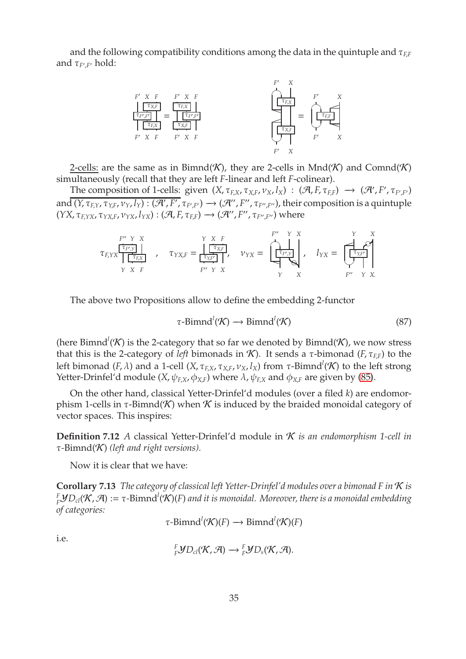and the following compatibility conditions among the data in the quintuple and τ*<sup>F</sup>*,*<sup>F</sup>* and *τ<sub>F',F'</sub>* hold:



2-cells: are the same as in Bimnd(K), they are 2-cells in  $Mnd(K)$  and  $Comnd(K)$ simultaneously (recall that they are left *F*-linear and left *F*-colinear).

The composition of 1-cells: given  $(X, \tau_{F,X}, \tau_{X,F}, \nu_X, l_X)$  :  $(\mathcal{A}, F, \tau_{F,F}) \rightarrow (\mathcal{A}', F', \tau_{F',F'})$ and  $\overline{(Y,\tau_{F,Y},\tau_{Y,F},\nu_Y,l_Y)}:(\mathcal{A}',F',\tau_{F',F'})\to (\mathcal{A}'',F'',\tau_{F'',F''})$ , their composition is a quintuple  $(YX, \tau_{F, YX}, \tau_{YX, F}, \nu_{YX}, l_{YX}) : (\mathcal{A}, F, \tau_{F,F}) \longrightarrow (\mathcal{A}'', F'', \tau_{F'', F''})$  where

$$
\tau_{F,YX}\underbrace{\begin{array}{|c|c|c|c|c|c|c|c} F^{\prime\prime}&Y&X&Y&X\\ \hline \tau_{F,YX}&\tau_{YX,F}&\tau_{YX,F}&\tau_{YX,F}&\tau_{YX}&Y&X\\ Y&X&F&\tau_{Y}^{\prime}&Y&X&\tau_{Y}^{\prime}&X \end{array}}_{F^{\prime\prime}\quad Y\quad X}\quad \nu_{YX}=\underbrace{\begin{array}{|c|c|c|c|c|c|c|c} F^{\prime\prime}&Y&X&Y&X\\ \hline \tau_{F,YX}&\tau_{Y}&X&\tau_{Y}^{\prime}&Y&X\\ Y&X&\tau_{Y}^{\prime}&Y&X.\\ \end{array}}
$$

The above two Propositions allow to define the embedding 2-functor

<span id="page-34-0"></span>
$$
\tau\text{-Bimnd}^l(\mathcal{K}) \longrightarrow \text{Bimnd}^l(\mathcal{K})\tag{87}
$$

(here Bimnd<sup>*l*</sup>( $K$ ) is the 2-category that so far we denoted by Bimnd( $K$ ), we now stress that this is the 2-category of *left* bimonads in *K*). It sends a *τ*-bimonad (*F*,  $τ_{FF}$ ) to the left bimonad (*F,*  $\lambda$ ) and a 1-cell (*X, τ<sub>F,X</sub>, τ<sub>X,F</sub>, ν<sub>X</sub>, l<sub>X</sub>) from τ-Bimnd<sup>l</sup>(* $\cal K$ *) to the left strong* Yetter-Drinfel'd module  $(X, \psi_{F,X}, \phi_{X,F})$  where  $\lambda$ ,  $\psi_{F,X}$  and  $\phi_{X,F}$  are given by [\(85\)](#page-32-0).

On the other hand, classical Yetter-Drinfel'd modules (over a filed *k*) are endomorphism 1-cells in  $\tau$ -Bimnd(K) when K is induced by the braided monoidal category of vector spaces. This inspires:

**Definition 7.12** *A* classical Yetter-Drinfel'd module in K *is an endomorphism 1-cell in* τ*-*Bimnd(K) *(left and right versions).*

Now it is clear that we have:

**Corollary 7.13** *The category of classical left Yetter-Drinfel'd modules over a bimonad F in* K *is F <sup>F</sup>*Y*Dcl*(K, <sup>A</sup>) :<sup>=</sup> <sup>τ</sup>*-*Bimnd*<sup>l</sup>* (K)(*F*) *and it is monoidal. Moreover, there is a monoidal embedding of categories:*

$$
\tau\text{-Bimnd}^l(\mathcal{K})(F) \longrightarrow \text{Bimnd}^l(\mathcal{K})(F)
$$

i.e.

$$
{}^F_F\mathcal{Y}D_{cl}(\mathcal{K},\mathcal{A})\longrightarrow {}^F_F\mathcal{Y}D_{s}(\mathcal{K},\mathcal{A}).
$$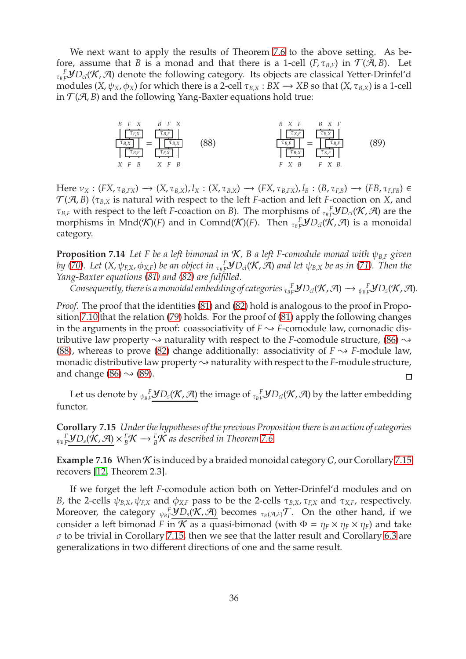We next want to apply the results of Theorem [7.6](#page-30-0) to the above setting. As before, assume that *B* is a monad and that there is a 1-cell ( $F, \tau_{B,F}$ ) in  $\mathcal{T}(A, B)$ . Let τ*B F <sup>F</sup>*Y*Dcl*(K, A) denote the following category. Its objects are classical Yetter-Drinfel'd modules  $(X, \psi_X, \phi_X)$  for which there is a 2-cell  $\tau_{B,X} : BX \to XB$  so that  $(X, \tau_{B,X})$  is a 1-cell in  $\mathcal{T}(A, B)$  and the following Yang-Baxter equations hold true:

<span id="page-35-1"></span><span id="page-35-0"></span>
$$
\frac{B \quad F \quad X}{\left[\frac{\tau_{E,X}}{\tau_{B,X}}\right]} = \frac{\left[\frac{\tau_{B,F}}{\tau_{B,K}}\right]}{\left[\frac{\tau_{B,K}}{\tau_{E,K}}\right]}
$$
\n
$$
X \quad F \quad B \qquad X \quad F \quad B
$$
\n
$$
\frac{B \quad X \quad F \quad B \quad X \quad F}{\left[\frac{\tau_{B,K}}{\tau_{B,K}}\right]} = \frac{\left[\frac{\tau_{B,X}}{\tau_{B,K}}\right]}{\left[\frac{\tau_{B,K}}{\tau_{B,K}}\right]}
$$
\n
$$
F \quad X \quad B \qquad F \quad X \quad B.
$$
\n(89)

Here  $\nu_X : (FX, \tau_{B, FX}) \rightarrow (X, \tau_{B,X}), l_X : (X, \tau_{B,X}) \rightarrow (FX, \tau_{B,FX}), l_B : (B, \tau_{F,B}) \rightarrow (FB, \tau_{F,FB}) \in$  $\mathcal{T}(\mathcal{A},B)$  ( $\tau_{B,X}$  is natural with respect to the left *F*-action and left *F*-coaction on *X*, and *τ*<sub>*B*</sub>*F* with respect to the left *F*-coaction on *B*). The morphisms of  ${}_{\tau_B}$ *F* $YD_{cl}(K, \mathcal{A})$  are the morphisms in  $Mnd(\mathcal{K})(F)$  and in  $Comnd(\mathcal{K})(F)$ . Then  ${}_{\tau_B}^F\mathcal{Y}D_{cl}(\mathcal{K},\mathcal{A})$  is a monoidal category.

**Proposition 7.14** *Let F be a left bimonad in* K*, B a left F-comodule monad with* ψ*<sup>B</sup>*,*<sup>F</sup> given* by [\(70\)](#page-24-3). Let  $(X,\psi_{F,X},\phi_{X,F})$  be an object in  $_{\tau_B F}^{-F}$ UD<sub>cl</sub>( $K$ , A) and let  $\psi_{B,X}$  be as in [\(71\)](#page-24-4). Then the *Yang-Baxter equations [\(81\)](#page-30-1) and [\(82\)](#page-30-2) are fulfilled.*

*Consequently, there is a monoidal embedding of categories*  $\sigma_{BF}^F$ *<i>J* $D_{cl}$ (*K, A*)  $\rightarrow \sigma_{BF}^F$ *J* $D_{s}$ (*K, A*).

*Proof.* The proof that the identities [\(81\)](#page-30-1) and [\(82\)](#page-30-2) hold is analogous to the proof in Proposition [7.10](#page-32-2) that the relation [\(79\)](#page-29-1) holds. For the proof of [\(81\)](#page-30-1) apply the following changes in the arguments in the proof: coassociativity of  $F \rightarrow F$ -comodule law, comonadic distributive law property  $\rightsquigarrow$  naturality with respect to the *F*-comodule structure, [\(86\)](#page-32-1)  $\rightsquigarrow$ [\(88\)](#page-35-0), whereas to prove [\(82\)](#page-30-2) change additionally: associativity of  $F \sim F$ -module law, monadic distributive law property  $\sim$  naturality with respect to the *F*-module structure, and change [\(86\)](#page-32-1)  $\rightsquigarrow$  [\(89\)](#page-35-1).  $\Box$ 

<span id="page-35-2"></span>Let us denote by  $\psi_B$   $\frac{F}{2}$ *J*  $D_s$ (**K**,  $\mathcal{A}$ ) the image of  $\tau_B$   $\frac{F}{2}$ *J*  $D_{cl}$ (**K**,  $\mathcal{A}$ ) by the latter embedding functor.

**Corollary 7.15** *Under the hypotheses of the previous Proposition there is an action of categories*  ${}_{\psi_B}$ F $\underline{\mathcal{Y}}$ *D*<sub>s</sub>( $\mathcal{K}, \mathcal{A}$ )  $\times$   ${}^F_B\mathcal{K}$   $\longrightarrow$   ${}^F_B\mathcal{K}$  as described in Theorem [7.6.](#page-30-0)

**Example 7.16** When  $K$  is induced by a braided monoidal category  $C$ , our Corollary [7.15](#page-35-2) recovers [\[12,](#page-42-9) Theorem 2.3].

If we forget the left *F*-comodule action both on Yetter-Drinfel'd modules and on *B*, the 2-cells  $ψ_{B,X}$ ,  $ψ_{F,X}$  and  $φ_{X,F}$  pass to be the 2-cells  $τ_{B,X}$ ,  $τ_{F,X}$  and  $τ_{X,F}$ , respectively. Moreover, the category  ${}_{\psi_B}F^s_\mu\frac{\partial D_s(\mathcal{K},\mathcal{A})}{\partial D_s}$  becomes  ${}_{\tau_B(\mathcal{A},F)}\mathcal{T}$ . On the other hand, if we consider a left bimonad *F* in *K* as a quasi-bimonad (with  $\Phi = \eta_F \times \eta_F \times \eta_F$ ) and take  $\sigma$  to be trivial in Corollary [7.15,](#page-35-2) then we see that the latter result and Corollary [6.3](#page-27-4) are generalizations in two different directions of one and the same result.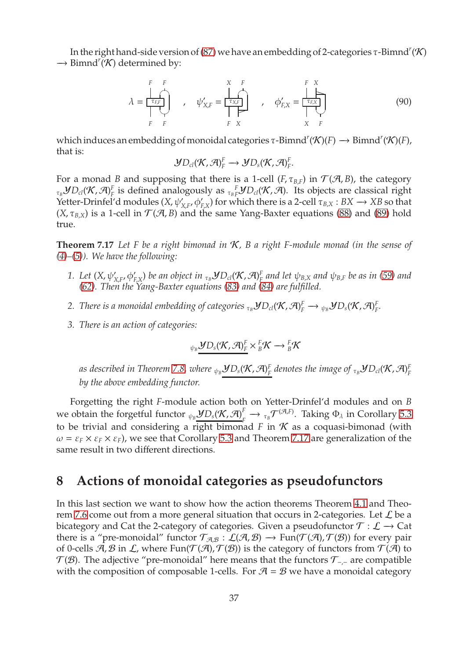In the right hand-side version of [\(87\)](#page-34-0) we have an embedding of 2-categories  $\tau$ -Bimnd<sup>r</sup> (K) → Bimnd<sup>*r*</sup>(*K*) determined by:

$$
\lambda = \frac{\begin{vmatrix} F & F \\ \hline \tau_{EF} \\ \hline \tau_{EF} \\ \hline \tau_{EF} \\ \hline \tau_{EF} \\ \hline \tau_{EF} \\ \hline \tau_{EF} \\ \hline \tau_{EF} \\ \hline \tau_{EF} \\ \hline \tau_{EF} \\ \hline \tau_{EF} \\ \hline \tau_{EF} \\ \hline \tau_{EF} \\ \hline \tau_{EF} \\ \hline \tau_{EF} \\ \hline \tau_{EF} \\ \hline \tau_{EF} \\ \hline \tau_{EF} \\ \hline \tau_{EF} \\ \hline \tau_{EF} \\ \hline \tau_{EF} \\ \hline \tau_{EF} \\ \hline \tau_{EF} \\ \hline \tau_{EF} \\ \hline \tau_{EF} \\ \hline \tau_{EF} \\ \hline \tau_{EF} \\ \hline \tau_{EF} \\ \hline \tau_{EF} \\ \hline \tau_{EF} \\ \hline \tau_{EF} \\ \hline \tau_{EF} \\ \hline \tau_{EF} \\ \hline \tau_{EF} \\ \hline \tau_{EF} \\ \hline \tau_{EF} \\ \hline \tau_{EF} \\ \hline \tau_{EF} \\ \hline \tau_{EF} \\ \hline \tau_{EF} \\ \hline \tau_{EF} \\ \hline \tau_{EF} \\ \hline \tau_{EF} \\ \hline \tau_{EF} \\ \hline \tau_{EF} \\ \hline \tau_{EF} \\ \hline \tau_{EF} \\ \hline \tau_{EF} \\ \hline \tau_{EF} \\ \hline \tau_{EF} \\ \hline \tau_{EF} \\ \hline \tau_{EF} \\ \hline \tau_{EF} \\ \hline \tau_{EF} \\ \hline \tau_{EF} \\ \hline \tau_{EF} \\ \hline \tau_{EF} \\ \hline \tau_{EF} \\ \hline \tau_{EF} \\ \hline \tau_{EF} \\ \hline \tau_{EF} \\ \hline \tau_{EF} \\ \hline \tau_{EF} \\ \hline \tau_{EF} \\ \hline \tau_{EF} \\ \hline \tau_{EF} \\ \hline \tau_{EF} \\ \hline \tau_{EF} \\ \hline \tau_{EF} \\ \hline \tau_{EF} \\ \hline \tau_{EF} \\ \hline \tau_{EF} \\ \hline \tau_{EF} \\ \hline \tau_{EF} \\ \hline \tau_{EF} \\ \hline \tau_{EF} \\ \hline \tau_{EF} \\ \hline \tau_{EF} \\ \hline \tau_{EF} \\ \hline \tau_{EF} \\ \hline \tau_{EF} \\ \hline \tau_{EF} \\ \hline \tau_{EF} \\ \hline \tau_{EF
$$

which induces an embedding of monoidal categories  $\tau$ -Bimnd<sup>*r*</sup>( $\mathcal{K}$ )(*F*)  $\rightarrow$  Bimnd<sup>*r*</sup>( $\mathcal{K}$ )(*F*), that is:

$$
\mathcal{Y}D_{cl}(\mathcal{K},\mathcal{A})_F^F \longrightarrow \mathcal{Y}D_{s}(\mathcal{K},\mathcal{A})_F^F.
$$

For a monad *B* and supposing that there is a 1-cell (*F*,  $\tau_{B,F}$ ) in  $\mathcal{T}(\mathcal{A}, B)$ , the category  $_{\tau_{B}}\mathcal{Y}D_{cl}(\mathcal{K},\mathcal{A})_{F}^{F}$  $F_F$  is defined analogously as  ${}_{\tau_B}$   ${}^F_\tau \mathcal{Y} D_{cl}(\mathcal{K}, \mathcal{A})$ . Its objects are classical right Yetter-Drinfel'd modules  $(X, \psi'_{X,F}, \phi'_{F,X})$  for which there is a 2-cell  $\tau_{B,X}: BX \to XB$  so that  $(X, \tau_{B,X})$  is a 1-cell in  $\mathcal{T}(A, B)$  and the same Yang-Baxter equations [\(88\)](#page-35-0) and [\(89\)](#page-35-1) hold true.

<span id="page-36-0"></span>**Theorem 7.17** *Let F be a right bimonad in* K*, B a right F-module monad (in the sense of [\(4\)](#page-4-1)–[\(5\)](#page-4-3)). We have the following:*

- 1. Let  $(X, \psi'_{X,F}, \phi'_{F,X})$  be an object in  $_{\tau_B}$ **y** $D_{cl}(\mathcal{K}, \mathcal{F})^F_F$  $_{F}^{\mathrm{F}}$  and let  $\psi_{\mathrm{B,X}}$  and  $\psi_{\mathrm{B,F}}$  be as in [\(59\)](#page-19-1) and *[\(62\)](#page-20-3). Then the Yang-Baxter equations [\(83\)](#page-31-0) and [\(84\)](#page-31-1) are fulfilled.*
- 2. *There is a monoidal embedding of categories*  $_{\tau_B}$ *YD<sub>cl</sub>(K, A)* $^F_F$  $\to$  $_{\psi_B}$ *YD<sub>s</sub>(K, A)* $^F_F$ *F .*
- *3. There is an action of categories:*

$$
\psi_B \underset{\psi_B}{\underbrace{\boldsymbol{\mathcal{Y}}}} D_s(\boldsymbol{\mathcal{K}},\boldsymbol{\mathcal{A}})^F_F \times {}^F_B \boldsymbol{\mathcal{K}} \longrightarrow {}^F_B \boldsymbol{\mathcal{K}}
$$

as described in Theorem [7.8,](#page-31-2) where  ${}_{\psi_\mathcal{B}}\mathcal{Y}D_s(\mathcal{K},\mathcal{A})^F_F$  $_{F}^{\mathrm{F}}$  denotes the image of  $_{\tau_{B}}$ YD<sub>cl</sub>(K, A) $_{F}^{\mathrm{F}}$ *F by the above embedding functor.*

Forgetting the right *F*-module action both on Yetter-Drinfel'd modules and on *B* we obtain the forgetful functor  ${}_{\psi_B}\mathcal{Y}D_s(\mathcal{K},\mathcal{A})_{_{\Gamma}}^{^{F}}$  $F_F^F \to \tau_B \mathcal{T}^{(\mathcal{A},F)}$ . Taking  $\Phi_\lambda$  in Corollary [5.3](#page-22-0) to be trivial and considering a right bimonad  $F$  in  $K$  as a coquasi-bimonad (with  $\omega = \varepsilon_F \times \varepsilon_F \times \varepsilon_F$ ), we see that Corollary [5.3](#page-22-0) and Theorem [7.17](#page-36-0) are generalization of the same result in two different directions.

# <span id="page-36-1"></span>**8 Actions of monoidal categories as pseudofunctors**

In this last section we want to show how the action theorems Theorem [4.1](#page-16-0) and Theo-rem [7.6](#page-30-0) come out from a more general situation that occurs in 2-categories. Let  $\mathcal L$  be a bicategory and Cat the 2-category of categories. Given a pseudofunctor  $\mathcal{T} : \mathcal{L} \to \mathsf{Cat}$ there is a "pre-monoidal" functor  $\mathcal{T}_{\mathcal{A},\mathcal{B}}:\mathcal{L}(\mathcal{A},\mathcal{B})\to \text{Fun}(\mathcal{T}(\mathcal{A}),\mathcal{T}(\mathcal{B}))$  for every pair of 0-cells  $\mathcal{A}, \mathcal{B}$  in  $\mathcal{L}$ , where Fun( $\mathcal{T}(\mathcal{A}), \mathcal{T}(\mathcal{B})$ ) is the category of functors from  $\mathcal{T}(\mathcal{A})$  to  $\mathcal{T}(\mathcal{B})$ . The adjective "pre-monoidal" here means that the functors  $\mathcal{T}_{\neg \neg \neg}$  are compatible with the composition of composable 1-cells. For  $A = B$  we have a monoidal category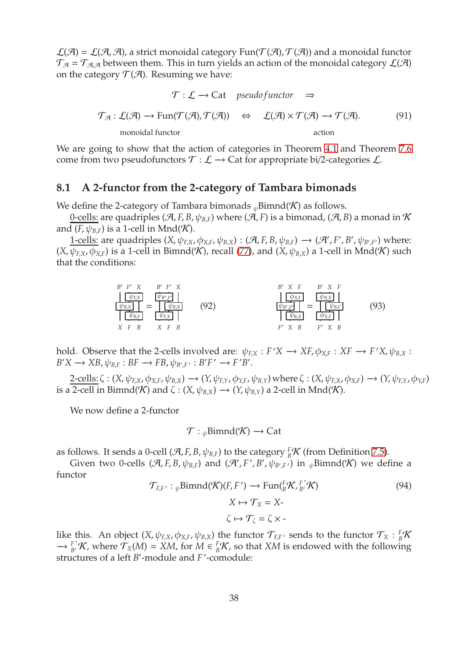$\mathcal{L}(\mathcal{A}) = \mathcal{L}(\mathcal{A}, \mathcal{A})$ , a strict monoidal category Fun( $\mathcal{T}(\mathcal{A}), \mathcal{T}(\mathcal{A})$ ) and a monoidal functor  $\mathcal{T}_{\mathcal{A}} = \mathcal{T}_{\mathcal{A},\mathcal{A}}$  between them. This in turn yields an action of the monoidal category  $\mathcal{L}(\mathcal{A})$ on the category  $\mathcal{T}(\mathcal{A})$ . Resuming we have:

<span id="page-37-1"></span>
$$
\mathcal{T} : \mathcal{L} \to \text{Cat} \quad \text{pseudofunctor} \quad \Rightarrow
$$
\n
$$
\mathcal{T}_{\mathcal{A}} : \mathcal{L}(\mathcal{A}) \to \text{Fun}(\mathcal{T}(\mathcal{A}), \mathcal{T}(\mathcal{A})) \quad \Leftrightarrow \quad \mathcal{L}(\mathcal{A}) \times \mathcal{T}(\mathcal{A}) \to \mathcal{T}(\mathcal{A}). \tag{91}
$$
\nmonoidal functor

We are going to show that the action of categories in Theorem [4.1](#page-16-0) and Theorem [7.6](#page-30-0) come from two pseudofunctors  $\mathcal{T} : \mathcal{L} \to \mathbb{C}$  at for appropriate bi/2-categories  $\mathcal{L}$ .

#### **8.1 A 2-functor from the 2-category of Tambara bimonads**

We define the 2-category of Tambara bimonads  $_{\psi}$ Bimnd(K) as follows.

0-cells: are quadriples (A, *F*, *B*,  $\psi_{B,F}$ ) where (A, *F*) is a bimonad, (A, *B*) a monad in K and  $(F, \psi_{B,F})$  is a 1-cell in Mnd $(K)$ .

<u>1-cells:</u> are quadriples  $(X, \psi_{F,X}, \phi_{X,F}, \psi_{B,X}) : (\mathcal{A}, F, B, \psi_{B,F}) \longrightarrow (\mathcal{A}', F', B', \psi_{B',F'})$  where:  $(X, \psi_{F,X}, \phi_{X,F})$  is a 1-cell in Bimnd(K), recall [\(77\)](#page-28-2), and  $(X, \psi_{B,X})$  a 1-cell in Mnd(K) such that the conditions:

$$
\frac{\frac{B' F' X}{\psi_{B,X}}}{\frac{\psi_{B,X}}{\sqrt{\frac{\psi_{B,X}}{\sqrt{\frac{\psi_{B,Y}}{\sqrt{\frac{\psi_{B,Y}}{\sqrt{\frac{\psi_{B,Y}}{\sqrt{\frac{\psi_{B,Y}}{\sqrt{\frac{\psi_{B,Y}}{\sqrt{\frac{\psi_{B,Y}}{\sqrt{\frac{\psi_{B,Y}}{\sqrt{\frac{\psi_{B,Y}}{\sqrt{\frac{\psi_{B,Y}}{\sqrt{\frac{\psi_{B,Y}}{\sqrt{\frac{\psi_{B,Y}}{\sqrt{\frac{\psi_{B,Y}}{\sqrt{\frac{\psi_{B,Y}}{\sqrt{\frac{\psi_{B,Y}}{\sqrt{\frac{\psi_{X Y}}{\sqrt{\frac{\psi_{X Y}}{\sqrt{\frac{\psi_{X Y}}{\sqrt{\frac{\psi_{X Y}}{\sqrt{\frac{\psi_{X Y}}{\sqrt{\frac{\psi_{X Y}}{\sqrt{\frac{\psi_{X Y}}{\sqrt{\frac{\psi_{X Y}}{\sqrt{\frac{\psi_{X Y}}{\sqrt{\frac{\psi_{X Y}}{\sqrt{\frac{\psi_{X Y}}{\sqrt{\frac{\psi_{X Y}}{\sqrt{\frac{\psi_{X Y}}{\sqrt{\frac{\psi_{X Y}}{\sqrt{\frac{\psi_{X Y}}{\sqrt{\frac{\psi_{X Y}}{\sqrt{\frac{\psi_{X Y}}{\sqrt{\frac{\omega_{X Y}}{\sqrt{\frac{\omega_{X Y}}{\sqrt{\frac{\omega_{X Y}}{\sqrt{\frac{\omega_{X Y}}{\sqrt{\frac{\omega_{X Y}}{\sqrt{\frac{\omega_{X Y}}{\sqrt{\frac{\omega_{X Y}}{\sqrt{\frac{\omega_{X Y}}{\sqrt{\frac{\omega_{X Y}}{\sqrt{\frac{\omega_{X Y}}{\sqrt{\frac{\omega_{X Y}}{\sqrt{\frac{\omega_{X Y}}{\sqrt{\frac{\omega_{X Y}}{\sqrt{\frac{\omega_{X Y}}{\sqrt{\frac{\omega_{X Y}}{\sqrt{\frac{\omega_{X Y}}{\sqrt{\frac{\omega_{X Y}}{\sqrt{\frac{\omega_{X Y}}{\sqrt{\frac{\omega_{X Y}}{\sqrt{\frac{\omega_{X Y}}{\sqrt{\frac{\omega_{X Y}}{\sqrt{\frac{\omega_{X Y}}{\sqrt{\frac{\omega_{X Y}}{\sqrt{\frac{\omega_{X Y}}{\sqrt{\frac{\omega_{X Y}}{\sqrt{\frac{\omega_{X Y}}{\sqrt{\frac{\omega_{X Y}}{\sqrt{\frac{\omega_{X Y}}{\sqrt{\frac{\omega_{X Y}}{\sqrt{\frac{\omega_{X Y}}{\sqrt{\frac{\omega_{X Y}}{\sqrt{\frac{\omega_{X Y}}{\sqrt{\frac{\omega_{X Y}}{\sqrt{\frac{\omega_{X Y}}{\sqrt{\frac{\omega_{X Y}}{\sqrt{\frac{\omega_{X Y}}{\sqrt{\frac{\omega_{X Y}}{\sqrt{\frac{\omega_{X Y}}{\sqrt{\frac{\omega_{X Y}}{\sqrt{\frac{\omega_{X Y}}{\sqrt{\frac{\omega_{X Y}}{\sqrt{\frac
$$

hold. Observe that the 2-cells involved are:  $\psi_{F,X}: F'X \to XF$ ,  $\phi_{X,F}: XF \to F'X$ ,  $\psi_{B,X}: F'X \to F'X$  $B'X \to XB, \psi_{B,F} : BF \to FB, \psi_{B',F'} : B'F' \to F'B'.$ 

2-cells:  $\zeta$  :  $(X, \psi_{F,X}, \phi_{X,F}, \psi_{B,X}) \rightarrow (Y, \psi_{F,Y}, \phi_{Y,F}, \psi_{B,Y})$  where  $\zeta$  :  $(X, \psi_{F,X}, \phi_{X,F}) \rightarrow (Y, \psi_{F,Y}, \phi_{Y,F})$ is a 2-cell in Bimnd(K) and  $\zeta$  :  $(X, \psi_{B,X}) \rightarrow (Y, \psi_{B,Y})$  a 2-cell in Mnd(K).

We now define a 2-functor

<span id="page-37-0"></span>
$$
\mathcal{T}: \mathcal{P}\mathrm{Bimnd}(\mathcal{K}) \longrightarrow \mathrm{Cat}
$$

as follows. It sends a 0-cell ( $\mathcal{A}, F, B, \psi_{B,F}$ ) to the category  ${}^F_B\mathcal{K}$  (from Definition [7.5\)](#page-30-3).

Given two 0-cells  $(\mathcal{A}, F, B, \psi_{B,F})$  and  $(\mathcal{A}', F', B', \psi_{B', F'})$  in  $_{\psi}$ Bimnd( $\mathcal{K})$  we define a functor ′

<span id="page-37-2"></span>
$$
\mathcal{T}_{E,F'}: \psi \text{Bimnd}(\mathcal{K})(F, F') \to \text{Fun}({}^F_B \mathcal{K}, {}^{F'}_{B'} \mathcal{K})
$$
\n
$$
X \mapsto \mathcal{T}_X = X -
$$
\n
$$
\zeta \mapsto \mathcal{T}_\zeta = \zeta \times -
$$
\n(94)

like this. An object  $(X, \psi_{F,X}, \phi_{X,F}, \psi_{B,X})$  the functor  $\mathcal{T}_{F,F}$  sends to the functor  $\mathcal{T}_X : {}^F_B\mathcal{K}$  $\rightarrow$   $\frac{F}{B'}$  K, where  $\mathcal{T}_X(M) = XM$ , for  $M \in \frac{F}{B}$  K, so that  $XM$  is endowed with the following structures of a left *B*'-module and *F*'-comodule: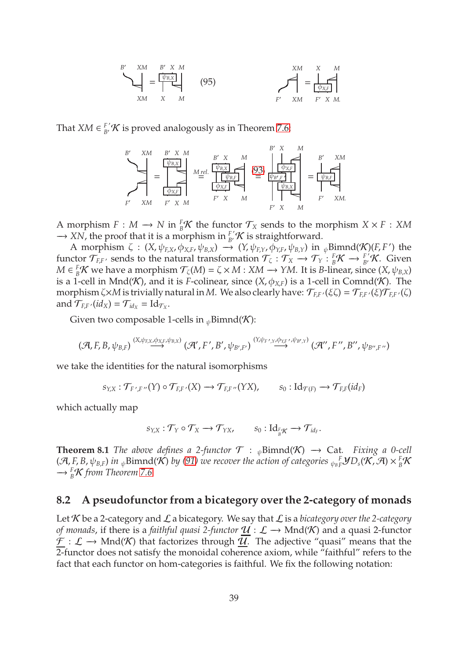<span id="page-38-1"></span>
$$
\sum_{XM}^{B'} = \frac{\begin{bmatrix} \psi_{B,X} \\ \psi_{B,X} \end{bmatrix}}{\begin{bmatrix} XM \\ X & M \end{bmatrix}} \qquad (95)
$$

That *XM*  $\in$   $^{F'}_B$ / $\mathcal K$  is proved analogously as in Theorem [7.6:](#page-30-0)



A morphism  $F: M \to N$  in  ${}^F_B\mathcal{K}$  the functor  $\mathcal{T}_X$  sends to the morphism  $X \times F: XM$  $\rightarrow$  *XN*, the proof that it is a morphism in  $^{F'}_{B'}\mathcal{K}$  is straightforward.

A morphism  $\zeta$  :  $(X, \psi_{F,X}, \phi_{X,F}, \psi_{B,X}) \rightarrow (Y, \psi_{F,Y}, \phi_{Y,F}, \psi_{B,Y})$  in  $_{\psi}$ Bimnd $(\mathcal{K})(F, F')$  the functor  $\mathcal{T}_{F,F'}$  sends to the natural transformation  $\mathcal{T}_{\zeta}: \mathcal{T}_X \to \mathcal{T}_Y : {}^F_B\mathcal{K} \to {}^{F'}_B\mathcal{K}$ . Given  $M \in {}^F_B\mathcal{K}$  we have a morphism  $\mathcal{T}_{\zeta}(M) = \zeta \times M : XM \to YM$ . It is *B*-linear, since  $(X, \psi_{B,X})$ is a 1-cell in Mnd(K), and it is *F*-colinear, since  $(X, \phi_{X,F})$  is a 1-cell in Comnd(K). The morphism ζ× $M$  is trivially natural in  $M$ . We also clearly have:  $\mathcal{T}_{F,F'}(\xi\zeta)=\mathcal{T}_{F,F'}(\xi)\mathcal{T}_{F,F'}(\zeta)$ and  $\mathcal{T}_{F,F'}(id_X) = \mathcal{T}_{id_X} = Id_{\mathcal{T}_X}$ .

Given two composable 1-cells in  $_{\psi}$ Bimnd(K):

$$
(\mathcal{A}, F, B, \psi_{B,F}) \stackrel{(X, \psi_{F,X}, \phi_{X,F}, \psi_{B,X})}{\longrightarrow} (\mathcal{A}', F', B', \psi_{B',F'}) \stackrel{(Y, \psi_{F',Y}, \phi_{Y,F'}, \psi_{B',Y})}{\longrightarrow} (\mathcal{A}'', F'', B'', B'', \psi_{B'',F''})
$$

we take the identities for the natural isomorphisms

 $s_{Y,X}: \mathcal{T}_{F',F''}(Y) \circ \mathcal{T}_{F,F'}(X) \rightarrow \mathcal{T}_{F,F''}(YX), \qquad s_0: \mathrm{Id}_{\mathcal{T}(F)} \rightarrow \mathcal{T}_{F,F}(id_F)$ 

which actually map

$$
s_{Y,X} : \mathcal{T}_Y \circ \mathcal{T}_X \to \mathcal{T}_{YX}, \qquad s_0 : \mathrm{Id}_{\mathop{\vphantom{a}}\mathop{\vphantom{a}}^{\mathop{\vphantom{a}}}}_{B}\mathcal{K}} \to \mathcal{T}_{\mathop{\vphantom{a}}\mathop{\vphantom{a}}^{\mathop{\vphantom{a}}}}_{B}.
$$

<span id="page-38-0"></span>**Theorem 8.1** *The above defines a 2-functor*  $\mathcal{T}$  : <sub> $\psi$ </sub>Bimnd( $\mathcal{K}$ )  $\rightarrow$  Cat. *Fixing a 0-cell*  $(\mathcal{A}, F, B, \psi_{B,F})$  in  $_{\psi}$ Bimnd( $\mathcal{K}$ ) by [\(91\)](#page-37-1) we recover the action of categories  $_{\psi_B}$   $_f^F$ **y**  $D_s$ ( $\mathcal{K}, \mathcal{A}) \times {}_B^F$ K −→ *<sup>F</sup> <sup>B</sup>*K *from Theorem [7.6.](#page-30-0)*

### <span id="page-38-2"></span>**8.2 A pseudofunctor from a bicategory over the 2-category of monads**

Let  $K$  be a 2-category and  $\mathcal L$  a bicategory. We say that  $\mathcal L$  is a *bicategory over the 2-category of monads*, if there is a *faithful quasi 2-functor*  $U : L \rightarrow Mnd(K)$  and a quasi 2-functor  $\mathcal{F}: \mathcal{L} \to \text{Mnd}(\mathcal{K})$  that factorizes through  $\mathcal{U}$ . The adjective "quasi" means that the 2-functor does not satisfy the monoidal coherence axiom, while "faithful" refers to the fact that each functor on hom-categories is faithful. We fix the following notation: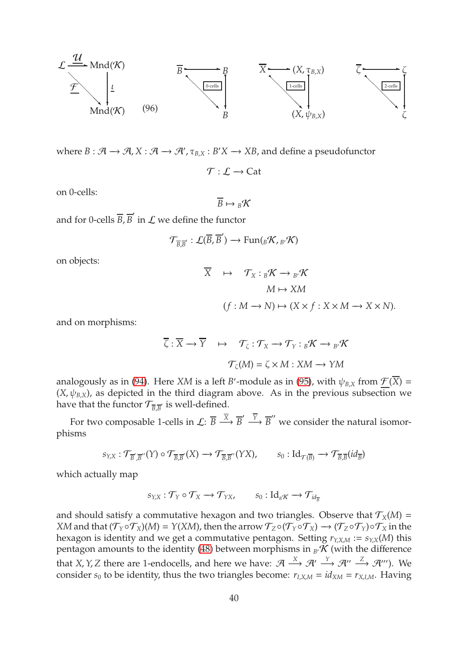

where  $B: \mathcal{A} \to \mathcal{A}, X: \mathcal{A} \to \mathcal{A}', \tau_{B,X}: B'X \to XB$ , and define a pseudofunctor

<span id="page-39-0"></span> $\mathcal{T} : \mathcal{L} \to \mathrm{Cat}$ 

on 0-cells:

$$
\overline{B} \mapsto {}_{B}\mathcal{K}
$$

and for 0-cells  $\overline{B}$ ,  $\overline{B}'$  in  $\cal L$  we define the functor

$$
\mathcal{T}_{\overline{B},\overline{B}'}:\mathcal{L}(\overline{B},\overline{B}')\longrightarrow Fun(_B\mathcal{K}, {}_{B'}\mathcal{K})
$$

on objects:

$$
\overline{X} \quad \mapsto \quad \mathcal{T}_X: {}_B\mathcal{K} \longrightarrow {}_{B'}\mathcal{K}
$$
\n
$$
M \mapsto XM
$$
\n
$$
(f: M \longrightarrow N) \mapsto (X \times f: X \times M \longrightarrow X \times N).
$$

and on morphisms:

$$
\overline{\zeta} : \overline{X} \to \overline{Y} \quad \mapsto \quad \mathcal{T}_{\zeta} : \mathcal{T}_{X} \to \mathcal{T}_{Y} : {}_{B}\mathcal{K} \to {}_{B'}\mathcal{K}
$$

$$
\mathcal{T}_{\zeta}(M) = \zeta \times M : XM \to YM
$$

analogously as in [\(94\)](#page-37-2). Here *XM* is a left *B*'-module as in [\(95\)](#page-38-1), with  $\psi_{B,X}$  from  $\underline{\mathcal{F}}(\overline{X})$  =  $(X, \psi_{B,X})$ , as depicted in the third diagram above. As in the previous subsection we have that the functor  $\mathcal{T}_{\overline{B},\overline{B}'}$  is well-defined.

For two composable 1-cells in  $\mathcal{L}: \overline{B} \stackrel{\overline{X}}{\longrightarrow} \overline{B}' \stackrel{\overline{Y}}{\longrightarrow} \overline{B}''$  we consider the natural isomorphisms

$$
s_{Y,X}: \mathcal{T}_{\overline{B}',\overline{B}''}(Y) \circ \mathcal{T}_{\overline{B},\overline{B}'}(X) \longrightarrow \mathcal{T}_{\overline{B},\overline{B}''}(YX), \qquad s_0: \mathrm{Id}_{\mathcal{T}(\overline{B})} \longrightarrow \mathcal{T}_{\overline{B},\overline{B}}(id_{\overline{B}})
$$

which actually map

$$
s_{Y,X} : \mathcal{T}_Y \circ \mathcal{T}_X \longrightarrow \mathcal{T}_{YX}, \qquad s_0 : \mathrm{Id}_{{}_B\mathcal{K}} \longrightarrow \mathcal{T}_{id_{\overline{B}}}
$$

and should satisfy a commutative hexagon and two triangles. Observe that  $T_X(M)$  = *XM* and that  $(\mathcal{T}_Y \circ \mathcal{T}_X)(M) = Y(XM)$ , then the arrow  $\mathcal{T}_Z \circ (\mathcal{T}_Y \circ \mathcal{T}_X) \to (\mathcal{T}_Z \circ \mathcal{T}_Y) \circ \mathcal{T}_X$  in the hexagon is identity and we get a commutative pentagon. Setting  $r_{Y, X, M} := s_{Y, X}(M)$  this pentagon amounts to the identity [\(48\)](#page-17-5) between morphisms in  $_B/K$  (with the difference that *X*, *Y*, *Z* there are 1-endocells, and here we have:  $\mathcal{A} \stackrel{X}{\longrightarrow} \mathcal{A}' \stackrel{Y}{\longrightarrow} \mathcal{A}'' \stackrel{Z}{\longrightarrow} \mathcal{A}'''$ ). We consider  $s_0$  to be identity, thus the two triangles become:  $r_{I, X, M} = id_{X M} = r_{X, I, M}$ . Having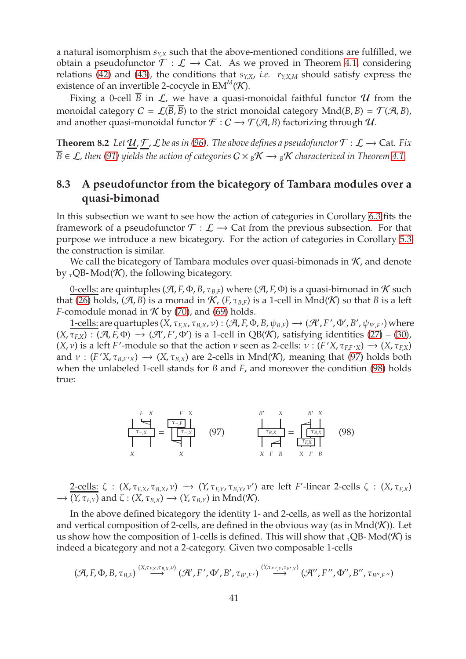a natural isomorphism  $s_{YX}$  such that the above-mentioned conditions are fulfilled, we obtain a pseudofunctor  $\mathcal{T} : \mathcal{L} \to \mathsf{Cat}$ . As we proved in Theorem [4.1,](#page-16-0) considering relations [\(42\)](#page-16-3) and [\(43\)](#page-17-0), the conditions that  $s_{YX}$ , *i.e.*  $r_{YX}$  should satisfy express the existence of an invertible 2-cocycle in  $EM^M(\mathcal{K})$ .

Fixing a 0-cell  $\overline{B}$  in  $\mathcal{L}$ , we have a quasi-monoidal faithful functor  $\mathcal U$  from the monoidal category  $C = \mathcal{L}(\overline{B}, \overline{B})$  to the strict monoidal category  $Mnd(B, B) = \mathcal{T}(A, B)$ , and another quasi-monoidal functor  $\mathcal{F}: C \to \mathcal{T}(\mathcal{A}, B)$  factorizing through  $\mathcal{U}$ .

<span id="page-40-0"></span>**Theorem 8.2** *Let*  $\mathcal{U}, \mathcal{F}, \mathcal{L}$  *be as in [\(96\)](#page-39-0). The above defines a pseudofunctor*  $\mathcal{T} : \mathcal{L} \to \text{Cat}$ *. Fix*  $\overline{B} \in \mathcal{L}$ , then [\(91\)](#page-37-1) yields the action of categories  $C \times {}_{B}\mathcal{K} \longrightarrow {}_{B}\mathcal{K}$  characterized in Theorem [4.1.](#page-16-0)

### **8.3 A pseudofunctor from the bicategory of Tambara modules over a quasi-bimonad**

In this subsection we want to see how the action of categories in Corollary [6.3](#page-27-4) fits the framework of a pseudofunctor  $\mathcal{T} : \mathcal{L} \to \mathbb{C}$  at from the previous subsection. For that purpose we introduce a new bicategory. For the action of categories in Corollary [5.3](#page-22-0) the construction is similar.

We call the bicategory of Tambara modules over quasi-bimonads in  $K$ , and denote by  $\tau$ QB- Mod(K), the following bicategory.

0-cells: are quintuples ( $\mathcal{A}, F, \Phi, B, \tau_{B,F}$ ) where ( $\mathcal{A}, F, \Phi$ ) is a quasi-bimonad in K such that [\(26\)](#page-10-2) holds, (A, *B*) is a monad in K, (*F*,  $\tau_{B,F}$ ) is a 1-cell in Mnd(K) so that *B* is a left *F*-comodule monad in  $K$  by [\(70\)](#page-24-3), and [\(69\)](#page-24-2) holds.

 $1$ -cells: are quartuples  $(X, \tau_{F,X}, \tau_{B,X}, \nu) : (\mathcal{A}, F, \Phi, B, \psi_{B,F}) \longrightarrow (\mathcal{A}', F', \Phi', B', \psi_{B', F'})$  where  $(X, \tau_{F,X}) : (\mathcal{A}, F, \Phi) \longrightarrow (\mathcal{A}', F', \Phi')$  is a 1-cell in QB(K), satisfying identities [\(27\)](#page-10-0) – [\(30\)](#page-11-1),  $(X, \nu)$  is a left *F*'-module so that the action  $\nu$  seen as 2-cells:  $\nu : (F'X, \tau_{F,F'X}) \to (X, \tau_{F,X})$ and  $\nu : (F'X, \tau_{B,F'X}) \longrightarrow (X, \tau_{B,X})$  are 2-cells in Mnd(K), meaning that [\(97\)](#page-40-1) holds both when the unlabeled 1-cell stands for *B* and *F*, and moreover the condition [\(98\)](#page-40-2) holds true:

<span id="page-40-2"></span><span id="page-40-1"></span>
$$
\frac{\begin{array}{c}\nF & X \\
\hline\n\tau_{-X} \\
X\n\end{array}}{\begin{array}{c}\n\tau_{-X} \\
\hline\nX\n\end{array}} = \frac{\begin{array}{c}\nF & X \\
\hline\n\tau_{-X} \\
\hline\n\tau_{-X} \\
\hline\n\tau_{-X} \\
\hline\n\tau_{-X} \\
X\n\end{array}}{X} \qquad (97)
$$
\n
$$
\frac{\begin{array}{c}\nB' & X \\
\hline\n\tau_{B,X} \\
\hline\n\tau_{B,X} \\
X\n\end{array}}{\begin{array}{c}\n\tau_{B,X} \\
\hline\n\tau_{B,X} \\
X\n\end{array}} = \frac{\begin{array}{c}\nB' & X \\
\hline\n\tau_{B,X} \\
\hline\n\tau_{B,X} \\
X\n\end{array}}{X\n\end{array}} \qquad (98)
$$

 $\frac{2$ -cells: ζ : (*X*, τ<sub>*F*,*X*</sub>, τ<sub>*B*,*X*</sub>, ν) → (*Y*, τ<sub>*F*,*Y*</sub>, τ<sub>*B*,*Y*</sub>, ν') are left *F*'-linear 2-cells ζ : (*X*, τ<sub>*F*</sub>,*X*)  $\rightarrow$  (*Y*,  $\tau$ <sub>*F*</sub> $_{Y}$ ) and  $\zeta$  : (*X*,  $\tau$ <sub>*B*</sub> $_{X}$ )  $\rightarrow$  (*Y*,  $\tau$ <sub>*B* $_{Y}$ )</sub> in Mnd(*K*).

In the above defined bicategory the identity 1- and 2-cells, as well as the horizontal and vertical composition of 2-cells, are defined in the obvious way (as in  $Mnd(\mathcal{K})$ ). Let us show how the composition of 1-cells is defined. This will show that  ${}_{\tau}Q\text{B-Mod}(\mathcal{K})$  is indeed a bicategory and not a 2-category. Given two composable 1-cells

$$
(\mathcal{A}, F, \Phi, B, \tau_{B,F}) \stackrel{(X, \tau_{F,X}, \tau_{B,X}, \nu)}{\longrightarrow} (\mathcal{A}', F', \Phi', B', \tau_{B', F'}) \stackrel{(Y, \tau_{F', Y}, \tau_{B', Y})}{\longrightarrow} (\mathcal{A}'', F'', \Phi'', B'', \tau_{B'', F''})
$$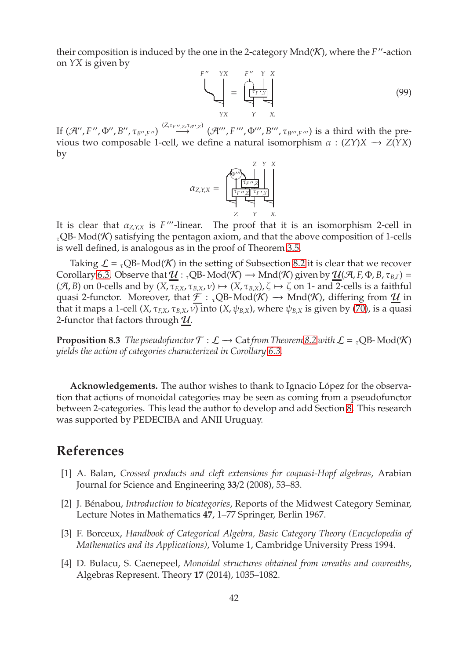their composition is induced by the one in the 2-category Mnd(K), where the *F*"-action on *YX* is given by

$$
\sum_{YX}^{F''} = \underbrace{\left(\begin{array}{ccc} Y & Y & X \\ \hline \frac{\tau_{F',Y}}{Y} & & \\ \hline \frac{\tau_{F',Y}}{Y} & & \\ \hline \end{array}\right)}_{YX} \tag{99}
$$

If  $(\mathcal{A}'', F'', \Phi'', B'', \tau_{B'', F''}) \xrightarrow{(Z, \tau_{F'', Z}, \tau_{B'', Z})} (\mathcal{A}''', F''', \Phi''', B''', \tau_{B''', F'''})$  is a third with the previous two composable 1-cell, we define a natural isomorphism  $\alpha$  : (*ZY*)*X*  $\rightarrow$  *Z*(*YX*) by

α*<sup>Z</sup>*,*Y*,*<sup>X</sup>* = *Z Y X* Φ′′′♠ τ*F* ′′ ,*Z* τ*F* ′′ ,*<sup>Z</sup>* τ*<sup>F</sup>* ′ ,*Y* P P P *Z Y X*.

It is clear that  $\alpha_{Z,Y,X}$  is *F*<sup>*'''*</sup>-linear. The proof that it is an isomorphism 2-cell in  $\tau_{\rm C}$ QB- Mod(K) satisfying the pentagon axiom, and that the above composition of 1-cells is well defined, is analogous as in the proof of Theorem [3.5.](#page-12-0)

Taking  $\mathcal{L} = {}_{\tau}QB$ - Mod(K) in the setting of Subsection [8.2](#page-38-2) it is clear that we recover Corollary [6.3.](#page-27-4) Observe that  $U : {}_{\tau}QB$ -Mod $(\mathcal{K}) \rightarrow$ Mnd $(\mathcal{K})$  given by  $\mathcal{U}(\mathcal{A}, F, \Phi, B, \tau_{B,F})$  =  $(\mathcal{A}, B)$  on 0-cells and by  $(X, \tau_{EX}, \tau_{BX}, \nu) \mapsto (X, \tau_{BX})$ ,  $\zeta \mapsto \zeta$  on 1- and 2-cells is a faithful quasi 2-functor. Moreover, that  $\underline{\mathcal{F}}$  : <sub>τ</sub>QB-Mod(K)  $\rightarrow$  Mnd(K), differing from  $\underline{\mathcal{U}}$  in that it maps a 1-cell  $(X, \tau_{F,X}, \tau_{B,X}, \nu)$  into  $(X, \psi_{B,X})$ , where  $\psi_{B,X}$  is given by [\(70\)](#page-24-3), is a quasi 2-functor that factors through  $U$ .

<span id="page-41-1"></span>**Proposition 8.3** *The pseudofunctor*  $\mathcal{T} : \mathcal{L} \to \text{Cat}$  *from Theorem* [8.2](#page-40-0) *with*  $\mathcal{L} = {}_{\tau}QB \text{-Mod}(\mathcal{K})$ *yields the action of categories characterized in Corollary [6.3.](#page-27-4)*

Acknowledgements. The author wishes to thank to Ignacio López for the observation that actions of monoidal categories may be seen as coming from a pseudofunctor between 2-categories. This lead the author to develop and add Section [8.](#page-36-1) This research was supported by PEDECIBA and ANII Uruguay.

### <span id="page-41-0"></span>**References**

- [1] A. Balan, *Crossed products and cleft extensions for coquasi-Hopf algebras*, Arabian Journal for Science and Engineering **33**/2 (2008), 53–83.
- <span id="page-41-2"></span>[2] J. Bénabou, *Introduction to bicategories*, Reports of the Midwest Category Seminar, Lecture Notes in Mathematics **47**, 1–77 Springer, Berlin 1967.
- <span id="page-41-3"></span>[3] F. Borceux, *Handbook of Categorical Algebra, Basic Category Theory (Encyclopedia of Mathematics and its Applications)*, Volume 1, Cambridge University Press 1994.
- <span id="page-41-4"></span>[4] D. Bulacu, S. Caenepeel, *Monoidal structures obtained from wreaths and cowreaths*, Algebras Represent. Theory **17** (2014), 1035–1082.